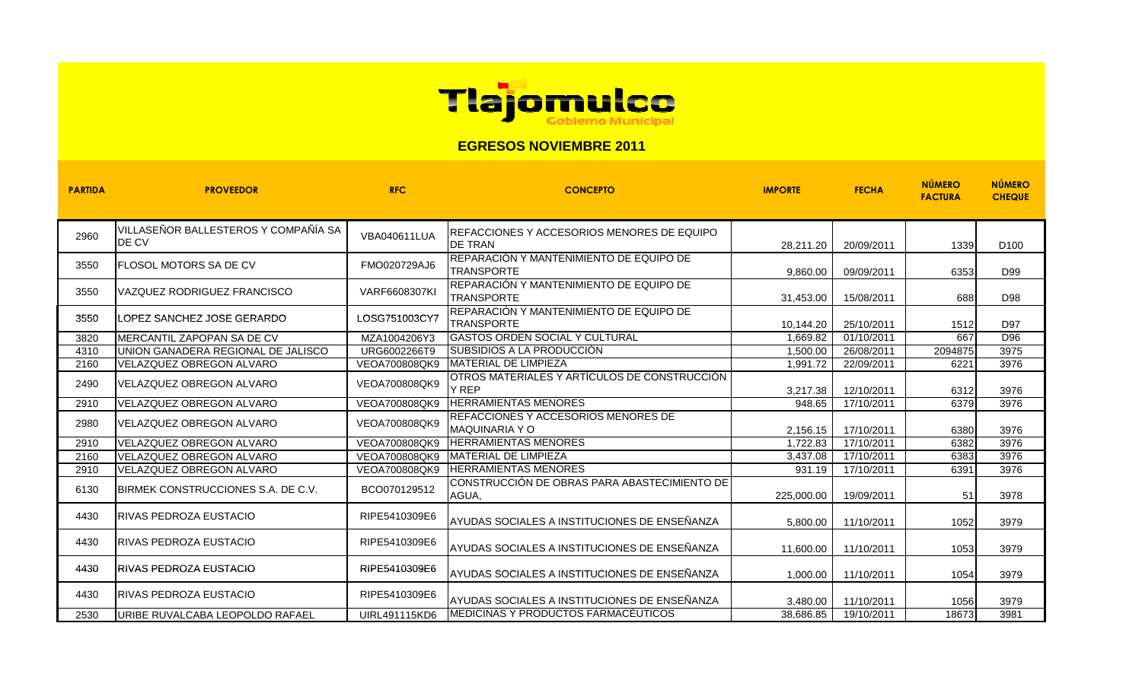

## **EGRESOS NOVIEMBRE 2011**

| <b>PARTIDA</b> | <b>PROVEEDOR</b>                                     | <b>RFC</b>           | <b>CONCEPTO</b>                                                     | <b>IMPORTE</b> | <b>FECHA</b> | <b>NÚMERO</b><br><b>FACTURA</b> | <b>NÚMERO</b><br><b>CHEQUE</b> |
|----------------|------------------------------------------------------|----------------------|---------------------------------------------------------------------|----------------|--------------|---------------------------------|--------------------------------|
| 2960           | VILLASEÑOR BALLESTEROS Y COMPAÑÍA SA<br><b>DE CV</b> | VBA040611LUA         | REFACCIONES Y ACCESORIOS MENORES DE EQUIPO<br><b>IDE TRAN</b>       | 28,211.20      | 20/09/2011   | 1339                            | D <sub>100</sub>               |
| 3550           | <b>FLOSOL MOTORS SA DE CV</b>                        | FMO020729AJ6         | REPARACIÓN Y MANTENIMIENTO DE EQUIPO DE<br><b>TRANSPORTE</b>        | 9,860.00       | 09/09/2011   | 6353                            | D99                            |
| 3550           | VAZQUEZ RODRIGUEZ FRANCISCO                          | <b>VARF6608307KI</b> | REPARACIÓN Y MANTENIMIENTO DE EQUIPO DE<br><b>TRANSPORTE</b>        | 31,453.00      | 15/08/2011   | 688                             | D98                            |
| 3550           | <b>ILOPEZ SANCHEZ JOSE GERARDO</b>                   | LOSG751003CY7        | REPARACIÓN Y MANTENIMIENTO DE EQUIPO DE<br><b>TRANSPORTE</b>        | 10,144.20      | 25/10/2011   | 1512                            | D97                            |
| 3820           | MERCANTIL ZAPOPAN SA DE CV                           | MZA1004206Y3         | <b>GASTOS ORDEN SOCIAL Y CULTURAL</b>                               | 1.669.82       | 01/10/2011   | 667                             | D96                            |
| 4310           | UNION GANADERA REGIONAL DE JALISCO                   | URG6002266T9         | SUBSIDIOS A LA PRODUCCIÓN                                           | 1,500.00       | 26/08/2011   | 2094875                         | 3975                           |
| 2160           | <b>VELAZQUEZ OBREGON ALVARO</b>                      | VEOA700808QK9        | <b>IMATERIAL DE LIMPIEZA</b>                                        | 1,991.72       | 22/09/2011   | 6221                            | 3976                           |
| 2490           | VELAZQUEZ OBREGON ALVARO                             | VEOA700808QK9        | OTROS MATERIALES Y ARTÍCULOS DE CONSTRUCCIÓN<br><b>Y REP</b>        | 3,217.38       | 12/10/2011   | 6312                            | 3976                           |
| 2910           | VELAZQUEZ OBREGON ALVARO                             | VEOA700808QK9        | <b>HERRAMIENTAS MENORES</b>                                         | 948.65         | 17/10/2011   | 6379                            | 3976                           |
| 2980           | <b>IVELAZQUEZ OBREGON ALVARO</b>                     | VEOA700808QK9        | <b>REFACCIONES Y ACCESORIOS MENORES DE</b><br><b>MAQUINARIA Y O</b> | 2,156.15       | 17/10/2011   | 6380                            | 3976                           |
| 2910           | VELAZQUEZ OBREGON ALVARO                             | VEOA700808QK9        | <b>HERRAMIENTAS MENORES</b>                                         | 1,722.83       | 17/10/2011   | 6382                            | 3976                           |
| 2160           | VELAZQUEZ OBREGON ALVARO                             | VEOA700808QK9        | <b>MATERIAL DE LIMPIEZA</b>                                         | 3,437.08       | 17/10/2011   | 6383                            | 3976                           |
| 2910           | VELAZQUEZ OBREGON ALVARO                             | VEOA700808QK9        | <b>HERRAMIENTAS MENORES</b>                                         | 931.19         | 17/10/2011   | 6391                            | 3976                           |
| 6130           | <b>IBIRMEK CONSTRUCCIONES S.A. DE C.V.</b>           | BCO070129512         | CONSTRUCCIÓN DE OBRAS PARA ABASTECIMIENTO DE<br>AGUA,               | 225,000.00     | 19/09/2011   | 51                              | 3978                           |
| 4430           | <b>IRIVAS PEDROZA EUSTACIO</b>                       | RIPE5410309E6        | AYUDAS SOCIALES A INSTITUCIONES DE ENSEÑANZA                        | 5,800.00       | 11/10/2011   | 1052                            | 3979                           |
| 4430           | RIVAS PEDROZA EUSTACIO                               | RIPE5410309E6        | AYUDAS SOCIALES A INSTITUCIONES DE ENSEÑANZA                        | 11,600.00      | 11/10/2011   | 1053                            | 3979                           |
| 4430           | <b>RIVAS PEDROZA EUSTACIO</b>                        | RIPE5410309E6        | AYUDAS SOCIALES A INSTITUCIONES DE ENSEÑANZA                        | 1,000.00       | 11/10/2011   | 1054                            | 3979                           |
| 4430           | <b>IRIVAS PEDROZA EUSTACIO</b>                       | RIPE5410309E6        | AYUDAS SOCIALES A INSTITUCIONES DE ENSEÑANZA                        | 3.480.00       | 11/10/2011   | 1056                            | 3979                           |
| 2530           | <b>IURIBE RUVALCABA LEOPOLDO RAFAEL</b>              | UIRL491115KD6        | <b>IMEDICINAS Y PRODUCTOS FARMACÉUTICOS</b>                         | 38.686.85      | 19/10/2011   | 18673                           | 3981                           |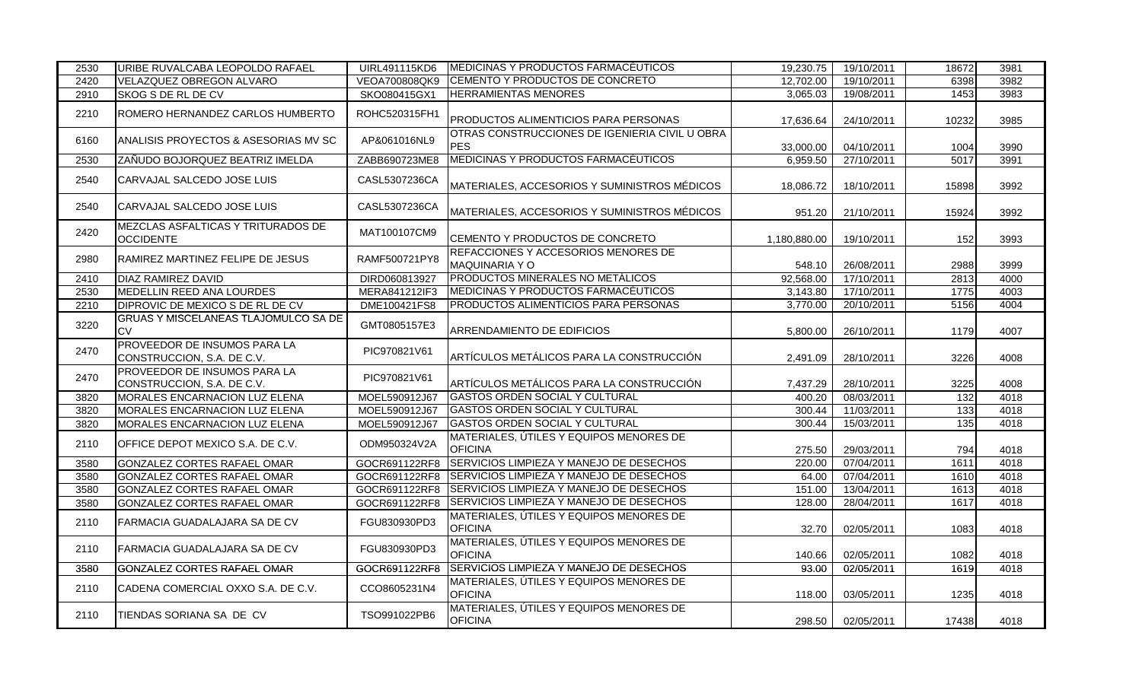| 2530 | URIBE RUVALCABA LEOPOLDO RAFAEL                            | <b>UIRL491115KD6</b> | <b>MEDICINAS Y PRODUCTOS FARMACÉUTICOS</b>                   | 19,230.75    | 19/10/2011              | 18672            | 3981 |
|------|------------------------------------------------------------|----------------------|--------------------------------------------------------------|--------------|-------------------------|------------------|------|
| 2420 | VELAZQUEZ OBREGON ALVARO                                   | VEOA700808QK9        | CEMENTO Y PRODUCTOS DE CONCRETO                              | 12,702.00    | 19/10/2011              | 6398             | 3982 |
| 2910 | SKOG S DE RL DE CV                                         | SKO080415GX1         | <b>HERRAMIENTAS MENORES</b>                                  | 3,065.03     | 19/08/2011              | 1453             | 3983 |
| 2210 | ROMERO HERNANDEZ CARLOS HUMBERTO                           | ROHC520315FH1        | PRODUCTOS ALIMENTICIOS PARA PERSONAS                         | 17,636.64    | 24/10/2011              | 10232            | 3985 |
| 6160 | ANALISIS PROYECTOS & ASESORIAS MV SC                       | AP&061016NL9         | OTRAS CONSTRUCCIONES DE IGENIERIA CIVIL U OBRA<br><b>PES</b> | 33,000.00    | 04/10/2011              | 1004             | 3990 |
| 2530 | ZANUDO BOJORQUEZ BEATRIZ IMELDA                            | ZABB690723ME8        | MEDICINAS Y PRODUCTOS FARMACÉUTICOS                          | 6.959.50     | 27/10/2011              | 5017             | 3991 |
| 2540 | CARVAJAL SALCEDO JOSE LUIS                                 | CASL5307236CA        | MATERIALES, ACCESORIOS Y SUMINISTROS MÉDICOS                 | 18,086.72    | 18/10/2011              | 15898            | 3992 |
| 2540 | CARVAJAL SALCEDO JOSE LUIS                                 | CASL5307236CA        | MATERIALES, ACCESORIOS Y SUMINISTROS MÉDICOS                 | 951.20       | 21/10/2011              | 15924            | 3992 |
| 2420 | MEZCLAS ASFALTICAS Y TRITURADOS DE<br><b>OCCIDENTE</b>     | MAT100107CM9         | CEMENTO Y PRODUCTOS DE CONCRETO                              | 1,180,880.00 | 19/10/2011              | 152              | 3993 |
| 2980 | RAMIREZ MARTINEZ FELIPE DE JESUS                           | RAMF500721PY8        | REFACCIONES Y ACCESORIOS MENORES DE<br>MAQUINARIA Y O        | 548.10       | 26/08/2011              | 2988             | 3999 |
| 2410 | DIAZ RAMIREZ DAVID                                         | DIRD060813927        | PRODUCTOS MINERALES NO METÁLICOS                             | 92,568.00    | 17/10/2011              | 2813             | 4000 |
| 2530 | MEDELLIN REED ANA LOURDES                                  | MERA841212IF3        | MEDICINAS Y PRODUCTOS FARMACÉUTICOS                          | 3,143.80     | $\frac{17}{17}$ 10/2011 | 1775             | 4003 |
| 2210 | DIPROVIC DE MEXICO S DE RL DE CV                           | DME100421FS8         | PRODUCTOS ALIMENTICIOS PARA PERSONAS                         | 3,770.00     | 20/10/2011              | 5156             | 4004 |
| 3220 | <b>GRUAS Y MISCELANEAS TLAJOMULCO SA DE</b><br><b>CV</b>   | GMT0805157E3         | ARRENDAMIENTO DE EDIFICIOS                                   | 5,800.00     | 26/10/2011              | 1179             | 4007 |
| 2470 | PROVEEDOR DE INSUMOS PARA LA<br>CONSTRUCCION, S.A. DE C.V. | PIC970821V61         | ARTÍCULOS METÁLICOS PARA LA CONSTRUCCIÓN                     | 2,491.09     | 28/10/2011              | 3226             | 4008 |
| 2470 | PROVEEDOR DE INSUMOS PARA LA<br>CONSTRUCCION, S.A. DE C.V. | PIC970821V61         | ARTÍCULOS METÁLICOS PARA LA CONSTRUCCIÓN                     | 7,437.29     | 28/10/2011              | 3225             | 4008 |
| 3820 | MORALES ENCARNACION LUZ ELENA                              | MOEL590912J67        | <b>GASTOS ORDEN SOCIAL Y CULTURAL</b>                        | 400.20       | 08/03/2011              | 132              | 4018 |
| 3820 | MORALES ENCARNACION LUZ ELENA                              | MOEL590912J67        | <b>GASTOS ORDEN SOCIAL Y CULTURAL</b>                        | 300.44       | 11/03/2011              | $\overline{133}$ | 4018 |
| 3820 | MORALES ENCARNACION LUZ ELENA                              | MOEL590912J67        | <b>GASTOS ORDEN SOCIAL Y CULTURAL</b>                        | 300.44       | 15/03/2011              | 135              | 4018 |
| 2110 | OFFICE DEPOT MEXICO S.A. DE C.V.                           | ODM950324V2A         | MATERIALES, ÚTILES Y EQUIPOS MENORES DE<br><b>OFICINA</b>    | 275.50       | 29/03/2011              | 794              | 4018 |
| 3580 | <b>GONZALEZ CORTES RAFAEL OMAR</b>                         | GOCR691122RF8        | SERVICIOS LIMPIEZA Y MANEJO DE DESECHOS                      | 220.00       | 07/04/2011              | 1611             | 4018 |
| 3580 | <b>GONZALEZ CORTES RAFAEL OMAR</b>                         | GOCR691122RF8        | SERVICIOS LIMPIEZA Y MANEJO DE DESECHOS                      | 64.00        | 07/04/2011              | 1610             | 4018 |
| 3580 | GONZALEZ CORTES RAFAEL OMAR                                | GOCR691122RF8        | SERVICIOS LIMPIEZA Y MANEJO DE DESECHOS                      | 151.00       | 13/04/2011              | 1613             | 4018 |
| 3580 | GONZALEZ CORTES RAFAEL OMAR                                | GOCR691122RF8        | SERVICIOS LIMPIEZA Y MANEJO DE DESECHOS                      | 128.00       | 28/04/2011              | 1617             | 4018 |
| 2110 | FARMACIA GUADALAJARA SA DE CV                              | FGU830930PD3         | MATERIALES, ÚTILES Y EQUIPOS MENORES DE<br><b>OFICINA</b>    | 32.70        | 02/05/2011              | 1083             | 4018 |
| 2110 | FARMACIA GUADALAJARA SA DE CV                              | FGU830930PD3         | MATERIALES, ÚTILES Y EQUIPOS MENORES DE<br><b>OFICINA</b>    | 140.66       | 02/05/2011              | 1082             | 4018 |
| 3580 | GONZALEZ CORTES RAFAEL OMAR                                | GOCR691122RF8        | SERVICIOS LIMPIEZA Y MANEJO DE DESECHOS                      | 93.00        | 02/05/2011              | 1619             | 4018 |
| 2110 | CADENA COMERCIAL OXXO S.A. DE C.V.                         | CCO8605231N4         | MATERIALES, ÚTILES Y EQUIPOS MENORES DE<br><b>OFICINA</b>    | 118.00       | 03/05/2011              | 1235             | 4018 |
| 2110 | TIENDAS SORIANA SA DE CV                                   | TSO991022PB6         | MATERIALES, ÚTILES Y EQUIPOS MENORES DE<br><b>OFICINA</b>    | 298.50       | 02/05/2011              | 17438            | 4018 |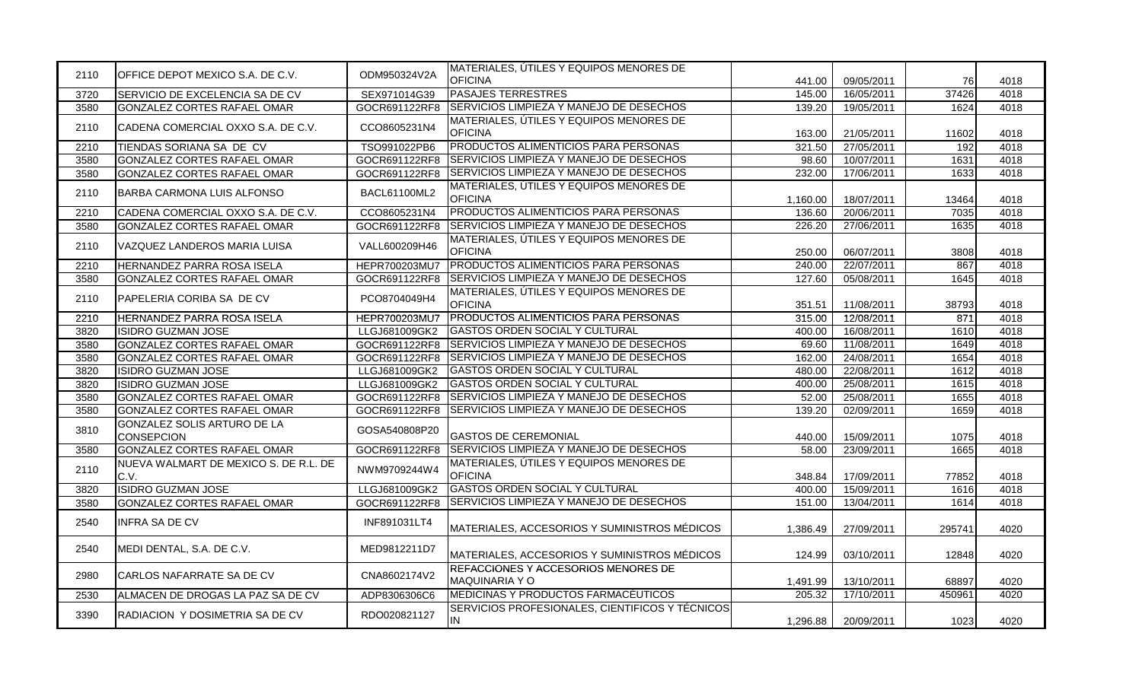| 2110 | OFFICE DEPOT MEXICO S.A. DE C.V.                 | ODM950324V2A  | MATERIALES, ÚTILES Y EQUIPOS MENORES DE<br><b>OFICINA</b>    | 441.00   | 09/05/2011 | 76     | 4018 |
|------|--------------------------------------------------|---------------|--------------------------------------------------------------|----------|------------|--------|------|
| 3720 | SERVICIO DE EXCELENCIA SA DE CV                  | SEX971014G39  | <b>PASAJES TERRESTRES</b>                                    | 145.00   | 16/05/2011 | 37426  | 4018 |
| 3580 | GONZALEZ CORTES RAFAEL OMAR                      | GOCR691122RF8 | SERVICIOS LIMPIEZA Y MANEJO DE DESECHOS                      | 139.20   | 19/05/2011 | 1624   | 4018 |
| 2110 | CADENA COMERCIAL OXXO S.A. DE C.V.               | CCO8605231N4  | MATERIALES, ÚTILES Y EQUIPOS MENORES DE<br><b>OFICINA</b>    | 163.00   | 21/05/2011 | 11602  | 4018 |
| 2210 | TIENDAS SORIANA SA DE CV                         | TSO991022PB6  | PRODUCTOS ALIMENTICIOS PARA PERSONAS                         | 321.50   | 27/05/2011 | 192    | 4018 |
| 3580 | GONZALEZ CORTES RAFAEL OMAR                      | GOCR691122RF8 | SERVICIOS LIMPIEZA Y MANEJO DE DESECHOS                      | 98.60    | 10/07/2011 | 1631   | 4018 |
| 3580 | GONZALEZ CORTES RAFAEL OMAR                      | GOCR691122RF8 | SERVICIOS LIMPIEZA Y MANEJO DE DESECHOS                      | 232.00   | 17/06/2011 | 1633   | 4018 |
| 2110 | BARBA CARMONA LUIS ALFONSO                       | BACL61100ML2  | MATERIALES, ÚTILES Y EQUIPOS MENORES DE<br><b>OFICINA</b>    | 1,160.00 | 18/07/2011 | 13464  | 4018 |
| 2210 | CADENA COMERCIAL OXXO S.A. DE C.V.               | CCO8605231N4  | PRODUCTOS ALIMENTICIOS PARA PERSONAS                         | 136.60   | 20/06/2011 | 7035   | 4018 |
| 3580 | GONZALEZ CORTES RAFAEL OMAR                      | GOCR691122RF8 | <b>SERVICIOS LIMPIEZA Y MANEJO DE DESECHOS</b>               | 226.20   | 27/06/2011 | 1635   | 4018 |
| 2110 | VAZQUEZ LANDEROS MARIA LUISA                     | VALL600209H46 | MATERIALES, ÚTILES Y EQUIPOS MENORES DE<br><b>OFICINA</b>    | 250.00   | 06/07/2011 | 3808   | 4018 |
| 2210 | HERNANDEZ PARRA ROSA ISELA                       | HEPR700203MU7 | PRODUCTOS ALIMENTICIOS PARA PERSONAS                         | 240.00   | 22/07/2011 | 867    | 4018 |
| 3580 | GONZALEZ CORTES RAFAEL OMAR                      | GOCR691122RF8 | SERVICIOS LIMPIEZA Y MANEJO DE DESECHOS                      | 127.60   | 05/08/2011 | 1645   | 4018 |
| 2110 | PAPELERIA CORIBA SA DE CV                        | PCO8704049H4  | MATERIALES, ÚTILES Y EQUIPOS MENORES DE<br><b>OFICINA</b>    | 351.51   | 11/08/2011 | 38793  | 4018 |
| 2210 | HERNANDEZ PARRA ROSA ISELA                       | HEPR700203MU7 | PRODUCTOS ALIMENTICIOS PARA PERSONAS                         | 315.00   | 12/08/2011 | 871    | 4018 |
| 3820 | <b>ISIDRO GUZMAN JOSE</b>                        | LLGJ681009GK2 | <b>GASTOS ORDEN SOCIAL Y CULTURAL</b>                        | 400.00   | 16/08/2011 | 1610   | 4018 |
| 3580 | GONZALEZ CORTES RAFAEL OMAR                      | GOCR691122RF8 | SERVICIOS LIMPIEZA Y MANEJO DE DESECHOS                      | 69.60    | 11/08/2011 | 1649   | 4018 |
| 3580 | GONZALEZ CORTES RAFAEL OMAR                      | GOCR691122RF8 | <b>SERVICIOS LIMPIEZA Y MANEJO DE DESECHOS</b>               | 162.00   | 24/08/2011 | 1654   | 4018 |
| 3820 | <b>ISIDRO GUZMAN JOSE</b>                        | LLGJ681009GK2 | <b>GASTOS ORDEN SOCIAL Y CULTURAL</b>                        | 480.00   | 22/08/2011 | 1612   | 4018 |
| 3820 | <b>ISIDRO GUZMAN JOSE</b>                        | LLGJ681009GK2 | <b>GASTOS ORDEN SOCIAL Y CULTURAL</b>                        | 400.00   | 25/08/2011 | 1615   | 4018 |
| 3580 | <b>GONZALEZ CORTES RAFAEL OMAR</b>               | GOCR691122RF8 | SERVICIOS LIMPIEZA Y MANEJO DE DESECHOS                      | 52.00    | 25/08/2011 | 1655   | 4018 |
| 3580 | GONZALEZ CORTES RAFAEL OMAR                      | GOCR691122RF8 | SERVICIOS LIMPIEZA Y MANEJO DE DESECHOS                      | 139.20   | 02/09/2011 | 1659   | 4018 |
| 3810 | GONZALEZ SOLIS ARTURO DE LA<br><b>CONSEPCION</b> | GOSA540808P20 | <b>GASTOS DE CEREMONIAL</b>                                  | 440.00   | 15/09/2011 | 1075   | 4018 |
| 3580 | <b>GONZALEZ CORTES RAFAEL OMAR</b>               | GOCR691122RF8 | SERVICIOS LIMPIEZA Y MANEJO DE DESECHOS                      | 58.00    | 23/09/2011 | 1665   | 4018 |
| 2110 | NUEVA WALMART DE MEXICO S. DE R.L. DE<br>C.V.    | NWM9709244W4  | MATERIALES, ÚTILES Y EQUIPOS MENORES DE<br><b>OFICINA</b>    | 348.84   | 17/09/2011 | 77852  | 4018 |
| 3820 | <b>ISIDRO GUZMAN JOSE</b>                        | LLGJ681009GK2 | <b>GASTOS ORDEN SOCIAL Y CULTURAL</b>                        | 400.00   | 15/09/2011 | 1616   | 4018 |
| 3580 | GONZALEZ CORTES RAFAEL OMAR                      | GOCR691122RF8 | SERVICIOS LIMPIEZA Y MANEJO DE DESECHOS                      | 151.00   | 13/04/2011 | 1614   | 4018 |
| 2540 | <b>INFRA SA DE CV</b>                            | INF891031LT4  | MATERIALES, ACCESORIOS Y SUMINISTROS MÉDICOS                 | 1,386.49 | 27/09/2011 | 295741 | 4020 |
| 2540 | MEDI DENTAL, S.A. DE C.V.                        | MED9812211D7  | MATERIALES, ACCESORIOS Y SUMINISTROS MÉDICOS                 | 124.99   | 03/10/2011 | 12848  | 4020 |
| 2980 | CARLOS NAFARRATE SA DE CV                        | CNA8602174V2  | REFACCIONES Y ACCESORIOS MENORES DE<br><b>MAQUINARIA Y O</b> | 1,491.99 | 13/10/2011 | 68897  | 4020 |
| 2530 | ALMACEN DE DROGAS LA PAZ SA DE CV                | ADP8306306C6  | MEDICINAS Y PRODUCTOS FARMACÉUTICOS                          | 205.32   | 17/10/2011 | 450961 | 4020 |
| 3390 | RADIACION Y DOSIMETRIA SA DE CV                  | RDO020821127  | SERVICIOS PROFESIONALES, CIENTIFICOS Y TÉCNICOS<br>IN        | 1,296.88 | 20/09/2011 | 1023   | 4020 |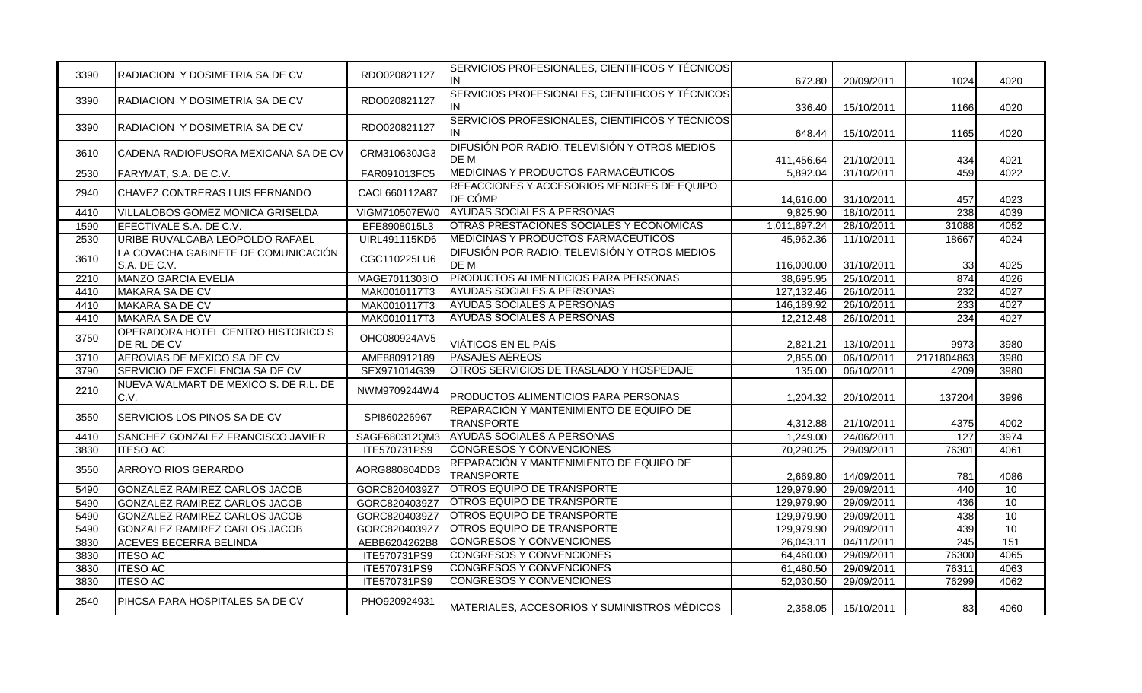| 3390 | RADIACION Y DOSIMETRIA SA DE CV                     | RDO020821127  | SERVICIOS PROFESIONALES, CIENTIFICOS Y TÉCNICOS<br>IN        | 672.80       | 20/09/2011 | 1024             | 4020 |
|------|-----------------------------------------------------|---------------|--------------------------------------------------------------|--------------|------------|------------------|------|
| 3390 | RADIACION Y DOSIMETRIA SA DE CV                     | RDO020821127  | SERVICIOS PROFESIONALES, CIENTIFICOS Y TÉCNICOS<br>IN.       | 336.40       | 15/10/2011 | 1166             | 4020 |
| 3390 | RADIACION Y DOSIMETRIA SA DE CV                     | RDO020821127  | SERVICIOS PROFESIONALES, CIENTIFICOS Y TÉCNICOS<br>IN        | 648.44       | 15/10/2011 | 1165             | 4020 |
| 3610 | CADENA RADIOFUSORA MEXICANA SA DE CV                | CRM310630JG3  | DIFUSIÓN POR RADIO, TELEVISIÓN Y OTROS MEDIOS<br>DE M        | 411,456.64   | 21/10/2011 | 434              | 4021 |
| 2530 | FARYMAT, S.A. DE C.V.                               | FAR091013FC5  | MEDICINAS Y PRODUCTOS FARMACÉUTICOS                          | 5,892.04     | 31/10/2011 | 459              | 4022 |
| 2940 | <b>CHAVEZ CONTRERAS LUIS FERNANDO</b>               | CACL660112A87 | REFACCIONES Y ACCESORIOS MENORES DE EQUIPO<br>DE CÓMP        | 14,616.00    | 31/10/2011 | 457              | 4023 |
| 4410 | VILLALOBOS GOMEZ MONICA GRISELDA                    | VIGM710507EW0 | <b>AYUDAS SOCIALES A PERSONAS</b>                            | 9.825.90     | 18/10/2011 | 238              | 4039 |
| 1590 | EFECTIVALE S.A. DE C.V.                             | EFE8908015L3  | OTRAS PRESTACIONES SOCIALES Y ECONÓMICAS                     | 1,011,897.24 | 28/10/2011 | 31088            | 4052 |
| 2530 | URIBE RUVALCABA LEOPOLDO RAFAEL                     | UIRL491115KD6 | MEDICINAS Y PRODUCTOS FARMACÉUTICOS                          | 45.962.36    | 11/10/2011 | 18667            | 4024 |
| 3610 | LA COVACHA GABINETE DE COMUNICACIÓN<br>S.A. DE C.V. | CGC110225LU6  | DIFUSIÓN POR RADIO, TELEVISIÓN Y OTROS MEDIOS<br>DE M        | 116,000.00   | 31/10/2011 | 33               | 4025 |
| 2210 | MANZO GARCIA EVELIA                                 | MAGE7011303IO | <b>PRODUCTOS ALIMENTICIOS PARA PERSONAS</b>                  | 38,695.95    | 25/10/2011 | 874              | 4026 |
| 4410 | MAKARA SA DE CV                                     | MAK0010117T3  | <b>AYUDAS SOCIALES A PERSONAS</b>                            | 127, 132. 46 | 26/10/2011 | 232              | 4027 |
| 4410 | <b>MAKARA SA DE CV</b>                              | MAK0010117T3  | <b>AYUDAS SOCIALES A PERSONAS</b>                            | 146,189.92   | 26/10/2011 | 233              | 4027 |
| 4410 | <b>MAKARA SA DE CV</b>                              | MAK0010117T3  | <b>AYUDAS SOCIALES A PERSONAS</b>                            | 12,212.48    | 26/10/2011 | 234              | 4027 |
| 3750 | OPERADORA HOTEL CENTRO HISTORICO S<br>DE RL DE CV   | OHC080924AV5  | VIÁTICOS EN EL PAÍS                                          | 2,821.21     | 13/10/2011 | 9973             | 3980 |
| 3710 | AEROVIAS DE MEXICO SA DE CV                         | AME880912189  | <b>PASAJES AEREOS</b>                                        | 2,855.00     | 06/10/2011 | 2171804863       | 3980 |
| 3790 | SERVICIO DE EXCELENCIA SA DE CV                     | SEX971014G39  | OTROS SERVICIOS DE TRASLADO Y HOSPEDAJE                      | 135.00       | 06/10/2011 | 4209             | 3980 |
| 2210 | NUEVA WALMART DE MEXICO S. DE R.L. DE<br>C.V.       | NWM9709244W4  | PRODUCTOS ALIMENTICIOS PARA PERSONAS                         | 1,204.32     | 20/10/2011 | 137204           | 3996 |
| 3550 | SERVICIOS LOS PINOS SA DE CV                        | SPI860226967  | REPARACIÓN Y MANTENIMIENTO DE EQUIPO DE<br><b>TRANSPORTE</b> | 4,312.88     | 21/10/2011 | 4375             | 4002 |
| 4410 | SANCHEZ GONZALEZ FRANCISCO JAVIER                   | SAGF680312QM3 | <b>AYUDAS SOCIALES A PERSONAS</b>                            | 1,249.00     | 24/06/2011 | 127              | 3974 |
| 3830 | <b>ITESO AC</b>                                     | ITE570731PS9  | <b>CONGRESOS Y CONVENCIONES</b>                              | 70,290.25    | 29/09/2011 | 76301            | 4061 |
| 3550 | ARROYO RIOS GERARDO                                 | AORG880804DD3 | REPARACIÓN Y MANTENIMIENTO DE EQUIPO DE<br><b>TRANSPORTE</b> | 2,669.80     | 14/09/2011 | 781              | 4086 |
| 5490 | GONZALEZ RAMIREZ CARLOS JACOB                       | GORC8204039Z7 | <b>OTROS EQUIPO DE TRANSPORTE</b>                            | 129,979.90   | 29/09/2011 | 440              | 10   |
| 5490 | GONZALEZ RAMIREZ CARLOS JACOB                       | GORC8204039Z7 | <b>OTROS EQUIPO DE TRANSPORTE</b>                            | 129,979.90   | 29/09/2011 | 436              | 10   |
| 5490 | <b>GONZALEZ RAMIREZ CARLOS JACOB</b>                | GORC8204039Z7 | <b>OTROS EQUIPO DE TRANSPORTE</b>                            | 129,979.90   | 29/09/2011 | 438              | 10   |
| 5490 | GONZALEZ RAMIREZ CARLOS JACOB                       | GORC8204039Z7 | <b>OTROS EQUIPO DE TRANSPORTE</b>                            | 129,979.90   | 29/09/2011 | 439              | 10   |
| 3830 | <b>ACEVES BECERRA BELINDA</b>                       | AEBB6204262B8 | <b>CONGRESOS Y CONVENCIONES</b>                              | 26,043.11    | 04/11/2011 | $\overline{245}$ | 151  |
| 3830 | <b>ITESO AC</b>                                     | ITE570731PS9  | CONGRESOS Y CONVENCIONES                                     | 64,460.00    | 29/09/2011 | 76300            | 4065 |
| 3830 | <b>ITESO AC</b>                                     | ITE570731PS9  | <b>CONGRESOS Y CONVENCIONES</b>                              | 61,480.50    | 29/09/2011 | 76311            | 4063 |
| 3830 | <b>ITESO AC</b>                                     | ITE570731PS9  | <b>CONGRESOS Y CONVENCIONES</b>                              | 52,030.50    | 29/09/2011 | 76299            | 4062 |
| 2540 | PIHCSA PARA HOSPITALES SA DE CV                     | PHO920924931  | MATERIALES, ACCESORIOS Y SUMINISTROS MÉDICOS                 | 2.358.05     | 15/10/2011 | 83               | 4060 |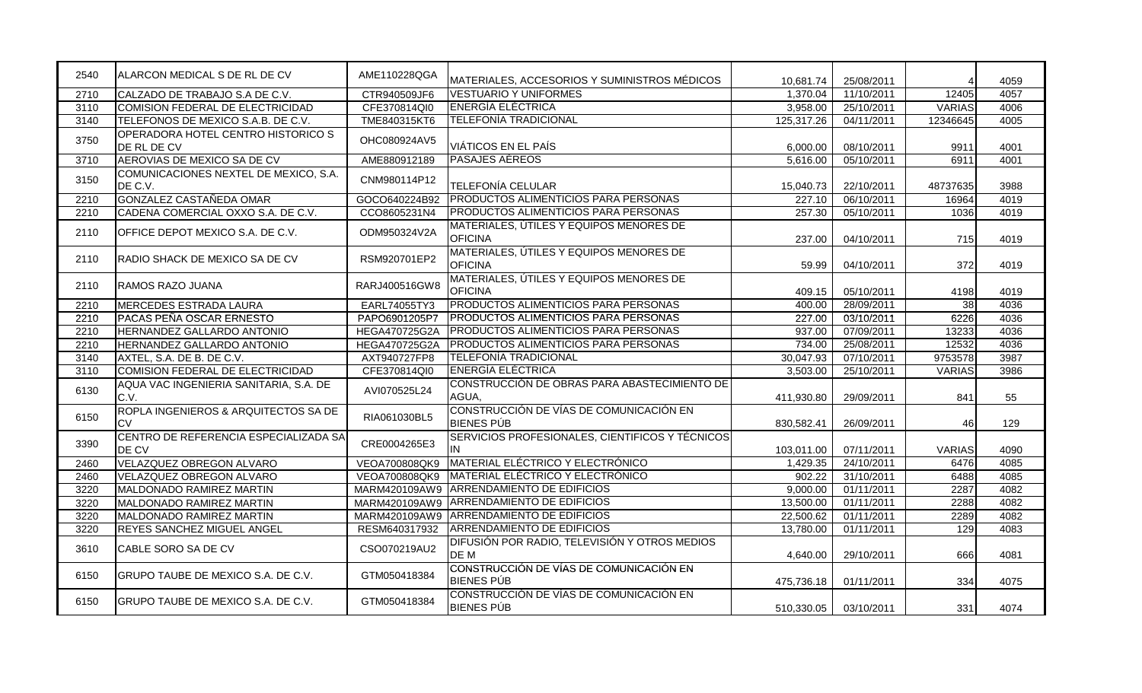| 2540 | ALARCON MEDICAL S DE RL DE CV                            | AME110228QGA         | MATERIALES, ACCESORIOS Y SUMINISTROS MÉDICOS                 | 10,681.74  | 25/08/2011 |                 | 4059 |
|------|----------------------------------------------------------|----------------------|--------------------------------------------------------------|------------|------------|-----------------|------|
| 2710 | CALZADO DE TRABAJO S.A DE C.V.                           | CTR940509JF6         | <b>VESTUARIO Y UNIFORMES</b>                                 | 1.370.04   | 11/10/2011 | 12405           | 4057 |
| 3110 | COMISION FEDERAL DE ELECTRICIDAD                         | CFE370814QI0         | <b>ENERGÍA ELÉCTRICA</b>                                     | 3,958.00   | 25/10/2011 | <b>VARIAS</b>   | 4006 |
| 3140 | TELEFONOS DE MEXICO S.A.B. DE C.V.                       | TME840315KT6         | <b>TELEFONÍA TRADICIONAL</b>                                 | 125,317.26 | 04/11/2011 | 12346645        | 4005 |
| 3750 | <b>OPERADORA HOTEL CENTRO HISTORICO S</b><br>DE RL DE CV | OHC080924AV5         | VIÁTICOS EN EL PAÍS                                          | 6,000.00   | 08/10/2011 | 9911            | 4001 |
| 3710 | AEROVIAS DE MEXICO SA DE CV                              | AME880912189         | PASAJES AÉREOS                                               | 5,616.00   | 05/10/2011 | 6911            | 4001 |
| 3150 | COMUNICACIONES NEXTEL DE MEXICO, S.A.<br>DE C.V.         | CNM980114P12         | TELEFONÍA CELULAR                                            | 15,040.73  | 22/10/2011 | 48737635        | 3988 |
| 2210 | GONZALEZ CASTAÑEDA OMAR                                  | GOCO640224B92        | PRODUCTOS ALIMENTICIOS PARA PERSONAS                         | 227.10     | 06/10/2011 | 16964           | 4019 |
| 2210 | CADENA COMERCIAL OXXO S.A. DE C.V.                       | CCO8605231N4         | PRODUCTOS ALIMENTICIOS PARA PERSONAS                         | 257.30     | 05/10/2011 | 1036            | 4019 |
| 2110 | OFFICE DEPOT MEXICO S.A. DE C.V.                         | ODM950324V2A         | MATERIALES, ÚTILES Y EQUIPOS MENORES DE<br><b>OFICINA</b>    | 237.00     | 04/10/2011 | 715             | 4019 |
| 2110 | RADIO SHACK DE MEXICO SA DE CV                           | RSM920701EP2         | MATERIALES, ÚTILES Y EQUIPOS MENORES DE<br><b>OFICINA</b>    | 59.99      | 04/10/2011 | 372             | 4019 |
| 2110 | RAMOS RAZO JUANA                                         | RARJ400516GW8        | MATERIALES, ÚTILES Y EQUIPOS MENORES DE<br><b>OFICINA</b>    | 409.15     | 05/10/2011 | 4198            | 4019 |
| 2210 | <b>MERCEDES ESTRADA LAURA</b>                            | EARL74055TY3         | PRODUCTOS ALIMENTICIOS PARA PERSONAS                         | 400.00     | 28/09/2011 | $\overline{38}$ | 4036 |
| 2210 | PACAS PEÑA OSCAR ERNESTO                                 | PAPO6901205P7        | PRODUCTOS ALIMENTICIOS PARA PERSONAS                         | 227.00     | 03/10/2011 | 6226            | 4036 |
| 2210 | HERNANDEZ GALLARDO ANTONIO                               | <b>HEGA470725G2A</b> | PRODUCTOS ALIMENTICIOS PARA PERSONAS                         | 937.00     | 07/09/2011 | 13233           | 4036 |
| 2210 | HERNANDEZ GALLARDO ANTONIO                               | <b>HEGA470725G2A</b> | PRODUCTOS ALIMENTICIOS PARA PERSONAS                         | 734.00     | 25/08/2011 | 12532           | 4036 |
| 3140 | AXTEL, S.A. DE B. DE C.V.                                | AXT940727FP8         | <b>TELEFONÍA TRADICIONAL</b>                                 | 30,047.93  | 07/10/2011 | 9753578         | 3987 |
| 3110 | COMISION FEDERAL DE ELECTRICIDAD                         | CFE370814QI0         | <b>ENERGIA ELECTRICA</b>                                     | 3,503.00   | 25/10/2011 | <b>VARIAS</b>   | 3986 |
| 6130 | AQUA VAC INGENIERIA SANITARIA, S.A. DE<br>C.V.           | AVI070525L24         | CONSTRUCCIÓN DE OBRAS PARA ABASTECIMIENTO DE<br>AGUA,        | 411,930.80 | 29/09/2011 | 841             | 55   |
| 6150 | ROPLA INGENIEROS & ARQUITECTOS SA DE<br><b>CV</b>        | RIA061030BL5         | CONSTRUCCIÓN DE VÍAS DE COMUNICACIÓN EN<br><b>BIENES PÚB</b> | 830,582.41 | 26/09/2011 | 46              | 129  |
| 3390 | CENTRO DE REFERENCIA ESPECIALIZADA SA<br>DE CV           | CRE0004265E3         | SERVICIOS PROFESIONALES, CIENTIFICOS Y TÉCNICOS<br>IN        | 103,011.00 | 07/11/2011 | <b>VARIAS</b>   | 4090 |
| 2460 | VELAZQUEZ OBREGON ALVARO                                 | VEOA700808QK9        | MATERIAL ELÉCTRICO Y ELECTRÓNICO                             | 1,429.35   | 24/10/2011 | 6476            | 4085 |
| 2460 | VELAZQUEZ OBREGON ALVARO                                 | VEOA700808QK9        | MATERIAL ELÉCTRICO Y ELECTRÓNICO                             | 902.22     | 31/10/2011 | 6488            | 4085 |
| 3220 | MALDONADO RAMIREZ MARTIN                                 | MARM420109AW9        | <b>ARRENDAMIENTO DE EDIFICIOS</b>                            | 9,000.00   | 01/11/2011 | 2287            | 4082 |
| 3220 | MALDONADO RAMIREZ MARTIN                                 | MARM420109AW9        | ARRENDAMIENTO DE EDIFICIOS                                   | 13,500.00  | 01/11/2011 | 2288            | 4082 |
| 3220 | MALDONADO RAMIREZ MARTIN                                 | MARM420109AW9        | <b>ARRENDAMIENTO DE EDIFICIOS</b>                            | 22,500.62  | 01/11/2011 | 2289            | 4082 |
| 3220 | REYES SANCHEZ MIGUEL ANGEL                               | RESM640317932        | <b>ARRENDAMIENTO DE EDIFICIOS</b>                            | 13,780.00  | 01/11/2011 | 129             | 4083 |
| 3610 | CABLE SORO SA DE CV                                      | CSO070219AU2         | DIFUSIÓN POR RADIO, TELEVISIÓN Y OTROS MEDIOS<br>DE M        | 4,640.00   | 29/10/2011 | 666             | 4081 |
| 6150 | GRUPO TAUBE DE MEXICO S.A. DE C.V.                       | GTM050418384         | CONSTRUCCIÓN DE VÍAS DE COMUNICACIÓN EN<br><b>BIENES PÚB</b> | 475,736.18 | 01/11/2011 | 334             | 4075 |
| 6150 | GRUPO TAUBE DE MEXICO S.A. DE C.V.                       | GTM050418384         | CONSTRUCCIÓN DE VÍAS DE COMUNICACIÓN EN<br><b>BIENES PÚB</b> | 510,330.05 | 03/10/2011 | 331             | 4074 |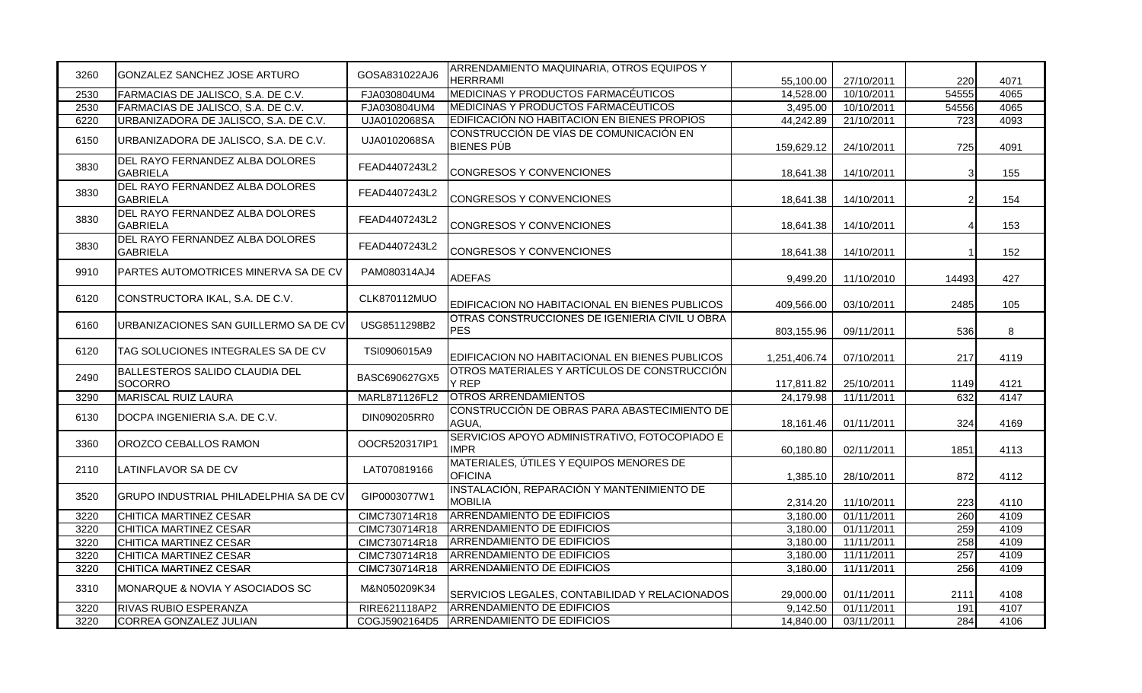| 3260 | GONZALEZ SANCHEZ JOSE ARTURO                       | GOSA831022AJ6 | ARRENDAMIENTO MAQUINARIA, OTROS EQUIPOS Y                    |              |            |                  |      |
|------|----------------------------------------------------|---------------|--------------------------------------------------------------|--------------|------------|------------------|------|
|      |                                                    |               | <b>HERRRAMI</b>                                              | 55,100.00    | 27/10/2011 | 220              | 4071 |
| 2530 | FARMACIAS DE JALISCO, S.A. DE C.V.                 | FJA030804UM4  | <b>MEDICINAS Y PRODUCTOS FARMACEUTICOS</b>                   | 14,528.00    | 10/10/2011 | 54555            | 4065 |
| 2530 | FARMACIAS DE JALISCO, S.A. DE C.V.                 | FJA030804UM4  | <b>MEDICINAS Y PRODUCTOS FARMACEUTICOS</b>                   | 3,495.00     | 10/10/2011 | 54556            | 4065 |
| 6220 | URBANIZADORA DE JALISCO, S.A. DE C.V.              | UJA0102068SA  | EDIFICACIÓN NO HABITACION EN BIENES PROPIOS                  | 44,242.89    | 21/10/2011 | $\overline{723}$ | 4093 |
| 6150 | URBANIZADORA DE JALISCO, S.A. DE C.V.              | UJA0102068SA  | CONSTRUCCIÓN DE VÍAS DE COMUNICACIÓN EN<br><b>BIENES PÚB</b> | 159,629.12   | 24/10/2011 | 725              | 4091 |
| 3830 | DEL RAYO FERNANDEZ ALBA DOLORES<br><b>GABRIELA</b> | FEAD4407243L2 | <b>CONGRESOS Y CONVENCIONES</b>                              | 18,641.38    | 14/10/2011 | 3                | 155  |
| 3830 | DEL RAYO FERNANDEZ ALBA DOLORES<br><b>GABRIELA</b> | FEAD4407243L2 | CONGRESOS Y CONVENCIONES                                     | 18,641.38    | 14/10/2011 | 2                | 154  |
| 3830 | DEL RAYO FERNANDEZ ALBA DOLORES<br><b>GABRIELA</b> | FEAD4407243L2 | CONGRESOS Y CONVENCIONES                                     | 18,641.38    | 14/10/2011 | Δ                | 153  |
| 3830 | DEL RAYO FERNANDEZ ALBA DOLORES<br><b>GABRIELA</b> | FEAD4407243L2 | CONGRESOS Y CONVENCIONES                                     | 18,641.38    | 14/10/2011 |                  | 152  |
| 9910 | PARTES AUTOMOTRICES MINERVA SA DE CV               | PAM080314AJ4  | <b>ADEFAS</b>                                                | 9,499.20     | 11/10/2010 | 14493            | 427  |
| 6120 | CONSTRUCTORA IKAL, S.A. DE C.V.                    | CLK870112MUO  | EDIFICACION NO HABITACIONAL EN BIENES PUBLICOS               | 409,566.00   | 03/10/2011 | 2485             | 105  |
| 6160 | URBANIZACIONES SAN GUILLERMO SA DE CV              | USG8511298B2  | OTRAS CONSTRUCCIONES DE IGENIERIA CIVIL U OBRA<br><b>PES</b> | 803,155.96   | 09/11/2011 | 536              | 8    |
| 6120 | TAG SOLUCIONES INTEGRALES SA DE CV                 | TSI0906015A9  | EDIFICACION NO HABITACIONAL EN BIENES PUBLICOS               | 1,251,406.74 | 07/10/2011 | 217              | 4119 |
| 2490 | BALLESTEROS SALIDO CLAUDIA DEL<br>SOCORRO          | BASC690627GX5 | OTROS MATERIALES Y ARTÍCULOS DE CONSTRUCCIÓN<br><b>Y REP</b> | 117,811.82   | 25/10/2011 | 1149             | 4121 |
| 3290 | <b>MARISCAL RUIZ LAURA</b>                         | MARL871126FL2 | <b>OTROS ARRENDAMIENTOS</b>                                  | 24,179.98    | 11/11/2011 | 632              | 4147 |
| 6130 | DOCPA INGENIERIA S.A. DE C.V.                      | DIN090205RR0  | CONSTRUCCIÓN DE OBRAS PARA ABASTECIMIENTO DE<br>AGUA.        | 18,161.46    | 01/11/2011 | 324              | 4169 |
| 3360 | OROZCO CEBALLOS RAMON                              | OOCR520317IP1 | SERVICIOS APOYO ADMINISTRATIVO, FOTOCOPIADO E<br><b>IMPR</b> | 60,180.80    | 02/11/2011 | 1851             | 4113 |
| 2110 | LATINFLAVOR SA DE CV                               | LAT070819166  | MATERIALES, ÚTILES Y EQUIPOS MENORES DE<br><b>OFICINA</b>    | 1,385.10     | 28/10/2011 | 872              | 4112 |
| 3520 | IGRUPO INDUSTRIAL PHILADELPHIA SA DE CV            | GIP0003077W1  | INSTALACIÓN, REPARACIÓN Y MANTENIMIENTO DE<br><b>MOBILIA</b> | 2,314.20     | 11/10/2011 | 223              | 4110 |
| 3220 | CHITICA MARTINEZ CESAR                             | CIMC730714R18 | <b>ARRENDAMIENTO DE EDIFICIOS</b>                            | 3,180.00     | 01/11/2011 | 260              | 4109 |
| 3220 | CHITICA MARTINEZ CESAR                             | CIMC730714R18 | ARRENDAMIENTO DE EDIFICIOS                                   | 3,180.00     | 01/11/2011 | 259              | 4109 |
| 3220 | CHITICA MARTINEZ CESAR                             | CIMC730714R18 | <b>ARRENDAMIENTO DE EDIFICIOS</b>                            | 3,180.00     | 11/11/2011 | 258              | 4109 |
| 3220 | CHITICA MARTINEZ CESAR                             | CIMC730714R18 | <b>ARRENDAMIENTO DE EDIFICIOS</b>                            | 3,180.00     | 11/11/2011 | 257              | 4109 |
| 3220 | CHITICA MARTINEZ CESAR                             | CIMC730714R18 | <b>ARRENDAMIENTO DE EDIFICIOS</b>                            | 3,180.00     | 11/11/2011 | 256              | 4109 |
| 3310 | MONARQUE & NOVIA Y ASOCIADOS SC                    | M&N050209K34  | SERVICIOS LEGALES, CONTABILIDAD Y RELACIONADOS               | 29,000.00    | 01/11/2011 | 2111             | 4108 |
| 3220 | <b>RIVAS RUBIO ESPERANZA</b>                       | RIRE621118AP2 | <b>ARRENDAMIENTO DE EDIFICIOS</b>                            | 9,142.50     | 01/11/2011 | 191              | 4107 |
| 3220 | CORREA GONZALEZ JULIAN                             | COGJ5902164D5 | ARRENDAMIENTO DE EDIFICIOS                                   | 14,840.00    | 03/11/2011 | 284              | 4106 |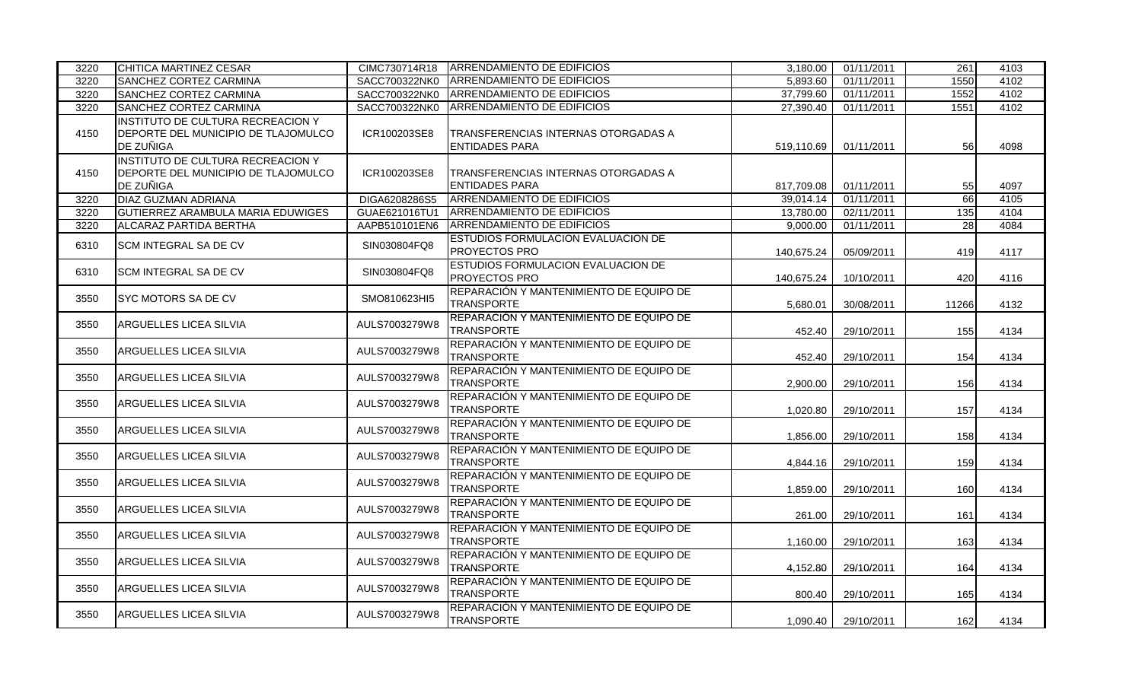| 3220 | CHITICA MARTINEZ CESAR                                                                       | CIMC730714R18 | <b>ARRENDAMIENTO DE EDIFICIOS</b>                            | 3,180.00   | 01/11/2011 | 261              | 4103 |
|------|----------------------------------------------------------------------------------------------|---------------|--------------------------------------------------------------|------------|------------|------------------|------|
| 3220 | <b>SANCHEZ CORTEZ CARMINA</b>                                                                | SACC700322NK0 | <b>ARRENDAMIENTO DE EDIFICIOS</b>                            | 5,893.60   | 01/11/2011 | 1550             | 4102 |
| 3220 | SANCHEZ CORTEZ CARMINA                                                                       | SACC700322NK0 | <b>ARRENDAMIENTO DE EDIFICIOS</b>                            | 37,799.60  | 01/11/2011 | 1552             | 4102 |
| 3220 | SANCHEZ CORTEZ CARMINA                                                                       | SACC700322NK0 | <b>ARRENDAMIENTO DE EDIFICIOS</b>                            | 27,390.40  | 01/11/2011 | 1551             | 4102 |
| 4150 | INSTITUTO DE CULTURA RECREACION Y<br>DEPORTE DEL MUNICIPIO DE TLAJOMULCO<br><b>DE ZUÑIGA</b> | ICR100203SE8  | TRANSFERENCIAS INTERNAS OTORGADAS A<br><b>ENTIDADES PARA</b> | 519,110.69 | 01/11/2011 | 56               | 4098 |
| 4150 | INSTITUTO DE CULTURA RECREACION Y<br>DEPORTE DEL MUNICIPIO DE TLAJOMULCO<br><b>DE ZUÑIGA</b> | ICR100203SE8  | TRANSFERENCIAS INTERNAS OTORGADAS A<br><b>ENTIDADES PARA</b> | 817.709.08 | 01/11/2011 | 55               | 4097 |
| 3220 | <b>DIAZ GUZMAN ADRIANA</b>                                                                   | DIGA6208286S5 | <b>ARRENDAMIENTO DE EDIFICIOS</b>                            | 39,014.14  | 01/11/2011 | 66               | 4105 |
| 3220 | GUTIERREZ ARAMBULA MARIA EDUWIGES                                                            | GUAE621016TU1 | ARRENDAMIENTO DE EDIFICIOS                                   | 13,780.00  | 02/11/2011 | $\overline{135}$ | 4104 |
| 3220 | <b>ALCARAZ PARTIDA BERTHA</b>                                                                | AAPB510101EN6 | <b>ARRENDAMIENTO DE EDIFICIOS</b>                            | 9.000.00   | 01/11/2011 | 28               | 4084 |
| 6310 | <b>SCM INTEGRAL SA DE CV</b>                                                                 | SIN030804FQ8  | ESTUDIOS FORMULACION EVALUACION DE<br>PROYECTOS PRO          | 140,675.24 | 05/09/2011 | 419              | 4117 |
| 6310 | <b>SCM INTEGRAL SA DE CV</b>                                                                 | SIN030804FQ8  | ESTUDIOS FORMULACION EVALUACION DE<br><b>PROYECTOS PRO</b>   | 140.675.24 | 10/10/2011 | 420              | 4116 |
| 3550 | <b>SYC MOTORS SA DE CV</b>                                                                   | SMO810623HI5  | REPARACIÓN Y MANTENIMIENTO DE EQUIPO DE<br><b>TRANSPORTE</b> | 5.680.01   | 30/08/2011 | 11266            | 4132 |
| 3550 | <b>ARGUELLES LICEA SILVIA</b>                                                                | AULS7003279W8 | REPARACIÓN Y MANTENIMIENTO DE EQUIPO DE<br><b>TRANSPORTE</b> | 452.40     | 29/10/2011 | 155              | 4134 |
| 3550 | IARGUELLES LICEA SILVIA                                                                      | AULS7003279W8 | REPARACIÓN Y MANTENIMIENTO DE EQUIPO DE<br><b>TRANSPORTE</b> | 452.40     | 29/10/2011 | 154              | 4134 |
| 3550 | <b>ARGUELLES LICEA SILVIA</b>                                                                | AULS7003279W8 | REPARACIÓN Y MANTENIMIENTO DE EQUIPO DE<br><b>TRANSPORTE</b> | 2.900.00   | 29/10/2011 | 156              | 4134 |
| 3550 | IARGUELLES LICEA SILVIA                                                                      | AULS7003279W8 | REPARACIÓN Y MANTENIMIENTO DE EQUIPO DE<br><b>TRANSPORTE</b> | 1.020.80   | 29/10/2011 | 157              | 4134 |
| 3550 | IARGUELLES LICEA SILVIA                                                                      | AULS7003279W8 | REPARACIÓN Y MANTENIMIENTO DE EQUIPO DE<br><b>TRANSPORTE</b> | 1,856.00   | 29/10/2011 | 158              | 4134 |
| 3550 | IARGUELLES LICEA SILVIA                                                                      | AULS7003279W8 | REPARACIÓN Y MANTENIMIENTO DE EQUIPO DE<br><b>TRANSPORTE</b> | 4,844.16   | 29/10/2011 | 159              | 4134 |
| 3550 | ARGUELLES LICEA SILVIA                                                                       | AULS7003279W8 | REPARACIÓN Y MANTENIMIENTO DE EQUIPO DE<br><b>TRANSPORTE</b> | 1,859.00   | 29/10/2011 | 160              | 4134 |
| 3550 | IARGUELLES LICEA SILVIA                                                                      | AULS7003279W8 | REPARACIÓN Y MANTENIMIENTO DE EQUIPO DE<br><b>TRANSPORTE</b> | 261.00     | 29/10/2011 | 161              | 4134 |
| 3550 | IARGUELLES LICEA SILVIA                                                                      | AULS7003279W8 | REPARACIÓN Y MANTENIMIENTO DE EQUIPO DE<br><b>TRANSPORTE</b> | 1,160.00   | 29/10/2011 | 163              | 4134 |
| 3550 | ARGUELLES LICEA SILVIA                                                                       | AULS7003279W8 | REPARACIÓN Y MANTENIMIENTO DE EQUIPO DE<br><b>TRANSPORTE</b> | 4,152.80   | 29/10/2011 | 164              | 4134 |
| 3550 | ARGUELLES LICEA SILVIA                                                                       | AULS7003279W8 | REPARACIÓN Y MANTENIMIENTO DE EQUIPO DE<br><b>TRANSPORTE</b> | 800.40     | 29/10/2011 | 165              | 4134 |
| 3550 | ARGUELLES LICEA SILVIA                                                                       | AULS7003279W8 | REPARACIÓN Y MANTENIMIENTO DE EQUIPO DE<br><b>TRANSPORTE</b> | 1,090.40   | 29/10/2011 | 162              | 4134 |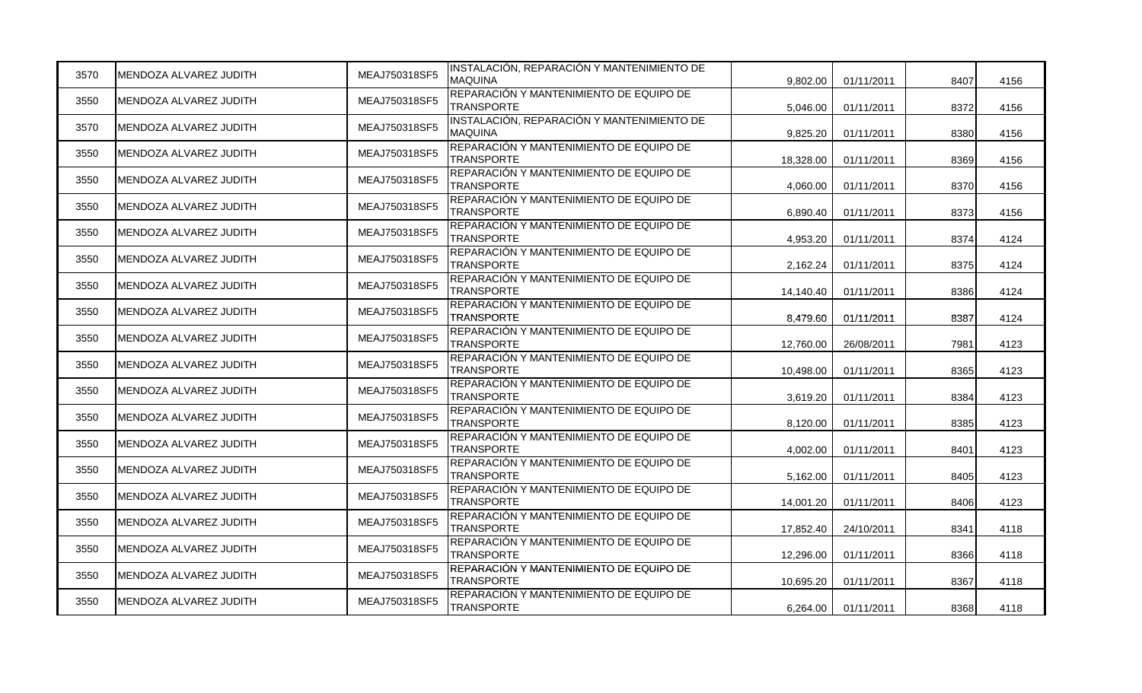| 3570 | MENDOZA ALVAREZ JUDITH | MEAJ750318SF5 | INSTALACIÓN, REPARACIÓN Y MANTENIMIENTO DE<br><b>MAQUINA</b> | 9,802.00  | 01/11/2011 | 8407 | 4156 |
|------|------------------------|---------------|--------------------------------------------------------------|-----------|------------|------|------|
| 3550 | MENDOZA ALVAREZ JUDITH | MEAJ750318SF5 | REPARACIÓN Y MANTENIMIENTO DE EQUIPO DE<br><b>TRANSPORTE</b> | 5,046.00  | 01/11/2011 | 8372 | 4156 |
| 3570 | MENDOZA ALVAREZ JUDITH | MEAJ750318SF5 | INSTALACIÓN, REPARACIÓN Y MANTENIMIENTO DE<br><b>MAQUINA</b> | 9.825.20  | 01/11/2011 | 8380 | 4156 |
| 3550 | MENDOZA ALVAREZ JUDITH | MEAJ750318SF5 | REPARACIÓN Y MANTENIMIENTO DE EQUIPO DE<br><b>TRANSPORTE</b> | 18,328.00 | 01/11/2011 | 8369 | 4156 |
| 3550 | MENDOZA ALVAREZ JUDITH | MEAJ750318SF5 | REPARACIÓN Y MANTENIMIENTO DE EQUIPO DE<br><b>TRANSPORTE</b> | 4,060.00  | 01/11/2011 | 8370 | 4156 |
| 3550 | MENDOZA ALVAREZ JUDITH | MEAJ750318SF5 | REPARACIÓN Y MANTENIMIENTO DE EQUIPO DE<br><b>TRANSPORTE</b> | 6,890.40  | 01/11/2011 | 8373 | 4156 |
| 3550 | MENDOZA ALVAREZ JUDITH | MEAJ750318SF5 | REPARACIÓN Y MANTENIMIENTO DE EQUIPO DE<br><b>TRANSPORTE</b> | 4,953.20  | 01/11/2011 | 8374 | 4124 |
| 3550 | MENDOZA ALVAREZ JUDITH | MEAJ750318SF5 | REPARACIÓN Y MANTENIMIENTO DE EQUIPO DE<br><b>TRANSPORTE</b> | 2,162.24  | 01/11/2011 | 8375 | 4124 |
| 3550 | MENDOZA ALVAREZ JUDITH | MEAJ750318SF5 | REPARACIÓN Y MANTENIMIENTO DE EQUIPO DE<br><b>TRANSPORTE</b> | 14,140.40 | 01/11/2011 | 8386 | 4124 |
| 3550 | MENDOZA ALVAREZ JUDITH | MEAJ750318SF5 | REPARACIÓN Y MANTENIMIENTO DE EQUIPO DE<br><b>TRANSPORTE</b> | 8,479.60  | 01/11/2011 | 8387 | 4124 |
| 3550 | MENDOZA ALVAREZ JUDITH | MEAJ750318SF5 | REPARACIÓN Y MANTENIMIENTO DE EQUIPO DE<br><b>TRANSPORTE</b> | 12,760.00 | 26/08/2011 | 7981 | 4123 |
| 3550 | MENDOZA ALVAREZ JUDITH | MEAJ750318SF5 | REPARACIÓN Y MANTENIMIENTO DE EQUIPO DE<br><b>TRANSPORTE</b> | 10,498.00 | 01/11/2011 | 8365 | 4123 |
| 3550 | MENDOZA ALVAREZ JUDITH | MEAJ750318SF5 | REPARACIÓN Y MANTENIMIENTO DE EQUIPO DE<br><b>TRANSPORTE</b> | 3,619.20  | 01/11/2011 | 8384 | 4123 |
| 3550 | MENDOZA ALVAREZ JUDITH | MEAJ750318SF5 | REPARACIÓN Y MANTENIMIENTO DE EQUIPO DE<br><b>TRANSPORTE</b> | 8,120.00  | 01/11/2011 | 8385 | 4123 |
| 3550 | MENDOZA ALVAREZ JUDITH | MEAJ750318SF5 | REPARACIÓN Y MANTENIMIENTO DE EQUIPO DE<br><b>TRANSPORTE</b> | 4,002.00  | 01/11/2011 | 8401 | 4123 |
| 3550 | MENDOZA ALVAREZ JUDITH | MEAJ750318SF5 | REPARACIÓN Y MANTENIMIENTO DE EQUIPO DE<br><b>TRANSPORTE</b> | 5,162.00  | 01/11/2011 | 8405 | 4123 |
| 3550 | MENDOZA ALVAREZ JUDITH | MEAJ750318SF5 | REPARACIÓN Y MANTENIMIENTO DE EQUIPO DE<br><b>TRANSPORTE</b> | 14,001.20 | 01/11/2011 | 8406 | 4123 |
| 3550 | MENDOZA ALVAREZ JUDITH | MEAJ750318SF5 | REPARACIÓN Y MANTENIMIENTO DE EQUIPO DE<br><b>TRANSPORTE</b> | 17,852.40 | 24/10/2011 | 8341 | 4118 |
| 3550 | MENDOZA ALVAREZ JUDITH | MEAJ750318SF5 | REPARACIÓN Y MANTENIMIENTO DE EQUIPO DE<br><b>TRANSPORTE</b> | 12,296.00 | 01/11/2011 | 8366 | 4118 |
| 3550 | MENDOZA ALVAREZ JUDITH | MEAJ750318SF5 | REPARACIÓN Y MANTENIMIENTO DE EQUIPO DE<br><b>TRANSPORTE</b> | 10,695.20 | 01/11/2011 | 8367 | 4118 |
| 3550 | MENDOZA ALVAREZ JUDITH | MEAJ750318SF5 | REPARACIÓN Y MANTENIMIENTO DE EQUIPO DE<br><b>TRANSPORTE</b> | 6,264.00  | 01/11/2011 | 8368 | 4118 |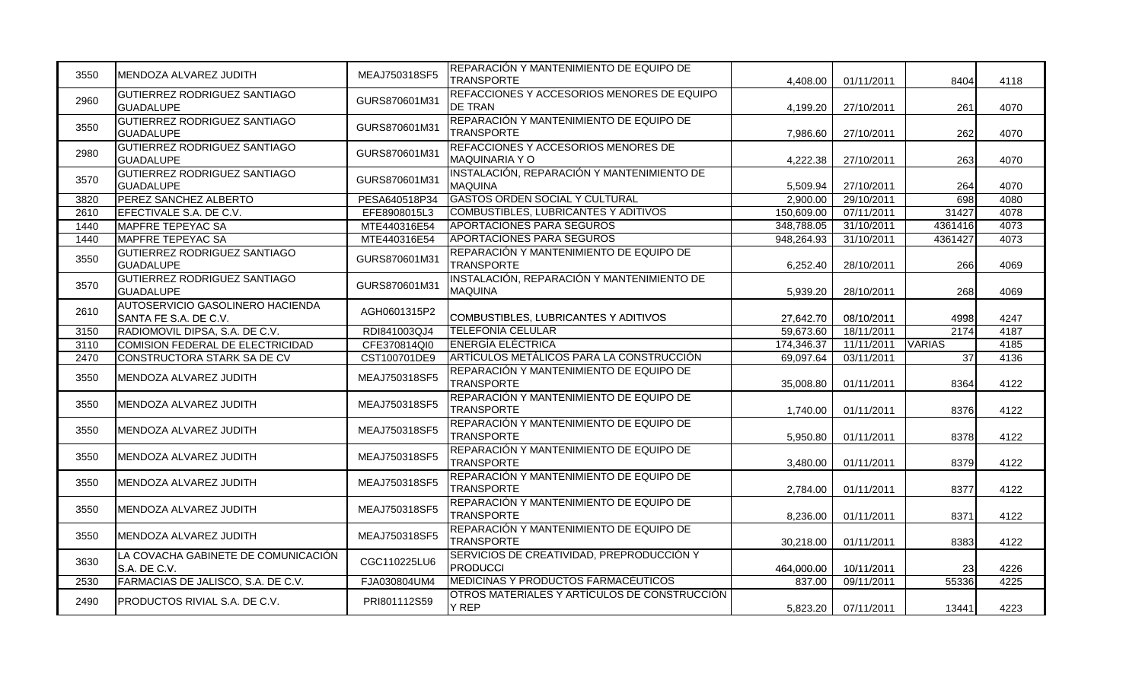| 3550 | IMENDOZA ALVAREZ JUDITH                                   | MEAJ750318SF5 | REPARACIÓN Y MANTENIMIENTO DE EQUIPO DE<br><b>TRANSPORTE</b> | 4,408.00   | 01/11/2011 | 8404          | 4118 |
|------|-----------------------------------------------------------|---------------|--------------------------------------------------------------|------------|------------|---------------|------|
| 2960 | <b>GUTIERREZ RODRIGUEZ SANTIAGO</b><br><b>GUADALUPE</b>   | GURS870601M31 | REFACCIONES Y ACCESORIOS MENORES DE EQUIPO<br><b>DE TRAN</b> | 4,199.20   | 27/10/2011 | 261           | 4070 |
| 3550 | GUTIERREZ RODRIGUEZ SANTIAGO<br><b>GUADALUPE</b>          | GURS870601M31 | REPARACIÓN Y MANTENIMIENTO DE EQUIPO DE<br><b>TRANSPORTE</b> | 7,986.60   | 27/10/2011 | 262           | 4070 |
| 2980 | GUTIERREZ RODRIGUEZ SANTIAGO<br><b>GUADALUPE</b>          | GURS870601M31 | REFACCIONES Y ACCESORIOS MENORES DE<br><b>MAQUINARIA Y O</b> | 4,222.38   | 27/10/2011 | 263           | 4070 |
| 3570 | <b>GUTIERREZ RODRIGUEZ SANTIAGO</b><br><b>GUADALUPE</b>   | GURS870601M31 | INSTALACIÓN, REPARACIÓN Y MANTENIMIENTO DE<br><b>MAQUINA</b> | 5,509.94   | 27/10/2011 | 264           | 4070 |
| 3820 | PEREZ SANCHEZ ALBERTO                                     | PESA640518P34 | <b>GASTOS ORDEN SOCIAL Y CULTURAL</b>                        | 2,900.00   | 29/10/2011 | 698           | 4080 |
| 2610 | EFECTIVALE S.A. DE C.V.                                   | EFE8908015L3  | <b>COMBUSTIBLES, LUBRICANTES Y ADITIVOS</b>                  | 150,609.00 | 07/11/2011 | 31427         | 4078 |
| 1440 | MAPFRE TEPEYAC SA                                         | MTE440316E54  | APORTACIONES PARA SEGUROS                                    | 348,788.05 | 31/10/2011 | 4361416       | 4073 |
| 1440 | MAPFRE TEPEYAC SA                                         | MTE440316E54  | APORTACIONES PARA SEGUROS                                    | 948,264.93 | 31/10/2011 | 4361427       | 4073 |
| 3550 | <b>GUTIERREZ RODRIGUEZ SANTIAGO</b><br><b>GUADALUPE</b>   | GURS870601M31 | REPARACIÓN Y MANTENIMIENTO DE EQUIPO DE<br><b>TRANSPORTE</b> | 6,252.40   | 28/10/2011 | 266           | 4069 |
| 3570 | GUTIERREZ RODRIGUEZ SANTIAGO<br><b>GUADALUPE</b>          | GURS870601M31 | INSTALACIÓN, REPARACIÓN Y MANTENIMIENTO DE<br><b>MAQUINA</b> | 5,939.20   | 28/10/2011 | 268           | 4069 |
| 2610 | AUTOSERVICIO GASOLINERO HACIENDA<br>SANTA FE S.A. DE C.V. | AGH0601315P2  | COMBUSTIBLES, LUBRICANTES Y ADITIVOS                         | 27,642.70  | 08/10/2011 | 4998          | 4247 |
| 3150 | RADIOMOVIL DIPSA, S.A. DE C.V.                            | RDI841003QJ4  | TELEFONIA CELULAR                                            | 59,673.60  | 18/11/2011 | 2174          | 4187 |
| 3110 | COMISION FEDERAL DE ELECTRICIDAD                          | CFE370814QI0  | <b>ENERGIA ELECTRICA</b>                                     | 174,346.37 | 11/11/2011 | <b>VARIAS</b> | 4185 |
| 2470 | CONSTRUCTORA STARK SA DE CV                               | CST100701DE9  | ARTÍCULOS METÁLICOS PARA LA CONSTRUCCIÓN                     | 69,097.64  | 03/11/2011 | 37            | 4136 |
| 3550 | MENDOZA ALVAREZ JUDITH                                    | MEAJ750318SF5 | REPARACIÓN Y MANTENIMIENTO DE EQUIPO DE<br><b>TRANSPORTE</b> | 35,008.80  | 01/11/2011 | 8364          | 4122 |
| 3550 | MENDOZA ALVAREZ JUDITH                                    | MEAJ750318SF5 | REPARACIÓN Y MANTENIMIENTO DE EQUIPO DE<br><b>TRANSPORTE</b> | 1.740.00   | 01/11/2011 | 8376          | 4122 |
| 3550 | MENDOZA ALVAREZ JUDITH                                    | MEAJ750318SF5 | REPARACIÓN Y MANTENIMIENTO DE EQUIPO DE<br><b>TRANSPORTE</b> | 5,950.80   | 01/11/2011 | 8378          | 4122 |
| 3550 | MENDOZA ALVAREZ JUDITH                                    | MEAJ750318SF5 | REPARACIÓN Y MANTENIMIENTO DE EQUIPO DE<br><b>TRANSPORTE</b> | 3,480.00   | 01/11/2011 | 8379          | 4122 |
| 3550 | MENDOZA ALVAREZ JUDITH                                    | MEAJ750318SF5 | REPARACIÓN Y MANTENIMIENTO DE EQUIPO DE<br><b>TRANSPORTE</b> | 2,784.00   | 01/11/2011 | 8377          | 4122 |
| 3550 | IMENDOZA ALVAREZ JUDITH                                   | MEAJ750318SF5 | REPARACIÓN Y MANTENIMIENTO DE EQUIPO DE<br><b>TRANSPORTE</b> | 8,236.00   | 01/11/2011 | 8371          | 4122 |
| 3550 | MENDOZA ALVAREZ JUDITH                                    | MEAJ750318SF5 | REPARACIÓN Y MANTENIMIENTO DE EQUIPO DE<br><b>TRANSPORTE</b> | 30,218.00  | 01/11/2011 | 8383          | 4122 |
| 3630 | LA COVACHA GABINETE DE COMUNICACIÓN<br>IS.A. DE C.V.      | CGC110225LU6  | SERVICIOS DE CREATIVIDAD, PREPRODUCCIÓN Y<br><b>PRODUCCI</b> | 464.000.00 | 10/11/2011 | 23            | 4226 |
| 2530 | FARMACIAS DE JALISCO, S.A. DE C.V.                        | FJA030804UM4  | <b>MEDICINAS Y PRODUCTOS FARMACÉUTICOS</b>                   | 837.00     | 09/11/2011 | 55336         | 4225 |
| 2490 | <b>PRODUCTOS RIVIAL S.A. DE C.V.</b>                      | PRI801112S59  | OTROS MATERIALES Y ARTÍCULOS DE CONSTRUCCIÓN<br>Y REP        | 5,823.20   | 07/11/2011 | 13441         | 4223 |
|      |                                                           |               |                                                              |            |            |               |      |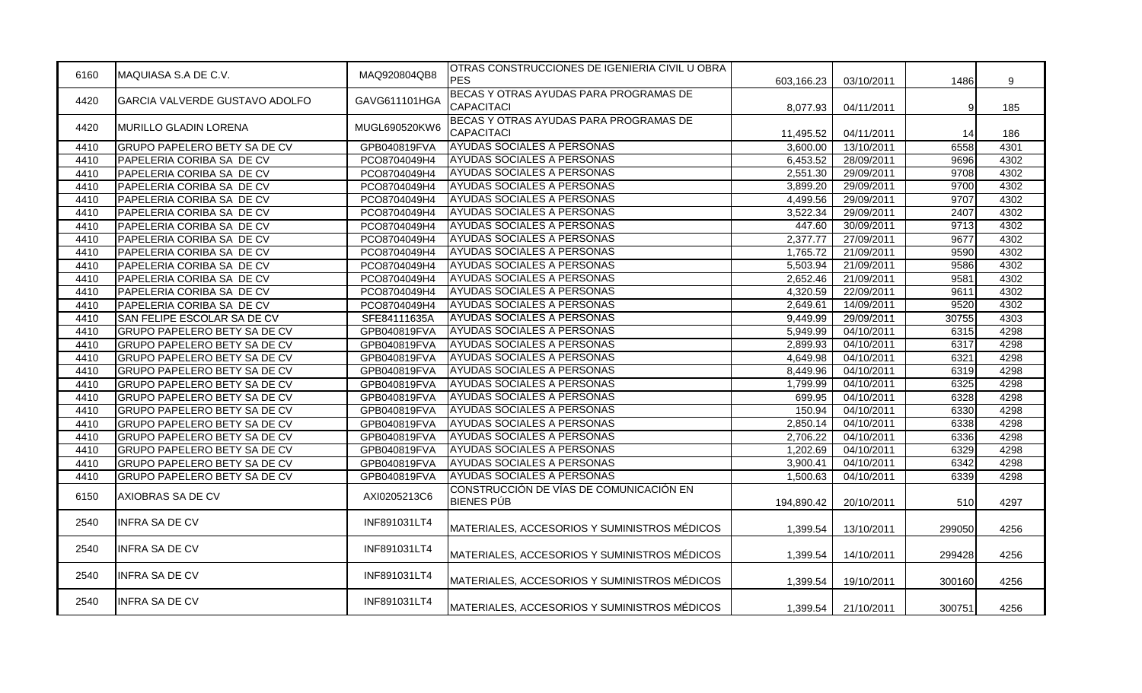| 6160 | MAQUIASA S.A DE C.V.                  | MAQ920804QB8  | OTRAS CONSTRUCCIONES DE IGENIERIA CIVIL U OBRA<br><b>PES</b> | 603,166.23 | 03/10/2011 | 1486   | 9    |
|------|---------------------------------------|---------------|--------------------------------------------------------------|------------|------------|--------|------|
| 4420 | <b>GARCIA VALVERDE GUSTAVO ADOLFO</b> | GAVG611101HGA | BECAS Y OTRAS AYUDAS PARA PROGRAMAS DE<br>CAPACITACI         | 8,077.93   | 04/11/2011 | 9      | 185  |
| 4420 | MURILLO GLADIN LORENA                 | MUGL690520KW6 | BECAS Y OTRAS AYUDAS PARA PROGRAMAS DE<br>CAPACITACI         | 11,495.52  | 04/11/2011 | 14     | 186  |
| 4410 | <b>GRUPO PAPELERO BETY SA DE CV</b>   | GPB040819FVA  | AYUDAS SOCIALES A PERSONAS                                   | 3,600.00   | 13/10/2011 | 6558   | 4301 |
| 4410 | PAPELERIA CORIBA SA DE CV             | PCO8704049H4  | AYUDAS SOCIALES A PERSONAS                                   | 6,453.52   | 28/09/2011 | 9696   | 4302 |
| 4410 | PAPELERIA CORIBA SA DE CV             | PCO8704049H4  | AYUDAS SOCIALES A PERSONAS                                   | 2,551.30   | 29/09/2011 | 9708   | 4302 |
| 4410 | PAPELERIA CORIBA SA DE CV             | PCO8704049H4  | AYUDAS SOCIALES A PERSONAS                                   | 3,899.20   | 29/09/2011 | 9700   | 4302 |
| 4410 | PAPELERIA CORIBA SA DE CV             | PCO8704049H4  | AYUDAS SOCIALES A PERSONAS                                   | 4,499.56   | 29/09/2011 | 9707   | 4302 |
| 4410 | PAPELERIA CORIBA SA DE CV             | PCO8704049H4  | AYUDAS SOCIALES A PERSONAS                                   | 3,522.34   | 29/09/2011 | 2407   | 4302 |
| 4410 | PAPELERIA CORIBA SA DE CV             | PCO8704049H4  | AYUDAS SOCIALES A PERSONAS                                   | 447.60     | 30/09/2011 | 9713   | 4302 |
| 4410 | PAPELERIA CORIBA SA DE CV             | PCO8704049H4  | <b>AYUDAS SOCIALES A PERSONAS</b>                            | 2,377.77   | 27/09/2011 | 9677   | 4302 |
| 4410 | PAPELERIA CORIBA SA DE CV             | PCO8704049H4  | AYUDAS SOCIALES A PERSONAS                                   | 1,765.72   | 21/09/2011 | 9590   | 4302 |
| 4410 | PAPELERIA CORIBA SA DE CV             | PCO8704049H4  | AYUDAS SOCIALES A PERSONAS                                   | 5,503.94   | 21/09/2011 | 9586   | 4302 |
| 4410 | PAPELERIA CORIBA SA DE CV             | PCO8704049H4  | <b>AYUDAS SOCIALES A PERSONAS</b>                            | 2,652.46   | 21/09/2011 | 9581   | 4302 |
| 4410 | PAPELERIA CORIBA SA DE CV             | PCO8704049H4  | AYUDAS SOCIALES A PERSONAS                                   | 4,320.59   | 22/09/2011 | 9611   | 4302 |
| 4410 | PAPELERIA CORIBA SA DE CV             | PCO8704049H4  | <b>AYUDAS SOCIALES A PERSONAS</b>                            | 2,649.61   | 14/09/2011 | 9520   | 4302 |
| 4410 | SAN FELIPE ESCOLAR SA DE CV           | SFE84111635A  | AYUDAS SOCIALES A PERSONAS                                   | 9,449.99   | 29/09/2011 | 30755  | 4303 |
| 4410 | <b>GRUPO PAPELERO BETY SA DE CV</b>   | GPB040819FVA  | AYUDAS SOCIALES A PERSONAS                                   | 5,949.99   | 04/10/2011 | 6315   | 4298 |
| 4410 | <b>GRUPO PAPELERO BETY SA DE CV</b>   | GPB040819FVA  | AYUDAS SOCIALES A PERSONAS                                   | 2,899.93   | 04/10/2011 | 6317   | 4298 |
| 4410 | <b>GRUPO PAPELERO BETY SA DE CV</b>   | GPB040819FVA  | <b>AYUDAS SOCIALES A PERSONAS</b>                            | 4,649.98   | 04/10/2011 | 6321   | 4298 |
| 4410 | <b>GRUPO PAPELERO BETY SA DE CV</b>   | GPB040819FVA  | AYUDAS SOCIALES A PERSONAS                                   | 8,449.96   | 04/10/2011 | 6319   | 4298 |
| 4410 | <b>GRUPO PAPELERO BETY SA DE CV</b>   | GPB040819FVA  | AYUDAS SOCIALES A PERSONAS                                   | 1,799.99   | 04/10/2011 | 6325   | 4298 |
| 4410 | <b>GRUPO PAPELERO BETY SA DE CV</b>   | GPB040819FVA  | AYUDAS SOCIALES A PERSONAS                                   | 699.95     | 04/10/2011 | 6328   | 4298 |
| 4410 | <b>GRUPO PAPELERO BETY SA DE CV</b>   | GPB040819FVA  | AYUDAS SOCIALES A PERSONAS                                   | 150.94     | 04/10/2011 | 6330   | 4298 |
| 4410 | <b>GRUPO PAPELERO BETY SA DE CV</b>   | GPB040819FVA  | AYUDAS SOCIALES A PERSONAS                                   | 2,850.14   | 04/10/2011 | 6338   | 4298 |
| 4410 | <b>GRUPO PAPELERO BETY SA DE CV</b>   | GPB040819FVA  | AYUDAS SOCIALES A PERSONAS                                   | 2,706.22   | 04/10/2011 | 6336   | 4298 |
| 4410 | <b>GRUPO PAPELERO BETY SA DE CV</b>   | GPB040819FVA  | AYUDAS SOCIALES A PERSONAS                                   | 1,202.69   | 04/10/2011 | 6329   | 4298 |
| 4410 | <b>GRUPO PAPELERO BETY SA DE CV</b>   | GPB040819FVA  | AYUDAS SOCIALES A PERSONAS                                   | 3,900.41   | 04/10/2011 | 6342   | 4298 |
| 4410 | <b>GRUPO PAPELERO BETY SA DE CV</b>   | GPB040819FVA  | AYUDAS SOCIALES A PERSONAS                                   | 1,500.63   | 04/10/2011 | 6339   | 4298 |
| 6150 | AXIOBRAS SA DE CV                     | AXI0205213C6  | CONSTRUCCIÓN DE VÍAS DE COMUNICACIÓN EN<br><b>BIENES PÚB</b> | 194,890.42 | 20/10/2011 | 510    | 4297 |
| 2540 | <b>INFRA SA DE CV</b>                 | INF891031LT4  | MATERIALES, ACCESORIOS Y SUMINISTROS MÉDICOS                 | 1,399.54   | 13/10/2011 | 299050 | 4256 |
| 2540 | <b>INFRA SA DE CV</b>                 | INF891031LT4  | MATERIALES, ACCESORIOS Y SUMINISTROS MÉDICOS                 | 1,399.54   | 14/10/2011 | 299428 | 4256 |
| 2540 | <b>INFRA SA DE CV</b>                 | INF891031LT4  | MATERIALES, ACCESORIOS Y SUMINISTROS MÉDICOS                 | 1,399.54   | 19/10/2011 | 300160 | 4256 |
| 2540 | <b>INFRA SA DE CV</b>                 | INF891031LT4  | MATERIALES, ACCESORIOS Y SUMINISTROS MÉDICOS                 | 1,399.54   | 21/10/2011 | 300751 | 4256 |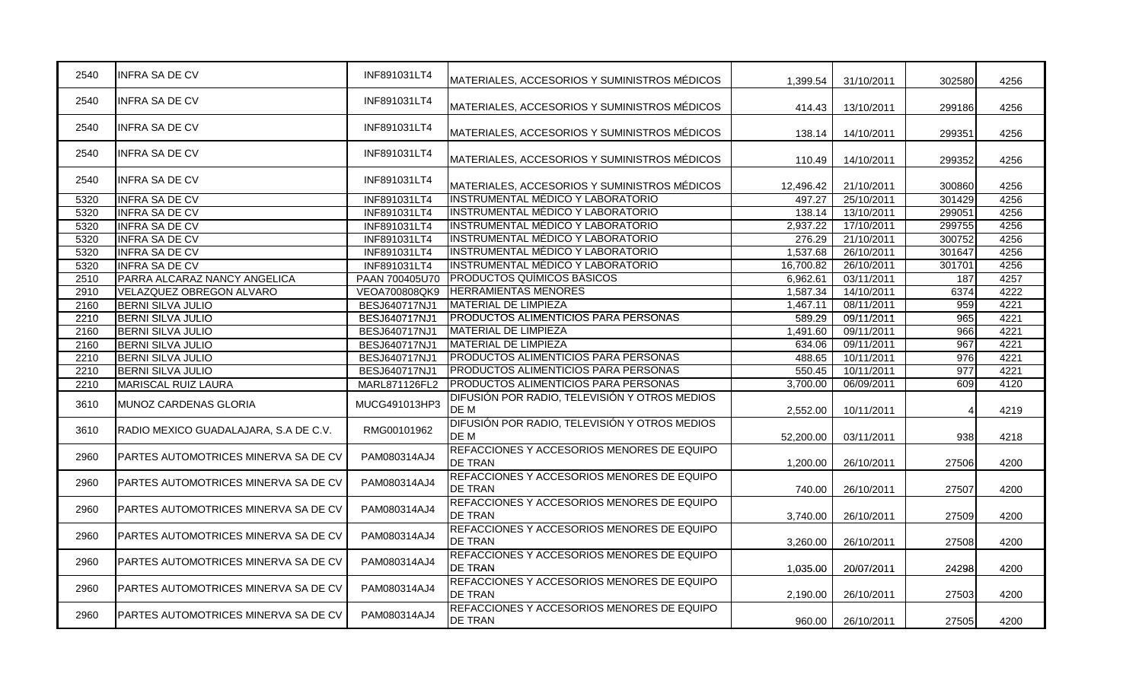| 2540 | <b>INFRA SA DE CV</b>                 | INF891031LT4   | IMATERIALES. ACCESORIOS Y SUMINISTROS MÉDICOS                | 1,399.54  | 31/10/2011 | 302580 | 4256 |
|------|---------------------------------------|----------------|--------------------------------------------------------------|-----------|------------|--------|------|
| 2540 | <b>INFRA SA DE CV</b>                 | INF891031LT4   | MATERIALES, ACCESORIOS Y SUMINISTROS MÉDICOS                 | 414.43    | 13/10/2011 | 299186 | 4256 |
| 2540 | <b>INFRA SA DE CV</b>                 | INF891031LT4   | MATERIALES, ACCESORIOS Y SUMINISTROS MÉDICOS                 | 138.14    | 14/10/2011 | 299351 | 4256 |
| 2540 | INFRA SA DE CV                        | INF891031LT4   | MATERIALES, ACCESORIOS Y SUMINISTROS MÉDICOS                 | 110.49    | 14/10/2011 | 299352 | 4256 |
| 2540 | <b>INFRA SA DE CV</b>                 | INF891031LT4   | MATERIALES, ACCESORIOS Y SUMINISTROS MÉDICOS                 | 12,496.42 | 21/10/2011 | 300860 | 4256 |
| 5320 | <b>INFRA SA DE CV</b>                 | INF891031LT4   | <b>INSTRUMENTAL MÉDICO Y LABORATORIO</b>                     | 497.27    | 25/10/2011 | 301429 | 4256 |
| 5320 | <b>INFRA SA DE CV</b>                 | INF891031LT4   | <b>INSTRUMENTAL MÉDICO Y LABORATORIO</b>                     | 138.14    | 13/10/2011 | 299051 | 4256 |
| 5320 | <b>INFRA SA DE CV</b>                 | INF891031LT4   | <b>INSTRUMENTAL MÉDICO Y LABORATORIO</b>                     | 2,937.22  | 17/10/2011 | 299755 | 4256 |
| 5320 | <b>INFRA SA DE CV</b>                 | INF891031LT4   | IINSTRUMENTAL MÉDICO Y LABORATORIO                           | 276.29    | 21/10/2011 | 300752 | 4256 |
| 5320 | <b>INFRA SA DE CV</b>                 | INF891031LT4   | <b>INSTRUMENTAL MÉDICO Y LABORATORIO</b>                     | 1,537.68  | 26/10/2011 | 301647 | 4256 |
| 5320 | <b>INFRA SA DE CV</b>                 | INF891031LT4   | <b>INSTRUMENTAL MÉDICO Y LABORATORIO</b>                     | 16,700.82 | 26/10/2011 | 301701 | 4256 |
| 2510 | PARRA ALCARAZ NANCY ANGELICA          | PAAN 700405U70 | <b>PRODUCTOS QUÍMICOS BÁSICOS</b>                            | 6,962.61  | 03/11/2011 | 187    | 4257 |
| 2910 | VELAZQUEZ OBREGON ALVARO              | VEOA700808QK9  | <b>HERRAMIENTAS MENORES</b>                                  | 1,587.34  | 14/10/2011 | 6374   | 4222 |
| 2160 | <b>BERNI SILVA JULIO</b>              | BESJ640717NJ1  | <b>MATERIAL DE LIMPIEZA</b>                                  | 1,467.11  | 08/11/2011 | 959    | 4221 |
| 2210 | <b>BERNI SILVA JULIO</b>              | BESJ640717NJ1  | <b>PRODUCTOS ALIMENTICIOS PARA PERSONAS</b>                  | 589.29    | 09/11/2011 | 965    | 4221 |
| 2160 | <b>BERNI SILVA JULIO</b>              | BESJ640717NJ1  | <b>MATERIAL DE LIMPIEZA</b>                                  | 1.491.60  | 09/11/2011 | 966    | 4221 |
| 2160 | <b>BERNI SILVA JULIO</b>              | BESJ640717NJ1  | <b>MATERIAL DE LIMPIEZA</b>                                  | 634.06    | 09/11/2011 | 967    | 4221 |
| 2210 | <b>BERNI SILVA JULIO</b>              | BESJ640717NJ1  | <b>PRODUCTOS ALIMENTICIOS PARA PERSONAS</b>                  | 488.65    | 10/11/2011 | 976    | 4221 |
| 2210 | <b>BERNI SILVA JULIO</b>              | BESJ640717NJ1  | <b>PRODUCTOS ALIMENTICIOS PARA PERSONAS</b>                  | 550.45    | 10/11/2011 | 977    | 4221 |
| 2210 | <b>MARISCAL RUIZ LAURA</b>            | MARL871126FL2  | <b>PRODUCTOS ALIMENTICIOS PARA PERSONAS</b>                  | 3,700.00  | 06/09/2011 | 609    | 4120 |
| 3610 | MUNOZ CARDENAS GLORIA                 | MUCG491013HP3  | DIFUSIÓN POR RADIO, TELEVISIÓN Y OTROS MEDIOS<br>DE M        | 2,552.00  | 10/11/2011 |        | 4219 |
| 3610 | RADIO MEXICO GUADALAJARA. S.A DE C.V. | RMG00101962    | DIFUSIÓN POR RADIO, TELEVISIÓN Y OTROS MEDIOS<br>DE M        | 52,200.00 | 03/11/2011 | 938    | 4218 |
| 2960 | PARTES AUTOMOTRICES MINERVA SA DE CV  | PAM080314AJ4   | REFACCIONES Y ACCESORIOS MENORES DE EQUIPO<br>DE TRAN        | 1,200.00  | 26/10/2011 | 27506  | 4200 |
| 2960 | PARTES AUTOMOTRICES MINERVA SA DE CV  | PAM080314AJ4   | REFACCIONES Y ACCESORIOS MENORES DE EQUIPO<br>DE TRAN        | 740.00    | 26/10/2011 | 27507  | 4200 |
| 2960 | PARTES AUTOMOTRICES MINERVA SA DE CV  | PAM080314AJ4   | REFACCIONES Y ACCESORIOS MENORES DE EQUIPO<br><b>DE TRAN</b> | 3,740.00  | 26/10/2011 | 27509  | 4200 |
| 2960 | PARTES AUTOMOTRICES MINERVA SA DE CV  | PAM080314AJ4   | REFACCIONES Y ACCESORIOS MENORES DE EQUIPO<br>DE TRAN        | 3,260.00  | 26/10/2011 | 27508  | 4200 |
| 2960 | PARTES AUTOMOTRICES MINERVA SA DE CV  | PAM080314AJ4   | REFACCIONES Y ACCESORIOS MENORES DE EQUIPO<br><b>DE TRAN</b> | 1,035.00  | 20/07/2011 | 24298  | 4200 |
| 2960 | PARTES AUTOMOTRICES MINERVA SA DE CV  | PAM080314AJ4   | REFACCIONES Y ACCESORIOS MENORES DE EQUIPO<br><b>DE TRAN</b> | 2,190.00  | 26/10/2011 | 27503  | 4200 |
| 2960 | PARTES AUTOMOTRICES MINERVA SA DE CV  | PAM080314AJ4   | REFACCIONES Y ACCESORIOS MENORES DE EQUIPO<br><b>DE TRAN</b> | 960.00    | 26/10/2011 | 27505  | 4200 |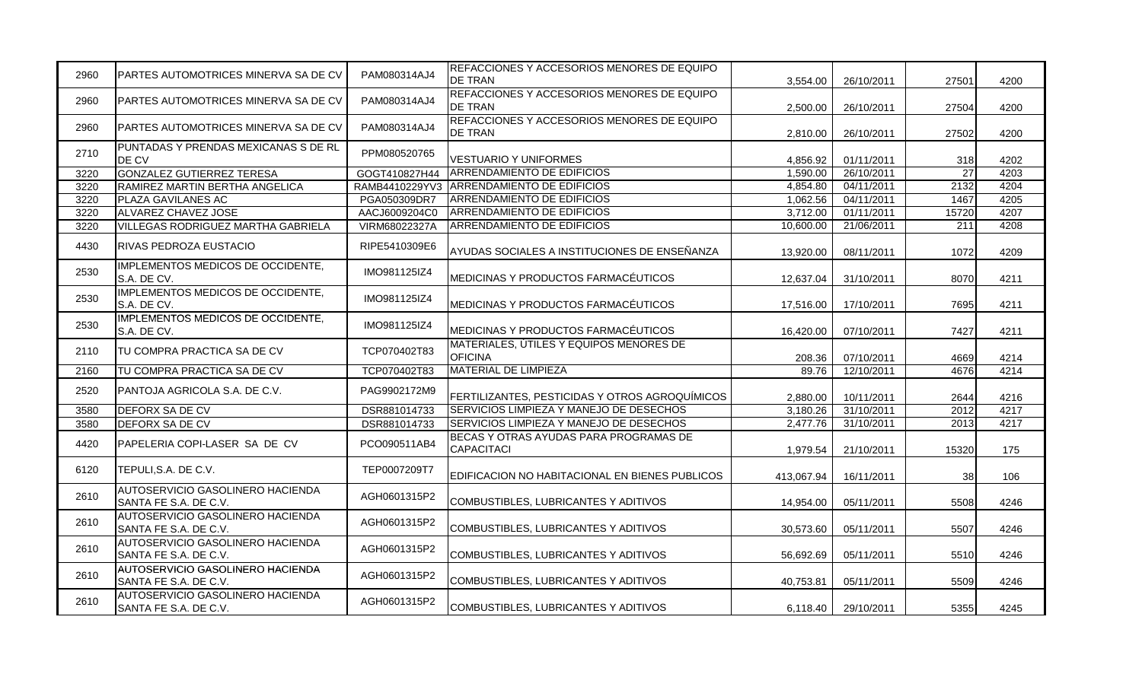| 2960 | IPARTES AUTOMOTRICES MINERVA SA DE CV                            | PAM080314AJ4   | REFACCIONES Y ACCESORIOS MENORES DE EQUIPO<br><b>DE TRAN</b> | 3,554.00   | 26/10/2011 | 27501            | 4200 |
|------|------------------------------------------------------------------|----------------|--------------------------------------------------------------|------------|------------|------------------|------|
| 2960 | PARTES AUTOMOTRICES MINERVA SA DE CV                             | PAM080314AJ4   | REFACCIONES Y ACCESORIOS MENORES DE EQUIPO<br><b>DE TRAN</b> | 2,500.00   | 26/10/2011 | 27504            | 4200 |
| 2960 | IPARTES AUTOMOTRICES MINERVA SA DE CV                            | PAM080314AJ4   | REFACCIONES Y ACCESORIOS MENORES DE EQUIPO<br><b>DE TRAN</b> | 2.810.00   | 26/10/2011 | 27502            | 4200 |
| 2710 | PUNTADAS Y PRENDAS MEXICANAS S DE RL<br>DE CV                    | PPM080520765   | <b>VESTUARIO Y UNIFORMES</b>                                 | 4,856.92   | 01/11/2011 | 318              | 4202 |
| 3220 | GONZALEZ GUTIERREZ TERESA                                        | GOGT410827H44  | <b>ARRENDAMIENTO DE EDIFICIOS</b>                            | 1,590.00   | 26/10/2011 | $\overline{27}$  | 4203 |
| 3220 | RAMIREZ MARTIN BERTHA ANGELICA                                   | RAMB4410229YV3 | <b>ARRENDAMIENTO DE EDIFICIOS</b>                            | 4,854.80   | 04/11/2011 | 2132             | 4204 |
| 3220 | PLAZA GAVILANES AC                                               | PGA050309DR7   | <b>ARRENDAMIENTO DE EDIFICIOS</b>                            | 1,062.56   | 04/11/2011 | 1467             | 4205 |
| 3220 | ALVAREZ CHAVEZ JOSE                                              | AACJ6009204C0  | ARRENDAMIENTO DE EDIFICIOS                                   | 3,712.00   | 01/11/2011 | 15720            | 4207 |
| 3220 | <b>VILLEGAS RODRIGUEZ MARTHA GABRIELA</b>                        | VIRM68022327A  | <b>ARRENDAMIENTO DE EDIFICIOS</b>                            | 10,600.00  | 21/06/2011 | $\overline{211}$ | 4208 |
| 4430 | IRIVAS PEDROZA EUSTACIO                                          | RIPE5410309E6  | AYUDAS SOCIALES A INSTITUCIONES DE ENSEÑANZA                 | 13,920.00  | 08/11/2011 | 1072             | 4209 |
| 2530 | IMPLEMENTOS MEDICOS DE OCCIDENTE,<br>S.A. DE CV.                 | IMO981125IZ4   | MEDICINAS Y PRODUCTOS FARMACÉUTICOS                          | 12,637.04  | 31/10/2011 | 8070             | 4211 |
| 2530 | IMPLEMENTOS MEDICOS DE OCCIDENTE,<br>S.A. DE CV.                 | IMO981125IZ4   | MEDICINAS Y PRODUCTOS FARMACÉUTICOS                          | 17,516.00  | 17/10/2011 | 7695             | 4211 |
| 2530 | IMPLEMENTOS MEDICOS DE OCCIDENTE,<br>S.A. DE CV.                 | IMO981125IZ4   | MEDICINAS Y PRODUCTOS FARMACÉUTICOS                          | 16,420.00  | 07/10/2011 | 7427             | 4211 |
| 2110 | TU COMPRA PRACTICA SA DE CV                                      | TCP070402T83   | MATERIALES, ÚTILES Y EQUIPOS MENORES DE<br><b>OFICINA</b>    | 208.36     | 07/10/2011 | 4669             | 4214 |
| 2160 | TU COMPRA PRACTICA SA DE CV                                      | TCP070402T83   | <b>MATERIAL DE LIMPIEZA</b>                                  | 89.76      | 12/10/2011 | 4676             | 4214 |
| 2520 | PANTOJA AGRICOLA S.A. DE C.V.                                    | PAG9902172M9   | FERTILIZANTES, PESTICIDAS Y OTROS AGROQUÍMICOS               | 2.880.00   | 10/11/2011 | 2644             | 4216 |
| 3580 | <b>DEFORX SA DE CV</b>                                           | DSR881014733   | SERVICIOS LIMPIEZA Y MANEJO DE DESECHOS                      | 3,180.26   | 31/10/2011 | 2012             | 4217 |
| 3580 | <b>DEFORX SA DE CV</b>                                           | DSR881014733   | SERVICIOS LIMPIEZA Y MANEJO DE DESECHOS                      | 2,477.76   | 31/10/2011 | 2013             | 4217 |
| 4420 | PAPELERIA COPI-LASER SA DE CV                                    | PCO090511AB4   | BECAS Y OTRAS AYUDAS PARA PROGRAMAS DE<br><b>CAPACITACI</b>  | 1,979.54   | 21/10/2011 | 15320            | 175  |
| 6120 | TEPULI, S.A. DE C.V.                                             | TEP0007209T7   | EDIFICACION NO HABITACIONAL EN BIENES PUBLICOS               | 413,067.94 | 16/11/2011 | 38               | 106  |
| 2610 | AUTOSERVICIO GASOLINERO HACIENDA<br>SANTA FE S.A. DE C.V.        | AGH0601315P2   | COMBUSTIBLES, LUBRICANTES Y ADITIVOS                         | 14,954.00  | 05/11/2011 | 5508             | 4246 |
| 2610 | AUTOSERVICIO GASOLINERO HACIENDA<br>SANTA FE S.A. DE C.V.        | AGH0601315P2   | COMBUSTIBLES, LUBRICANTES Y ADITIVOS                         | 30,573.60  | 05/11/2011 | 5507             | 4246 |
| 2610 | AUTOSERVICIO GASOLINERO HACIENDA<br>SANTA FE S.A. DE C.V.        | AGH0601315P2   | COMBUSTIBLES, LUBRICANTES Y ADITIVOS                         | 56,692.69  | 05/11/2011 | 5510             | 4246 |
| 2610 | <b>AUTOSERVICIO GASOLINERO HACIENDA</b><br>SANTA FE S.A. DE C.V. | AGH0601315P2   | COMBUSTIBLES, LUBRICANTES Y ADITIVOS                         | 40,753.81  | 05/11/2011 | 5509             | 4246 |
| 2610 | AUTOSERVICIO GASOLINERO HACIENDA<br>SANTA FE S.A. DE C.V.        | AGH0601315P2   | COMBUSTIBLES, LUBRICANTES Y ADITIVOS                         | 6,118.40   | 29/10/2011 | 5355             | 4245 |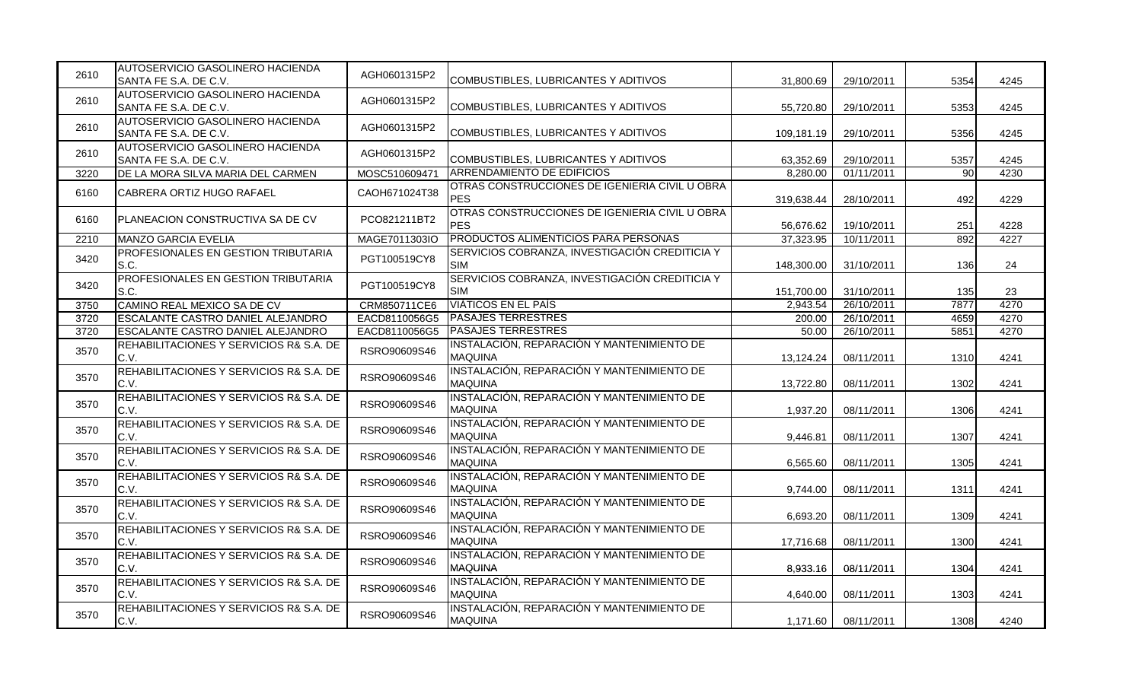| 2610 | AUTOSERVICIO GASOLINERO HACIENDA<br>SANTA FE S.A. DE C.V. | AGH0601315P2  | COMBUSTIBLES, LUBRICANTES Y ADITIVOS                         | 31,800.69  | 29/10/2011 | 5354 | 4245 |
|------|-----------------------------------------------------------|---------------|--------------------------------------------------------------|------------|------------|------|------|
| 2610 | AUTOSERVICIO GASOLINERO HACIENDA<br>SANTA FE S.A. DE C.V. | AGH0601315P2  | COMBUSTIBLES, LUBRICANTES Y ADITIVOS                         | 55,720.80  | 29/10/2011 | 5353 | 4245 |
| 2610 | AUTOSERVICIO GASOLINERO HACIENDA<br>SANTA FE S.A. DE C.V. | AGH0601315P2  | COMBUSTIBLES, LUBRICANTES Y ADITIVOS                         | 109,181.19 | 29/10/2011 | 5356 | 4245 |
| 2610 | AUTOSERVICIO GASOLINERO HACIENDA<br>SANTA FE S.A. DE C.V. | AGH0601315P2  | COMBUSTIBLES, LUBRICANTES Y ADITIVOS                         | 63,352.69  | 29/10/2011 | 5357 | 4245 |
| 3220 | DE LA MORA SILVA MARIA DEL CARMEN                         | MOSC510609471 | <b>ARRENDAMIENTO DE EDIFICIOS</b>                            | 8,280.00   | 01/11/2011 | 90   | 4230 |
| 6160 | CABRERA ORTIZ HUGO RAFAEL                                 | CAOH671024T38 | OTRAS CONSTRUCCIONES DE IGENIERIA CIVIL U OBRA<br><b>PES</b> | 319,638.44 | 28/10/2011 | 492  | 4229 |
| 6160 | PLANEACION CONSTRUCTIVA SA DE CV                          | PCO821211BT2  | OTRAS CONSTRUCCIONES DE IGENIERIA CIVIL U OBRA<br><b>PES</b> | 56,676.62  | 19/10/2011 | 251  | 4228 |
| 2210 | MANZO GARCIA EVELIA                                       | MAGE7011303IO | PRODUCTOS ALIMENTICIOS PARA PERSONAS                         | 37,323.95  | 10/11/2011 | 892  | 4227 |
| 3420 | <b>PROFESIONALES EN GESTION TRIBUTARIA</b><br>S.C.        | PGT100519CY8  | SERVICIOS COBRANZA, INVESTIGACIÓN CREDITICIA Y<br><b>SIM</b> | 148,300.00 | 31/10/2011 | 136  | 24   |
| 3420 | <b>PROFESIONALES EN GESTION TRIBUTARIA</b><br>IS.C.       | PGT100519CY8  | SERVICIOS COBRANZA, INVESTIGACIÓN CREDITICIA Y<br><b>SIM</b> | 151,700.00 | 31/10/2011 | 135  | 23   |
| 3750 | CAMINO REAL MEXICO SA DE CV                               | CRM850711CE6  | <b>VIATICOS EN EL PAÍS</b>                                   | 2,943.54   | 26/10/2011 | 7877 | 4270 |
| 3720 | <b>ESCALANTE CASTRO DANIEL ALEJANDRO</b>                  | EACD8110056G5 | <b>PASAJES TERRESTRES</b>                                    | 200.00     | 26/10/2011 | 4659 | 4270 |
| 3720 | <b>ESCALANTE CASTRO DANIEL ALEJANDRO</b>                  | EACD8110056G5 | <b>PASAJES TERRESTRES</b>                                    | 50.00      | 26/10/2011 | 5851 | 4270 |
| 3570 | REHABILITACIONES Y SERVICIOS R& S.A. DE<br>C.V.           | RSRO90609S46  | INSTALACIÓN, REPARACIÓN Y MANTENIMIENTO DE<br><b>MAQUINA</b> | 13,124.24  | 08/11/2011 | 1310 | 4241 |
| 3570 | REHABILITACIONES Y SERVICIOS R& S.A. DE<br>C.V.           | RSRO90609S46  | INSTALACIÓN, REPARACIÓN Y MANTENIMIENTO DE<br><b>MAQUINA</b> | 13,722.80  | 08/11/2011 | 1302 | 4241 |
| 3570 | REHABILITACIONES Y SERVICIOS R& S.A. DE<br>C.V.           | RSRO90609S46  | INSTALACIÓN, REPARACIÓN Y MANTENIMIENTO DE<br><b>MAQUINA</b> | 1,937.20   | 08/11/2011 | 1306 | 4241 |
| 3570 | REHABILITACIONES Y SERVICIOS R& S.A. DE<br>C.V.           | RSRO90609S46  | INSTALACIÓN, REPARACIÓN Y MANTENIMIENTO DE<br><b>MAQUINA</b> | 9,446.81   | 08/11/2011 | 1307 | 4241 |
| 3570 | REHABILITACIONES Y SERVICIOS R& S.A. DE<br>C.V.           | RSRO90609S46  | INSTALACIÓN, REPARACIÓN Y MANTENIMIENTO DE<br><b>MAQUINA</b> | 6,565.60   | 08/11/2011 | 1305 | 4241 |
| 3570 | REHABILITACIONES Y SERVICIOS R& S.A. DE<br>C.V.           | RSRO90609S46  | INSTALACIÓN, REPARACIÓN Y MANTENIMIENTO DE<br><b>MAQUINA</b> | 9,744.00   | 08/11/2011 | 1311 | 4241 |
| 3570 | REHABILITACIONES Y SERVICIOS R& S.A. DE<br>C.V.           | RSRO90609S46  | INSTALACIÓN, REPARACIÓN Y MANTENIMIENTO DE<br><b>MAQUINA</b> | 6,693.20   | 08/11/2011 | 1309 | 4241 |
| 3570 | REHABILITACIONES Y SERVICIOS R& S.A. DE<br>C.V.           | RSRO90609S46  | INSTALACIÓN, REPARACIÓN Y MANTENIMIENTO DE<br><b>MAQUINA</b> | 17,716.68  | 08/11/2011 | 1300 | 4241 |
| 3570 | REHABILITACIONES Y SERVICIOS R& S.A. DE<br>C.V.           | RSRO90609S46  | INSTALACIÓN, REPARACIÓN Y MANTENIMIENTO DE<br><b>MAQUINA</b> | 8,933.16   | 08/11/2011 | 1304 | 4241 |
| 3570 | REHABILITACIONES Y SERVICIOS R& S.A. DE<br>C.V.           | RSRO90609S46  | INSTALACIÓN, REPARACIÓN Y MANTENIMIENTO DE<br><b>MAQUINA</b> | 4,640.00   | 08/11/2011 | 1303 | 4241 |
| 3570 | REHABILITACIONES Y SERVICIOS R& S.A. DE<br>C.V.           | RSRO90609S46  | INSTALACIÓN, REPARACIÓN Y MANTENIMIENTO DE<br><b>MAQUINA</b> | 1,171.60   | 08/11/2011 | 1308 | 4240 |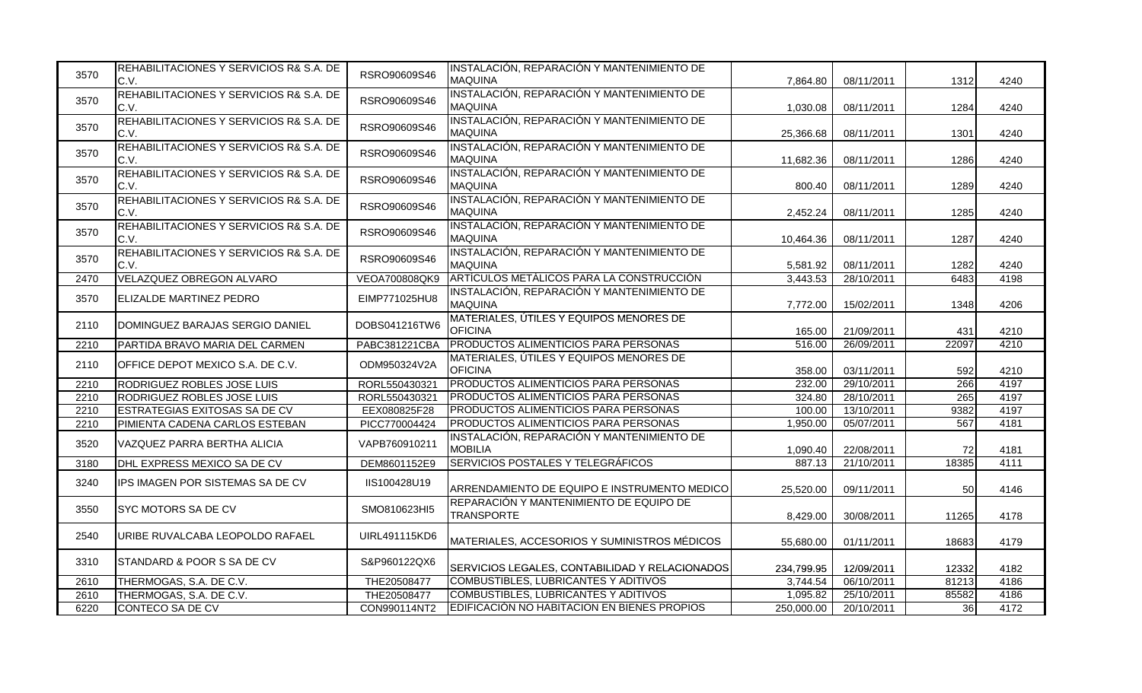| 3570 | REHABILITACIONES Y SERVICIOS R& S.A. DE<br>C.V. | RSRO90609S46  | INSTALACIÓN, REPARACIÓN Y MANTENIMIENTO DE<br><b>MAQUINA</b> | 7,864.80   | 08/11/2011 | 1312  | 4240 |
|------|-------------------------------------------------|---------------|--------------------------------------------------------------|------------|------------|-------|------|
| 3570 | REHABILITACIONES Y SERVICIOS R& S.A. DE<br>C.V. | RSRO90609S46  | INSTALACIÓN, REPARACIÓN Y MANTENIMIENTO DE<br><b>MAQUINA</b> | 1,030.08   | 08/11/2011 | 1284  | 4240 |
| 3570 | REHABILITACIONES Y SERVICIOS R& S.A. DE<br>C.V. | RSRO90609S46  | INSTALACIÓN, REPARACIÓN Y MANTENIMIENTO DE<br><b>MAQUINA</b> | 25.366.68  | 08/11/2011 | 1301  | 4240 |
| 3570 | REHABILITACIONES Y SERVICIOS R& S.A. DE<br>C.V. | RSRO90609S46  | INSTALACIÓN, REPARACIÓN Y MANTENIMIENTO DE<br><b>MAQUINA</b> | 11,682.36  | 08/11/2011 | 1286  | 4240 |
| 3570 | REHABILITACIONES Y SERVICIOS R& S.A. DE<br>C.V. | RSRO90609S46  | INSTALACIÓN, REPARACIÓN Y MANTENIMIENTO DE<br><b>MAQUINA</b> | 800.40     | 08/11/2011 | 1289  | 4240 |
| 3570 | REHABILITACIONES Y SERVICIOS R& S.A. DE<br>C.V. | RSRO90609S46  | INSTALACIÓN, REPARACIÓN Y MANTENIMIENTO DE<br><b>MAQUINA</b> | 2,452.24   | 08/11/2011 | 1285  | 4240 |
| 3570 | REHABILITACIONES Y SERVICIOS R& S.A. DE<br>C.V. | RSRO90609S46  | INSTALACIÓN, REPARACIÓN Y MANTENIMIENTO DE<br><b>MAQUINA</b> | 10,464.36  | 08/11/2011 | 1287  | 4240 |
| 3570 | REHABILITACIONES Y SERVICIOS R& S.A. DE<br>C.V. | RSRO90609S46  | INSTALACIÓN, REPARACIÓN Y MANTENIMIENTO DE<br><b>MAQUINA</b> | 5,581.92   | 08/11/2011 | 1282  | 4240 |
| 2470 | VELAZQUEZ OBREGON ALVARO                        | VEOA700808QK9 | ARTÍCULOS METÁLICOS PARA LA CONSTRUCCIÓN                     | 3,443.53   | 28/10/2011 | 6483  | 4198 |
| 3570 | ELIZALDE MARTINEZ PEDRO                         | EIMP771025HU8 | INSTALACIÓN, REPARACIÓN Y MANTENIMIENTO DE<br><b>MAQUINA</b> | 7,772.00   | 15/02/2011 | 1348  | 4206 |
| 2110 | DOMINGUEZ BARAJAS SERGIO DANIEL                 | DOBS041216TW6 | MATERIALES, ÚTILES Y EQUIPOS MENORES DE<br><b>OFICINA</b>    | 165.00     | 21/09/2011 | 431   | 4210 |
| 2210 | PARTIDA BRAVO MARIA DEL CARMEN                  | PABC381221CBA | PRODUCTOS ALIMENTICIOS PARA PERSONAS                         | 516.00     | 26/09/2011 | 22097 | 4210 |
| 2110 | OFFICE DEPOT MEXICO S.A. DE C.V.                | ODM950324V2A  | MATERIALES, ÚTILES Y EQUIPOS MENORES DE<br><b>OFICINA</b>    | 358.00     | 03/11/2011 | 592   | 4210 |
| 2210 | RODRIGUEZ ROBLES JOSE LUIS                      | RORL550430321 | PRODUCTOS ALIMENTICIOS PARA PERSONAS                         | 232.00     | 29/10/2011 | 266   | 4197 |
| 2210 | RODRIGUEZ ROBLES JOSE LUIS                      | RORL550430321 | PRODUCTOS ALIMENTICIOS PARA PERSONAS                         | 324.80     | 28/10/2011 | 265   | 4197 |
| 2210 | ESTRATEGIAS EXITOSAS SA DE CV                   | EEX080825F28  | PRODUCTOS ALIMENTICIOS PARA PERSONAS                         | 100.00     | 13/10/2011 | 9382  | 4197 |
| 2210 | PIMIENTA CADENA CARLOS ESTEBAN                  | PICC770004424 | PRODUCTOS ALIMENTICIOS PARA PERSONAS                         | 1,950.00   | 05/07/2011 | 567   | 4181 |
| 3520 | VAZQUEZ PARRA BERTHA ALICIA                     | VAPB760910211 | INSTALACIÓN, REPARACIÓN Y MANTENIMIENTO DE<br><b>MOBILIA</b> | 1,090.40   | 22/08/2011 | 72    | 4181 |
| 3180 | DHL EXPRESS MEXICO SA DE CV                     | DEM8601152E9  | SERVICIOS POSTALES Y TELEGRÁFICOS                            | 887.13     | 21/10/2011 | 18385 | 4111 |
| 3240 | IPS IMAGEN POR SISTEMAS SA DE CV                | IIS100428U19  | ARRENDAMIENTO DE EQUIPO E INSTRUMENTO MEDICO                 | 25,520.00  | 09/11/2011 | 50    | 4146 |
| 3550 | SYC MOTORS SA DE CV                             | SMO810623HI5  | REPARACIÓN Y MANTENIMIENTO DE EQUIPO DE<br><b>TRANSPORTE</b> | 8,429.00   | 30/08/2011 | 11265 | 4178 |
| 2540 | URIBE RUVALCABA LEOPOLDO RAFAEL                 | UIRL491115KD6 | MATERIALES, ACCESORIOS Y SUMINISTROS MÉDICOS                 | 55,680.00  | 01/11/2011 | 18683 | 4179 |
| 3310 | STANDARD & POOR S SA DE CV                      | S&P960122QX6  | SERVICIOS LEGALES, CONTABILIDAD Y RELACIONADOS               | 234,799.95 | 12/09/2011 | 12332 | 4182 |
| 2610 | THERMOGAS, S.A. DE C.V.                         | THE20508477   | COMBUSTIBLES, LUBRICANTES Y ADITIVOS                         | 3,744.54   | 06/10/2011 | 81213 | 4186 |
| 2610 | THERMOGAS, S.A. DE C.V.                         | THE20508477   | <b>COMBUSTIBLES, LUBRICANTES Y ADITIVOS</b>                  | 1,095.82   | 25/10/2011 | 85582 | 4186 |
| 6220 | CONTECO SA DE CV                                | CON990114NT2  | EDIFICACIÓN NO HABITACION EN BIENES PROPIOS                  | 250,000.00 | 20/10/2011 | 36    | 4172 |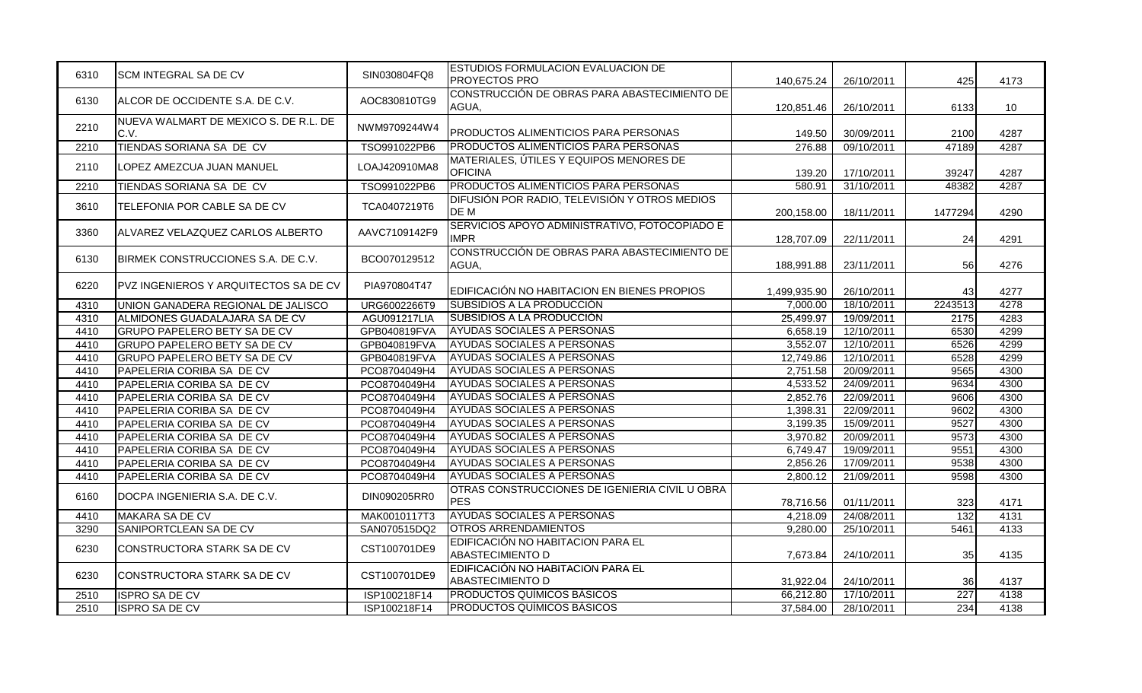| AOC830810TG9<br>6130<br>ALCOR DE OCCIDENTE S.A. DE C.V.<br>AGUA,<br>26/10/2011<br>6133<br>10 <sup>°</sup><br>120,851.46<br>NUEVA WALMART DE MEXICO S. DE R.L. DE<br>2210<br>NWM9709244W4<br>C.V.<br>PRODUCTOS ALIMENTICIOS PARA PERSONAS<br>30/09/2011<br>4287<br>149.50<br>2100<br><b>PRODUCTOS ALIMENTICIOS PARA PERSONAS</b><br>TIENDAS SORIANA SA DE CV<br>09/10/2011<br>47189<br>4287<br>TSO991022PB6<br>276.88<br>2210<br>MATERIALES, ÚTILES Y EQUIPOS MENORES DE<br>2110<br>LOPEZ AMEZCUA JUAN MANUEL<br>LOAJ420910MA8<br><b>OFICINA</b><br>139.20<br>17/10/2011<br>39247<br>4287<br><b>PRODUCTOS ALIMENTICIOS PARA PERSONAS</b><br>580.91<br>31/10/2011<br>48382<br>4287<br>TSO991022PB6<br>2210<br>TIENDAS SORIANA SA DE CV<br>DIFUSIÓN POR RADIO, TELEVISIÓN Y OTROS MEDIOS<br>TCA0407219T6<br>3610<br>TELEFONIA POR CABLE SA DE CV<br>DE M<br>200,158.00<br>18/11/2011<br>1477294<br>4290<br>SERVICIOS APOYO ADMINISTRATIVO, FOTOCOPIADO E<br>3360<br>ALVAREZ VELAZQUEZ CARLOS ALBERTO<br>AAVC7109142F9<br><b>IMPR</b><br>24<br>4291<br>128,707.09<br>22/11/2011<br>CONSTRUCCIÓN DE OBRAS PARA ABASTECIMIENTO DE<br>BCO070129512<br>BIRMEK CONSTRUCCIONES S.A. DE C.V.<br>6130<br>AGUA,<br>23/11/2011<br>56<br>4276<br>188,991.88<br>6220<br>PVZ INGENIEROS Y ARQUITECTOS SA DE CV<br>PIA970804T47<br>EDIFICACIÓN NO HABITACION EN BIENES PROPIOS<br>43<br>4277<br>1,499,935.90<br>26/10/2011<br>SUBSIDIOS A LA PRODUCCIÓN<br>2243513<br>URG6002266T9<br>7,000.00<br>18/10/2011<br>4278<br>UNION GANADERA REGIONAL DE JALISCO<br>4310<br>SUBSIDIOS A LA PRODUCCIÓN<br>25,499.97<br>19/09/2011<br>2175<br>4283<br>4310<br>ALMIDONES GUADALAJARA SA DE CV<br>AGU091217LIA<br><b>AYUDAS SOCIALES A PERSONAS</b><br><b>GRUPO PAPELERO BETY SA DE CV</b><br>6,658.19<br>12/10/2011<br>6530<br>4299<br>4410<br>GPB040819FVA<br>4299<br>AYUDAS SOCIALES A PERSONAS<br>3,552.07<br>12/10/2011<br>6526<br>4410<br><b>GRUPO PAPELERO BETY SA DE CV</b><br>GPB040819FVA<br><b>AYUDAS SOCIALES A PERSONAS</b><br>6528<br><b>GRUPO PAPELERO BETY SA DE CV</b><br>GPB040819FVA<br>12,749.86<br>12/10/2011<br>4299<br>4410<br><b>AYUDAS SOCIALES A PERSONAS</b><br>PAPELERIA CORIBA SA DE CV<br>PCO8704049H4<br>2,751.58<br>20/09/2011<br>9565<br>4300<br>4410<br>IAYUDAS SOCIALES A PERSONAS<br>4410<br>PAPELERIA CORIBA SA DE CV<br>PCO8704049H4<br>4,533.52<br>24/09/2011<br>9634<br>4300<br><b>AYUDAS SOCIALES A PERSONAS</b><br>4300<br>4410<br>PAPELERIA CORIBA SA DE CV<br>PCO8704049H4<br>2,852.76<br>22/09/2011<br>9606<br><b>AYUDAS SOCIALES A PERSONAS</b><br>PAPELERIA CORIBA SA DE CV<br>PCO8704049H4<br>22/09/2011<br>9602<br>4300<br>4410<br>1,398.31<br><b>AYUDAS SOCIALES A PERSONAS</b><br>PAPELERIA CORIBA SA DE CV<br>PCO8704049H4<br>15/09/2011<br>9527<br>4300<br>4410<br>3,199.35<br><b>AYUDAS SOCIALES A PERSONAS</b><br>PAPELERIA CORIBA SA DE CV<br>PCO8704049H4<br>9573<br>4300<br>4410<br>3,970.82<br>20/09/2011<br><b>AYUDAS SOCIALES A PERSONAS</b><br>PAPELERIA CORIBA SA DE CV<br>PCO8704049H4<br>9551<br>4300<br>4410<br>6,749.47<br>19/09/2011<br><b>AYUDAS SOCIALES A PERSONAS</b><br>9538<br>4300<br>4410<br>PAPELERIA CORIBA SA DE CV<br>PCO8704049H4<br>2,856.26<br>17/09/2011<br>AYUDAS SOCIALES A PERSONAS<br>9598<br>4300<br>2,800.12<br>21/09/2011<br>4410<br>PAPELERIA CORIBA SA DE CV<br>PCO8704049H4<br>OTRAS CONSTRUCCIONES DE IGENIERIA CIVIL U OBRA<br>DIN090205RR0<br>6160<br>DOCPA INGENIERIA S.A. DE C.V.<br><b>PES</b><br>4171<br>78,716.56<br>01/11/2011<br>323<br><b>AYUDAS SOCIALES A PERSONAS</b><br>132<br>24/08/2011<br>4131<br>4410<br>MAKARA SA DE CV<br>MAK0010117T3<br>4,218.09<br>SANIPORTCLEAN SA DE CV<br><b>IOTROS ARRENDAMIENTOS</b><br>25/10/2011<br>5461<br>4133<br>SAN070515DQ2<br>9,280.00<br>3290<br>EDIFICACIÓN NO HABITACION PARA EL<br>CST100701DE9<br>6230<br>CONSTRUCTORA STARK SA DE CV<br><b>ABASTECIMIENTO D</b><br>4135<br>7,673.84<br>24/10/2011<br>35<br>EDIFICACIÓN NO HABITACION PARA EL<br>6230<br>CONSTRUCTORA STARK SA DE CV<br>CST100701DE9<br><b>ABASTECIMIENTO D</b><br>31,922.04<br>24/10/2011<br>36<br>4137<br><b>PRODUCTOS QUÍMICOS BÁSICOS</b><br>227<br>17/10/2011<br>4138<br>ISPRO SA DE CV<br>ISP100218F14<br>66,212.80<br>2510<br><b>PRODUCTOS QUÍMICOS BÁSICOS</b> | 6310 | <b>SCM INTEGRAL SA DE CV</b> | SIN030804FQ8 | <b>ESTUDIOS FORMULACION EVALUACION DE</b><br><b>PROYECTOS PRO</b> | 140,675.24 | 26/10/2011 | 425 | 4173 |
|--------------------------------------------------------------------------------------------------------------------------------------------------------------------------------------------------------------------------------------------------------------------------------------------------------------------------------------------------------------------------------------------------------------------------------------------------------------------------------------------------------------------------------------------------------------------------------------------------------------------------------------------------------------------------------------------------------------------------------------------------------------------------------------------------------------------------------------------------------------------------------------------------------------------------------------------------------------------------------------------------------------------------------------------------------------------------------------------------------------------------------------------------------------------------------------------------------------------------------------------------------------------------------------------------------------------------------------------------------------------------------------------------------------------------------------------------------------------------------------------------------------------------------------------------------------------------------------------------------------------------------------------------------------------------------------------------------------------------------------------------------------------------------------------------------------------------------------------------------------------------------------------------------------------------------------------------------------------------------------------------------------------------------------------------------------------------------------------------------------------------------------------------------------------------------------------------------------------------------------------------------------------------------------------------------------------------------------------------------------------------------------------------------------------------------------------------------------------------------------------------------------------------------------------------------------------------------------------------------------------------------------------------------------------------------------------------------------------------------------------------------------------------------------------------------------------------------------------------------------------------------------------------------------------------------------------------------------------------------------------------------------------------------------------------------------------------------------------------------------------------------------------------------------------------------------------------------------------------------------------------------------------------------------------------------------------------------------------------------------------------------------------------------------------------------------------------------------------------------------------------------------------------------------------------------------------------------------------------------------------------------------------------------------------------------------------------------------------------------------------------------------------------------------------------------------------------------------------------------------------------------------------------------------------------------------------------------------------------------------------------------------------------------------------------------------------------------------------------------------------------------------------------------------------------------------------------------------------------------------------------------------------|------|------------------------------|--------------|-------------------------------------------------------------------|------------|------------|-----|------|
|                                                                                                                                                                                                                                                                                                                                                                                                                                                                                                                                                                                                                                                                                                                                                                                                                                                                                                                                                                                                                                                                                                                                                                                                                                                                                                                                                                                                                                                                                                                                                                                                                                                                                                                                                                                                                                                                                                                                                                                                                                                                                                                                                                                                                                                                                                                                                                                                                                                                                                                                                                                                                                                                                                                                                                                                                                                                                                                                                                                                                                                                                                                                                                                                                                                                                                                                                                                                                                                                                                                                                                                                                                                                                                                                                                                                                                                                                                                                                                                                                                                                                                                                                                                                                                                                    |      |                              |              | CONSTRUCCIÓN DE OBRAS PARA ABASTECIMIENTO DE                      |            |            |     |      |
|                                                                                                                                                                                                                                                                                                                                                                                                                                                                                                                                                                                                                                                                                                                                                                                                                                                                                                                                                                                                                                                                                                                                                                                                                                                                                                                                                                                                                                                                                                                                                                                                                                                                                                                                                                                                                                                                                                                                                                                                                                                                                                                                                                                                                                                                                                                                                                                                                                                                                                                                                                                                                                                                                                                                                                                                                                                                                                                                                                                                                                                                                                                                                                                                                                                                                                                                                                                                                                                                                                                                                                                                                                                                                                                                                                                                                                                                                                                                                                                                                                                                                                                                                                                                                                                                    |      |                              |              |                                                                   |            |            |     |      |
|                                                                                                                                                                                                                                                                                                                                                                                                                                                                                                                                                                                                                                                                                                                                                                                                                                                                                                                                                                                                                                                                                                                                                                                                                                                                                                                                                                                                                                                                                                                                                                                                                                                                                                                                                                                                                                                                                                                                                                                                                                                                                                                                                                                                                                                                                                                                                                                                                                                                                                                                                                                                                                                                                                                                                                                                                                                                                                                                                                                                                                                                                                                                                                                                                                                                                                                                                                                                                                                                                                                                                                                                                                                                                                                                                                                                                                                                                                                                                                                                                                                                                                                                                                                                                                                                    |      |                              |              |                                                                   |            |            |     |      |
|                                                                                                                                                                                                                                                                                                                                                                                                                                                                                                                                                                                                                                                                                                                                                                                                                                                                                                                                                                                                                                                                                                                                                                                                                                                                                                                                                                                                                                                                                                                                                                                                                                                                                                                                                                                                                                                                                                                                                                                                                                                                                                                                                                                                                                                                                                                                                                                                                                                                                                                                                                                                                                                                                                                                                                                                                                                                                                                                                                                                                                                                                                                                                                                                                                                                                                                                                                                                                                                                                                                                                                                                                                                                                                                                                                                                                                                                                                                                                                                                                                                                                                                                                                                                                                                                    |      |                              |              |                                                                   |            |            |     |      |
|                                                                                                                                                                                                                                                                                                                                                                                                                                                                                                                                                                                                                                                                                                                                                                                                                                                                                                                                                                                                                                                                                                                                                                                                                                                                                                                                                                                                                                                                                                                                                                                                                                                                                                                                                                                                                                                                                                                                                                                                                                                                                                                                                                                                                                                                                                                                                                                                                                                                                                                                                                                                                                                                                                                                                                                                                                                                                                                                                                                                                                                                                                                                                                                                                                                                                                                                                                                                                                                                                                                                                                                                                                                                                                                                                                                                                                                                                                                                                                                                                                                                                                                                                                                                                                                                    |      |                              |              |                                                                   |            |            |     |      |
|                                                                                                                                                                                                                                                                                                                                                                                                                                                                                                                                                                                                                                                                                                                                                                                                                                                                                                                                                                                                                                                                                                                                                                                                                                                                                                                                                                                                                                                                                                                                                                                                                                                                                                                                                                                                                                                                                                                                                                                                                                                                                                                                                                                                                                                                                                                                                                                                                                                                                                                                                                                                                                                                                                                                                                                                                                                                                                                                                                                                                                                                                                                                                                                                                                                                                                                                                                                                                                                                                                                                                                                                                                                                                                                                                                                                                                                                                                                                                                                                                                                                                                                                                                                                                                                                    |      |                              |              |                                                                   |            |            |     |      |
|                                                                                                                                                                                                                                                                                                                                                                                                                                                                                                                                                                                                                                                                                                                                                                                                                                                                                                                                                                                                                                                                                                                                                                                                                                                                                                                                                                                                                                                                                                                                                                                                                                                                                                                                                                                                                                                                                                                                                                                                                                                                                                                                                                                                                                                                                                                                                                                                                                                                                                                                                                                                                                                                                                                                                                                                                                                                                                                                                                                                                                                                                                                                                                                                                                                                                                                                                                                                                                                                                                                                                                                                                                                                                                                                                                                                                                                                                                                                                                                                                                                                                                                                                                                                                                                                    |      |                              |              |                                                                   |            |            |     |      |
|                                                                                                                                                                                                                                                                                                                                                                                                                                                                                                                                                                                                                                                                                                                                                                                                                                                                                                                                                                                                                                                                                                                                                                                                                                                                                                                                                                                                                                                                                                                                                                                                                                                                                                                                                                                                                                                                                                                                                                                                                                                                                                                                                                                                                                                                                                                                                                                                                                                                                                                                                                                                                                                                                                                                                                                                                                                                                                                                                                                                                                                                                                                                                                                                                                                                                                                                                                                                                                                                                                                                                                                                                                                                                                                                                                                                                                                                                                                                                                                                                                                                                                                                                                                                                                                                    |      |                              |              |                                                                   |            |            |     |      |
|                                                                                                                                                                                                                                                                                                                                                                                                                                                                                                                                                                                                                                                                                                                                                                                                                                                                                                                                                                                                                                                                                                                                                                                                                                                                                                                                                                                                                                                                                                                                                                                                                                                                                                                                                                                                                                                                                                                                                                                                                                                                                                                                                                                                                                                                                                                                                                                                                                                                                                                                                                                                                                                                                                                                                                                                                                                                                                                                                                                                                                                                                                                                                                                                                                                                                                                                                                                                                                                                                                                                                                                                                                                                                                                                                                                                                                                                                                                                                                                                                                                                                                                                                                                                                                                                    |      |                              |              |                                                                   |            |            |     |      |
|                                                                                                                                                                                                                                                                                                                                                                                                                                                                                                                                                                                                                                                                                                                                                                                                                                                                                                                                                                                                                                                                                                                                                                                                                                                                                                                                                                                                                                                                                                                                                                                                                                                                                                                                                                                                                                                                                                                                                                                                                                                                                                                                                                                                                                                                                                                                                                                                                                                                                                                                                                                                                                                                                                                                                                                                                                                                                                                                                                                                                                                                                                                                                                                                                                                                                                                                                                                                                                                                                                                                                                                                                                                                                                                                                                                                                                                                                                                                                                                                                                                                                                                                                                                                                                                                    |      |                              |              |                                                                   |            |            |     |      |
|                                                                                                                                                                                                                                                                                                                                                                                                                                                                                                                                                                                                                                                                                                                                                                                                                                                                                                                                                                                                                                                                                                                                                                                                                                                                                                                                                                                                                                                                                                                                                                                                                                                                                                                                                                                                                                                                                                                                                                                                                                                                                                                                                                                                                                                                                                                                                                                                                                                                                                                                                                                                                                                                                                                                                                                                                                                                                                                                                                                                                                                                                                                                                                                                                                                                                                                                                                                                                                                                                                                                                                                                                                                                                                                                                                                                                                                                                                                                                                                                                                                                                                                                                                                                                                                                    |      |                              |              |                                                                   |            |            |     |      |
|                                                                                                                                                                                                                                                                                                                                                                                                                                                                                                                                                                                                                                                                                                                                                                                                                                                                                                                                                                                                                                                                                                                                                                                                                                                                                                                                                                                                                                                                                                                                                                                                                                                                                                                                                                                                                                                                                                                                                                                                                                                                                                                                                                                                                                                                                                                                                                                                                                                                                                                                                                                                                                                                                                                                                                                                                                                                                                                                                                                                                                                                                                                                                                                                                                                                                                                                                                                                                                                                                                                                                                                                                                                                                                                                                                                                                                                                                                                                                                                                                                                                                                                                                                                                                                                                    |      |                              |              |                                                                   |            |            |     |      |
|                                                                                                                                                                                                                                                                                                                                                                                                                                                                                                                                                                                                                                                                                                                                                                                                                                                                                                                                                                                                                                                                                                                                                                                                                                                                                                                                                                                                                                                                                                                                                                                                                                                                                                                                                                                                                                                                                                                                                                                                                                                                                                                                                                                                                                                                                                                                                                                                                                                                                                                                                                                                                                                                                                                                                                                                                                                                                                                                                                                                                                                                                                                                                                                                                                                                                                                                                                                                                                                                                                                                                                                                                                                                                                                                                                                                                                                                                                                                                                                                                                                                                                                                                                                                                                                                    |      |                              |              |                                                                   |            |            |     |      |
|                                                                                                                                                                                                                                                                                                                                                                                                                                                                                                                                                                                                                                                                                                                                                                                                                                                                                                                                                                                                                                                                                                                                                                                                                                                                                                                                                                                                                                                                                                                                                                                                                                                                                                                                                                                                                                                                                                                                                                                                                                                                                                                                                                                                                                                                                                                                                                                                                                                                                                                                                                                                                                                                                                                                                                                                                                                                                                                                                                                                                                                                                                                                                                                                                                                                                                                                                                                                                                                                                                                                                                                                                                                                                                                                                                                                                                                                                                                                                                                                                                                                                                                                                                                                                                                                    |      |                              |              |                                                                   |            |            |     |      |
|                                                                                                                                                                                                                                                                                                                                                                                                                                                                                                                                                                                                                                                                                                                                                                                                                                                                                                                                                                                                                                                                                                                                                                                                                                                                                                                                                                                                                                                                                                                                                                                                                                                                                                                                                                                                                                                                                                                                                                                                                                                                                                                                                                                                                                                                                                                                                                                                                                                                                                                                                                                                                                                                                                                                                                                                                                                                                                                                                                                                                                                                                                                                                                                                                                                                                                                                                                                                                                                                                                                                                                                                                                                                                                                                                                                                                                                                                                                                                                                                                                                                                                                                                                                                                                                                    |      |                              |              |                                                                   |            |            |     |      |
|                                                                                                                                                                                                                                                                                                                                                                                                                                                                                                                                                                                                                                                                                                                                                                                                                                                                                                                                                                                                                                                                                                                                                                                                                                                                                                                                                                                                                                                                                                                                                                                                                                                                                                                                                                                                                                                                                                                                                                                                                                                                                                                                                                                                                                                                                                                                                                                                                                                                                                                                                                                                                                                                                                                                                                                                                                                                                                                                                                                                                                                                                                                                                                                                                                                                                                                                                                                                                                                                                                                                                                                                                                                                                                                                                                                                                                                                                                                                                                                                                                                                                                                                                                                                                                                                    |      |                              |              |                                                                   |            |            |     |      |
|                                                                                                                                                                                                                                                                                                                                                                                                                                                                                                                                                                                                                                                                                                                                                                                                                                                                                                                                                                                                                                                                                                                                                                                                                                                                                                                                                                                                                                                                                                                                                                                                                                                                                                                                                                                                                                                                                                                                                                                                                                                                                                                                                                                                                                                                                                                                                                                                                                                                                                                                                                                                                                                                                                                                                                                                                                                                                                                                                                                                                                                                                                                                                                                                                                                                                                                                                                                                                                                                                                                                                                                                                                                                                                                                                                                                                                                                                                                                                                                                                                                                                                                                                                                                                                                                    |      |                              |              |                                                                   |            |            |     |      |
|                                                                                                                                                                                                                                                                                                                                                                                                                                                                                                                                                                                                                                                                                                                                                                                                                                                                                                                                                                                                                                                                                                                                                                                                                                                                                                                                                                                                                                                                                                                                                                                                                                                                                                                                                                                                                                                                                                                                                                                                                                                                                                                                                                                                                                                                                                                                                                                                                                                                                                                                                                                                                                                                                                                                                                                                                                                                                                                                                                                                                                                                                                                                                                                                                                                                                                                                                                                                                                                                                                                                                                                                                                                                                                                                                                                                                                                                                                                                                                                                                                                                                                                                                                                                                                                                    |      |                              |              |                                                                   |            |            |     |      |
|                                                                                                                                                                                                                                                                                                                                                                                                                                                                                                                                                                                                                                                                                                                                                                                                                                                                                                                                                                                                                                                                                                                                                                                                                                                                                                                                                                                                                                                                                                                                                                                                                                                                                                                                                                                                                                                                                                                                                                                                                                                                                                                                                                                                                                                                                                                                                                                                                                                                                                                                                                                                                                                                                                                                                                                                                                                                                                                                                                                                                                                                                                                                                                                                                                                                                                                                                                                                                                                                                                                                                                                                                                                                                                                                                                                                                                                                                                                                                                                                                                                                                                                                                                                                                                                                    |      |                              |              |                                                                   |            |            |     |      |
|                                                                                                                                                                                                                                                                                                                                                                                                                                                                                                                                                                                                                                                                                                                                                                                                                                                                                                                                                                                                                                                                                                                                                                                                                                                                                                                                                                                                                                                                                                                                                                                                                                                                                                                                                                                                                                                                                                                                                                                                                                                                                                                                                                                                                                                                                                                                                                                                                                                                                                                                                                                                                                                                                                                                                                                                                                                                                                                                                                                                                                                                                                                                                                                                                                                                                                                                                                                                                                                                                                                                                                                                                                                                                                                                                                                                                                                                                                                                                                                                                                                                                                                                                                                                                                                                    |      |                              |              |                                                                   |            |            |     |      |
|                                                                                                                                                                                                                                                                                                                                                                                                                                                                                                                                                                                                                                                                                                                                                                                                                                                                                                                                                                                                                                                                                                                                                                                                                                                                                                                                                                                                                                                                                                                                                                                                                                                                                                                                                                                                                                                                                                                                                                                                                                                                                                                                                                                                                                                                                                                                                                                                                                                                                                                                                                                                                                                                                                                                                                                                                                                                                                                                                                                                                                                                                                                                                                                                                                                                                                                                                                                                                                                                                                                                                                                                                                                                                                                                                                                                                                                                                                                                                                                                                                                                                                                                                                                                                                                                    |      |                              |              |                                                                   |            |            |     |      |
|                                                                                                                                                                                                                                                                                                                                                                                                                                                                                                                                                                                                                                                                                                                                                                                                                                                                                                                                                                                                                                                                                                                                                                                                                                                                                                                                                                                                                                                                                                                                                                                                                                                                                                                                                                                                                                                                                                                                                                                                                                                                                                                                                                                                                                                                                                                                                                                                                                                                                                                                                                                                                                                                                                                                                                                                                                                                                                                                                                                                                                                                                                                                                                                                                                                                                                                                                                                                                                                                                                                                                                                                                                                                                                                                                                                                                                                                                                                                                                                                                                                                                                                                                                                                                                                                    |      |                              |              |                                                                   |            |            |     |      |
|                                                                                                                                                                                                                                                                                                                                                                                                                                                                                                                                                                                                                                                                                                                                                                                                                                                                                                                                                                                                                                                                                                                                                                                                                                                                                                                                                                                                                                                                                                                                                                                                                                                                                                                                                                                                                                                                                                                                                                                                                                                                                                                                                                                                                                                                                                                                                                                                                                                                                                                                                                                                                                                                                                                                                                                                                                                                                                                                                                                                                                                                                                                                                                                                                                                                                                                                                                                                                                                                                                                                                                                                                                                                                                                                                                                                                                                                                                                                                                                                                                                                                                                                                                                                                                                                    |      |                              |              |                                                                   |            |            |     |      |
|                                                                                                                                                                                                                                                                                                                                                                                                                                                                                                                                                                                                                                                                                                                                                                                                                                                                                                                                                                                                                                                                                                                                                                                                                                                                                                                                                                                                                                                                                                                                                                                                                                                                                                                                                                                                                                                                                                                                                                                                                                                                                                                                                                                                                                                                                                                                                                                                                                                                                                                                                                                                                                                                                                                                                                                                                                                                                                                                                                                                                                                                                                                                                                                                                                                                                                                                                                                                                                                                                                                                                                                                                                                                                                                                                                                                                                                                                                                                                                                                                                                                                                                                                                                                                                                                    |      |                              |              |                                                                   |            |            |     |      |
|                                                                                                                                                                                                                                                                                                                                                                                                                                                                                                                                                                                                                                                                                                                                                                                                                                                                                                                                                                                                                                                                                                                                                                                                                                                                                                                                                                                                                                                                                                                                                                                                                                                                                                                                                                                                                                                                                                                                                                                                                                                                                                                                                                                                                                                                                                                                                                                                                                                                                                                                                                                                                                                                                                                                                                                                                                                                                                                                                                                                                                                                                                                                                                                                                                                                                                                                                                                                                                                                                                                                                                                                                                                                                                                                                                                                                                                                                                                                                                                                                                                                                                                                                                                                                                                                    |      |                              |              |                                                                   |            |            |     |      |
|                                                                                                                                                                                                                                                                                                                                                                                                                                                                                                                                                                                                                                                                                                                                                                                                                                                                                                                                                                                                                                                                                                                                                                                                                                                                                                                                                                                                                                                                                                                                                                                                                                                                                                                                                                                                                                                                                                                                                                                                                                                                                                                                                                                                                                                                                                                                                                                                                                                                                                                                                                                                                                                                                                                                                                                                                                                                                                                                                                                                                                                                                                                                                                                                                                                                                                                                                                                                                                                                                                                                                                                                                                                                                                                                                                                                                                                                                                                                                                                                                                                                                                                                                                                                                                                                    |      |                              |              |                                                                   |            |            |     |      |
|                                                                                                                                                                                                                                                                                                                                                                                                                                                                                                                                                                                                                                                                                                                                                                                                                                                                                                                                                                                                                                                                                                                                                                                                                                                                                                                                                                                                                                                                                                                                                                                                                                                                                                                                                                                                                                                                                                                                                                                                                                                                                                                                                                                                                                                                                                                                                                                                                                                                                                                                                                                                                                                                                                                                                                                                                                                                                                                                                                                                                                                                                                                                                                                                                                                                                                                                                                                                                                                                                                                                                                                                                                                                                                                                                                                                                                                                                                                                                                                                                                                                                                                                                                                                                                                                    |      |                              |              |                                                                   |            |            |     |      |
|                                                                                                                                                                                                                                                                                                                                                                                                                                                                                                                                                                                                                                                                                                                                                                                                                                                                                                                                                                                                                                                                                                                                                                                                                                                                                                                                                                                                                                                                                                                                                                                                                                                                                                                                                                                                                                                                                                                                                                                                                                                                                                                                                                                                                                                                                                                                                                                                                                                                                                                                                                                                                                                                                                                                                                                                                                                                                                                                                                                                                                                                                                                                                                                                                                                                                                                                                                                                                                                                                                                                                                                                                                                                                                                                                                                                                                                                                                                                                                                                                                                                                                                                                                                                                                                                    |      |                              |              |                                                                   |            |            |     |      |
|                                                                                                                                                                                                                                                                                                                                                                                                                                                                                                                                                                                                                                                                                                                                                                                                                                                                                                                                                                                                                                                                                                                                                                                                                                                                                                                                                                                                                                                                                                                                                                                                                                                                                                                                                                                                                                                                                                                                                                                                                                                                                                                                                                                                                                                                                                                                                                                                                                                                                                                                                                                                                                                                                                                                                                                                                                                                                                                                                                                                                                                                                                                                                                                                                                                                                                                                                                                                                                                                                                                                                                                                                                                                                                                                                                                                                                                                                                                                                                                                                                                                                                                                                                                                                                                                    |      |                              |              |                                                                   |            |            |     |      |
|                                                                                                                                                                                                                                                                                                                                                                                                                                                                                                                                                                                                                                                                                                                                                                                                                                                                                                                                                                                                                                                                                                                                                                                                                                                                                                                                                                                                                                                                                                                                                                                                                                                                                                                                                                                                                                                                                                                                                                                                                                                                                                                                                                                                                                                                                                                                                                                                                                                                                                                                                                                                                                                                                                                                                                                                                                                                                                                                                                                                                                                                                                                                                                                                                                                                                                                                                                                                                                                                                                                                                                                                                                                                                                                                                                                                                                                                                                                                                                                                                                                                                                                                                                                                                                                                    | 2510 | ISPRO SA DE CV               | ISP100218F14 |                                                                   | 37,584.00  | 28/10/2011 | 234 | 4138 |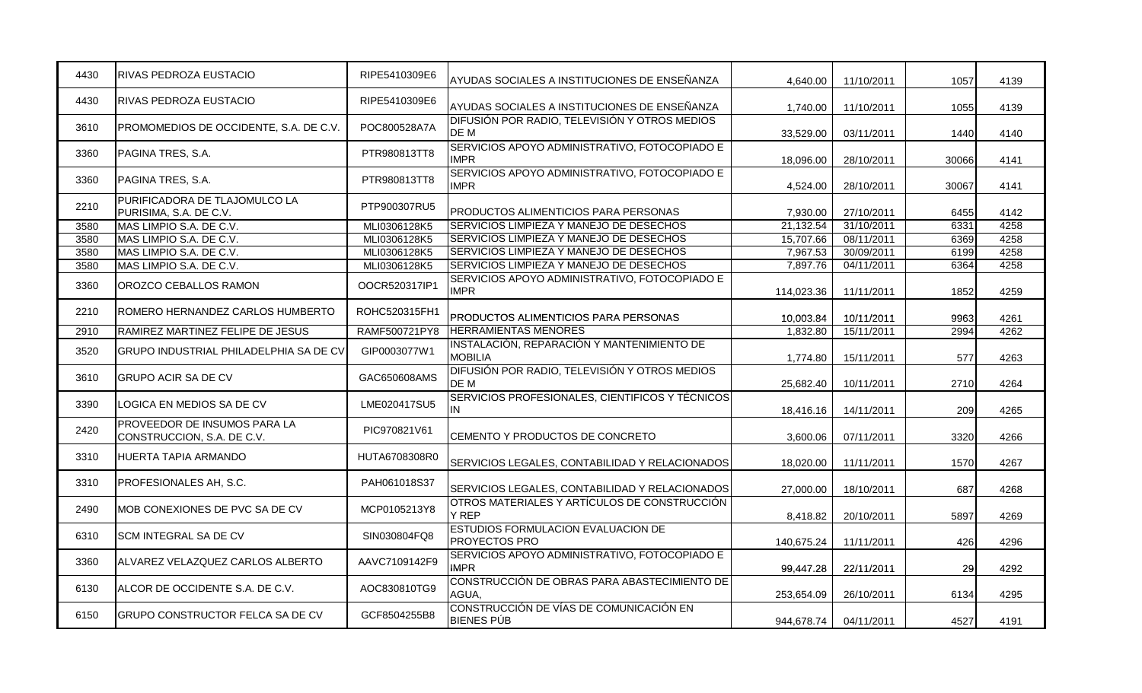| 4430 | <b>RIVAS PEDROZA EUSTACIO</b>                              | RIPE5410309E6 | AYUDAS SOCIALES A INSTITUCIONES DE ENSEÑANZA                 | 4,640.00   | 11/10/2011 | 1057  | 4139 |
|------|------------------------------------------------------------|---------------|--------------------------------------------------------------|------------|------------|-------|------|
| 4430 | <b>RIVAS PEDROZA EUSTACIO</b>                              | RIPE5410309E6 | AYUDAS SOCIALES A INSTITUCIONES DE ENSEÑANZA                 | 1.740.00   | 11/10/2011 | 1055  | 4139 |
| 3610 | PROMOMEDIOS DE OCCIDENTE, S.A. DE C.V.                     | POC800528A7A  | DIFUSIÓN POR RADIO, TELEVISIÓN Y OTROS MEDIOS<br>DE M        | 33,529.00  | 03/11/2011 | 1440  | 4140 |
| 3360 | PAGINA TRES, S.A.                                          | PTR980813TT8  | SERVICIOS APOYO ADMINISTRATIVO, FOTOCOPIADO E<br><b>IMPR</b> | 18.096.00  | 28/10/2011 | 30066 | 4141 |
| 3360 | PAGINA TRES, S.A.                                          | PTR980813TT8  | SERVICIOS APOYO ADMINISTRATIVO, FOTOCOPIADO E<br><b>IMPR</b> | 4,524.00   | 28/10/2011 | 30067 | 4141 |
| 2210 | PURIFICADORA DE TLAJOMULCO LA<br>PURISIMA, S.A. DE C.V.    | PTP900307RU5  | PRODUCTOS ALIMENTICIOS PARA PERSONAS                         | 7,930.00   | 27/10/2011 | 6455  | 4142 |
| 3580 | MAS LIMPIO S.A. DE C.V.                                    | MLI0306128K5  | SERVICIOS LIMPIEZA Y MANEJO DE DESECHOS                      | 21,132.54  | 31/10/2011 | 6331  | 4258 |
| 3580 | MAS LIMPIO S.A. DE C.V.                                    | MLI0306128K5  | SERVICIOS LIMPIEZA Y MANEJO DE DESECHOS                      | 15,707.66  | 08/11/2011 | 6369  | 4258 |
| 3580 | MAS LIMPIO S.A. DE C.V.                                    | MLI0306128K5  | SERVICIOS LIMPIEZA Y MANEJO DE DESECHOS                      | 7,967.53   | 30/09/2011 | 6199  | 4258 |
| 3580 | MAS LIMPIO S.A. DE C.V.                                    | MLI0306128K5  | SERVICIOS LIMPIEZA Y MANEJO DE DESECHOS                      | 7,897.76   | 04/11/2011 | 6364  | 4258 |
| 3360 | OROZCO CEBALLOS RAMON                                      | OOCR520317IP1 | SERVICIOS APOYO ADMINISTRATIVO, FOTOCOPIADO E<br><b>IMPR</b> | 114,023.36 | 11/11/2011 | 1852  | 4259 |
| 2210 | ROMERO HERNANDEZ CARLOS HUMBERTO                           | ROHC520315FH1 | PRODUCTOS ALIMENTICIOS PARA PERSONAS                         | 10,003.84  | 10/11/2011 | 9963  | 4261 |
| 2910 | RAMIREZ MARTINEZ FELIPE DE JESUS                           | RAMF500721PY8 | <b>HERRAMIENTAS MENORES</b>                                  | 1,832.80   | 15/11/2011 | 2994  | 4262 |
| 3520 | <b>GRUPO INDUSTRIAL PHILADELPHIA SA DE CV</b>              | GIP0003077W1  | INSTALACIÓN, REPARACIÓN Y MANTENIMIENTO DE<br><b>MOBILIA</b> | 1,774.80   | 15/11/2011 | 577   | 4263 |
| 3610 | <b>GRUPO ACIR SA DE CV</b>                                 | GAC650608AMS  | DIFUSIÓN POR RADIO, TELEVISIÓN Y OTROS MEDIOS<br>DE M        | 25,682.40  | 10/11/2011 | 2710  | 4264 |
| 3390 | LOGICA EN MEDIOS SA DE CV                                  | LME020417SU5  | SERVICIOS PROFESIONALES, CIENTIFICOS Y TÉCNICOS<br>IN        | 18,416.16  | 14/11/2011 | 209   | 4265 |
| 2420 | PROVEEDOR DE INSUMOS PARA LA<br>CONSTRUCCION, S.A. DE C.V. | PIC970821V61  | CEMENTO Y PRODUCTOS DE CONCRETO                              | 3,600.06   | 07/11/2011 | 3320  | 4266 |
| 3310 | HUERTA TAPIA ARMANDO                                       | HUTA6708308R0 | SERVICIOS LEGALES, CONTABILIDAD Y RELACIONADOS               | 18,020.00  | 11/11/2011 | 1570  | 4267 |
| 3310 | PROFESIONALES AH, S.C.                                     | PAH061018S37  | SERVICIOS LEGALES, CONTABILIDAD Y RELACIONADOS               | 27,000.00  | 18/10/2011 | 687   | 4268 |
| 2490 | MOB CONEXIONES DE PVC SA DE CV                             | MCP0105213Y8  | OTROS MATERIALES Y ARTÍCULOS DE CONSTRUCCIÓN<br>Y REP        | 8,418.82   | 20/10/2011 | 5897  | 4269 |
| 6310 | SCM INTEGRAL SA DE CV                                      | SIN030804FQ8  | ESTUDIOS FORMULACION EVALUACION DE<br>PROYECTOS PRO          | 140,675.24 | 11/11/2011 | 426   | 4296 |
| 3360 | ALVAREZ VELAZQUEZ CARLOS ALBERTO                           | AAVC7109142F9 | SERVICIOS APOYO ADMINISTRATIVO, FOTOCOPIADO E<br><b>IMPR</b> | 99,447.28  | 22/11/2011 | 29    | 4292 |
| 6130 | ALCOR DE OCCIDENTE S.A. DE C.V.                            | AOC830810TG9  | CONSTRUCCIÓN DE OBRAS PARA ABASTECIMIENTO DE<br>AGUA,        | 253,654.09 | 26/10/2011 | 6134  | 4295 |
| 6150 | <b>GRUPO CONSTRUCTOR FELCA SA DE CV</b>                    | GCF8504255B8  | CONSTRUCCIÓN DE VÍAS DE COMUNICACIÓN EN<br><b>BIENES PÚB</b> | 944,678.74 | 04/11/2011 | 4527  | 4191 |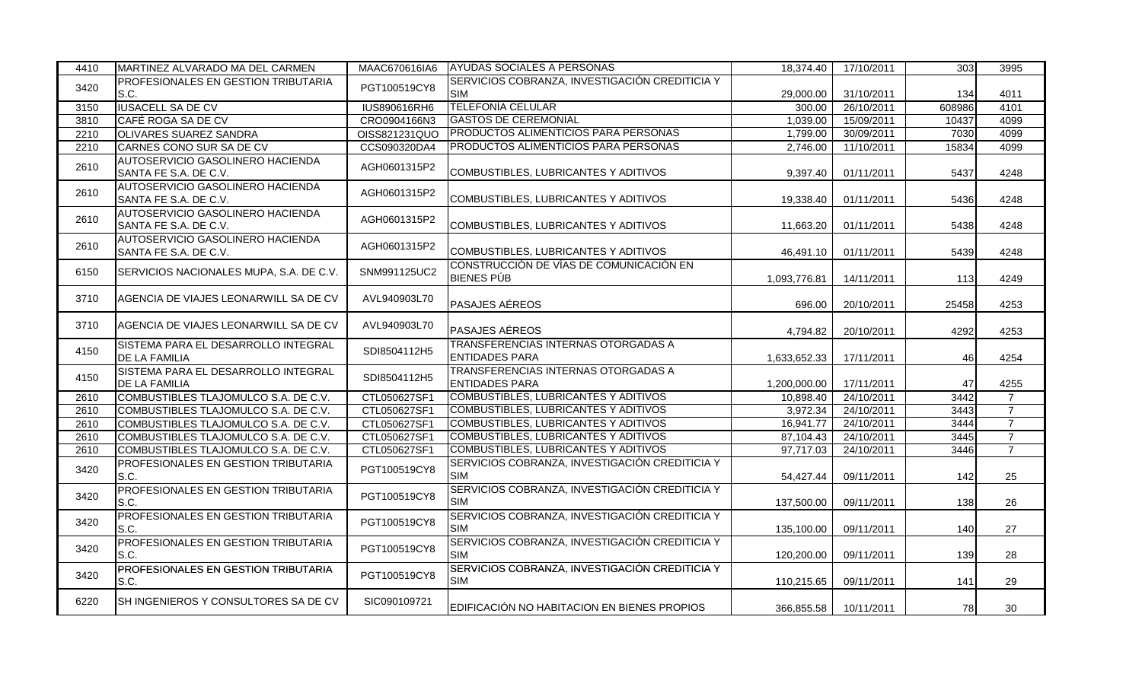| 4410 | MARTINEZ ALVARADO MA DEL CARMEN                             | MAAC670616IA6       | <b>AYUDAS SOCIALES A PERSONAS</b>                            | 18,374.40    | 17/10/2011 | 303    | 3995           |
|------|-------------------------------------------------------------|---------------------|--------------------------------------------------------------|--------------|------------|--------|----------------|
| 3420 | <b>PROFESIONALES EN GESTION TRIBUTARIA</b><br>S.C.          | PGT100519CY8        | SERVICIOS COBRANZA, INVESTIGACIÓN CREDITICIA Y<br><b>SIM</b> | 29,000.00    | 31/10/2011 | 134    | 4011           |
| 3150 | <b>IUSACELL SA DE CV</b>                                    | <b>IUS890616RH6</b> | <b>TELEFONÍA CELULAR</b>                                     | 300.00       | 26/10/2011 | 608986 | 4101           |
| 3810 | CAFÉ ROGA SA DE CV                                          | CRO0904166N3        | <b>GASTOS DE CEREMONIAL</b>                                  | 1,039.00     | 15/09/2011 | 10437  | 4099           |
| 2210 | <b>OLIVARES SUAREZ SANDRA</b>                               | OISS821231QUO       | PRODUCTOS ALIMENTICIOS PARA PERSONAS                         | 1,799.00     | 30/09/2011 | 7030   | 4099           |
| 2210 | CARNES CONO SUR SA DE CV                                    | CCS090320DA4        | PRODUCTOS ALIMENTICIOS PARA PERSONAS                         | 2,746.00     | 11/10/2011 | 15834  | 4099           |
| 2610 | AUTOSERVICIO GASOLINERO HACIENDA<br>SANTA FE S.A. DE C.V.   | AGH0601315P2        | COMBUSTIBLES, LUBRICANTES Y ADITIVOS                         | 9,397.40     | 01/11/2011 | 5437   | 4248           |
| 2610 | AUTOSERVICIO GASOLINERO HACIENDA<br>SANTA FE S.A. DE C.V.   | AGH0601315P2        | COMBUSTIBLES, LUBRICANTES Y ADITIVOS                         | 19,338.40    | 01/11/2011 | 5436   | 4248           |
| 2610 | AUTOSERVICIO GASOLINERO HACIENDA<br>SANTA FE S.A. DE C.V.   | AGH0601315P2        | COMBUSTIBLES, LUBRICANTES Y ADITIVOS                         | 11,663.20    | 01/11/2011 | 5438   | 4248           |
| 2610 | AUTOSERVICIO GASOLINERO HACIENDA<br>SANTA FE S.A. DE C.V.   | AGH0601315P2        | COMBUSTIBLES, LUBRICANTES Y ADITIVOS                         | 46,491.10    | 01/11/2011 | 5439   | 4248           |
| 6150 | SERVICIOS NACIONALES MUPA, S.A. DE C.V.                     | SNM991125UC2        | CONSTRUCCIÓN DE VÍAS DE COMUNICACIÓN EN<br><b>BIENES PÚB</b> | 1,093,776.81 | 14/11/2011 | 113    | 4249           |
| 3710 | AGENCIA DE VIAJES LEONARWILL SA DE CV                       | AVL940903L70        | PASAJES AÉREOS                                               | 696.00       | 20/10/2011 | 25458  | 4253           |
| 3710 | AGENCIA DE VIAJES LEONARWILL SA DE CV                       | AVL940903L70        | PASAJES AÉREOS                                               | 4,794.82     | 20/10/2011 | 4292   | 4253           |
| 4150 | SISTEMA PARA EL DESARROLLO INTEGRAL<br><b>DE LA FAMILIA</b> | SDI8504112H5        | TRANSFERENCIAS INTERNAS OTORGADAS A<br><b>ENTIDADES PARA</b> | 1,633,652.33 | 17/11/2011 | 46     | 4254           |
| 4150 | SISTEMA PARA EL DESARROLLO INTEGRAL<br><b>DE LA FAMILIA</b> | SDI8504112H5        | TRANSFERENCIAS INTERNAS OTORGADAS A<br><b>ENTIDADES PARA</b> | 1,200,000.00 | 17/11/2011 | 47     | 4255           |
| 2610 | COMBUSTIBLES TLAJOMULCO S.A. DE C.V.                        | CTL050627SF1        | <b>COMBUSTIBLES, LUBRICANTES Y ADITIVOS</b>                  | 10,898.40    | 24/10/2011 | 3442   | $\overline{7}$ |
| 2610 | COMBUSTIBLES TLAJOMULCO S.A. DE C.V.                        | CTL050627SF1        | <b>COMBUSTIBLES, LUBRICANTES Y ADITIVOS</b>                  | 3,972.34     | 24/10/2011 | 3443   | $\overline{7}$ |
| 2610 | COMBUSTIBLES TLAJOMULCO S.A. DE C.V.                        | CTL050627SF1        | COMBUSTIBLES, LUBRICANTES Y ADITIVOS                         | 16,941.77    | 24/10/2011 | 3444   | $\overline{7}$ |
| 2610 | COMBUSTIBLES TLAJOMULCO S.A. DE C.V.                        | CTL050627SF1        | <b>COMBUSTIBLES, LUBRICANTES Y ADITIVOS</b>                  | 87,104.43    | 24/10/2011 | 3445   | $\overline{7}$ |
| 2610 | COMBUSTIBLES TLAJOMULCO S.A. DE C.V.                        | CTL050627SF1        | <b>COMBUSTIBLES, LUBRICANTES Y ADITIVOS</b>                  | 97,717.03    | 24/10/2011 | 3446   | $\overline{7}$ |
| 3420 | PROFESIONALES EN GESTION TRIBUTARIA<br>S.C.                 | PGT100519CY8        | SERVICIOS COBRANZA, INVESTIGACIÓN CREDITICIA Y<br><b>SIM</b> | 54,427.44    | 09/11/2011 | 142    | 25             |
| 3420 | <b>PROFESIONALES EN GESTION TRIBUTARIA</b><br>S.C.          | PGT100519CY8        | SERVICIOS COBRANZA, INVESTIGACIÓN CREDITICIA Y<br><b>SIM</b> | 137,500.00   | 09/11/2011 | 138    | 26             |
| 3420 | PROFESIONALES EN GESTION TRIBUTARIA<br>S.C.                 | PGT100519CY8        | SERVICIOS COBRANZA, INVESTIGACIÓN CREDITICIA Y<br><b>SIM</b> | 135,100.00   | 09/11/2011 | 140    | 27             |
| 3420 | PROFESIONALES EN GESTION TRIBUTARIA<br>S.C.                 | PGT100519CY8        | SERVICIOS COBRANZA, INVESTIGACIÓN CREDITICIA Y<br><b>SIM</b> | 120,200.00   | 09/11/2011 | 139    | 28             |
| 3420 | PROFESIONALES EN GESTION TRIBUTARIA<br>S.C.                 | PGT100519CY8        | SERVICIOS COBRANZA, INVESTIGACIÓN CREDITICIA Y<br><b>SIM</b> | 110,215.65   | 09/11/2011 | 141    | 29             |
| 6220 | SH INGENIEROS Y CONSULTORES SA DE CV                        | SIC090109721        | EDIFICACIÓN NO HABITACION EN BIENES PROPIOS                  | 366,855.58   | 10/11/2011 | 78     | 30             |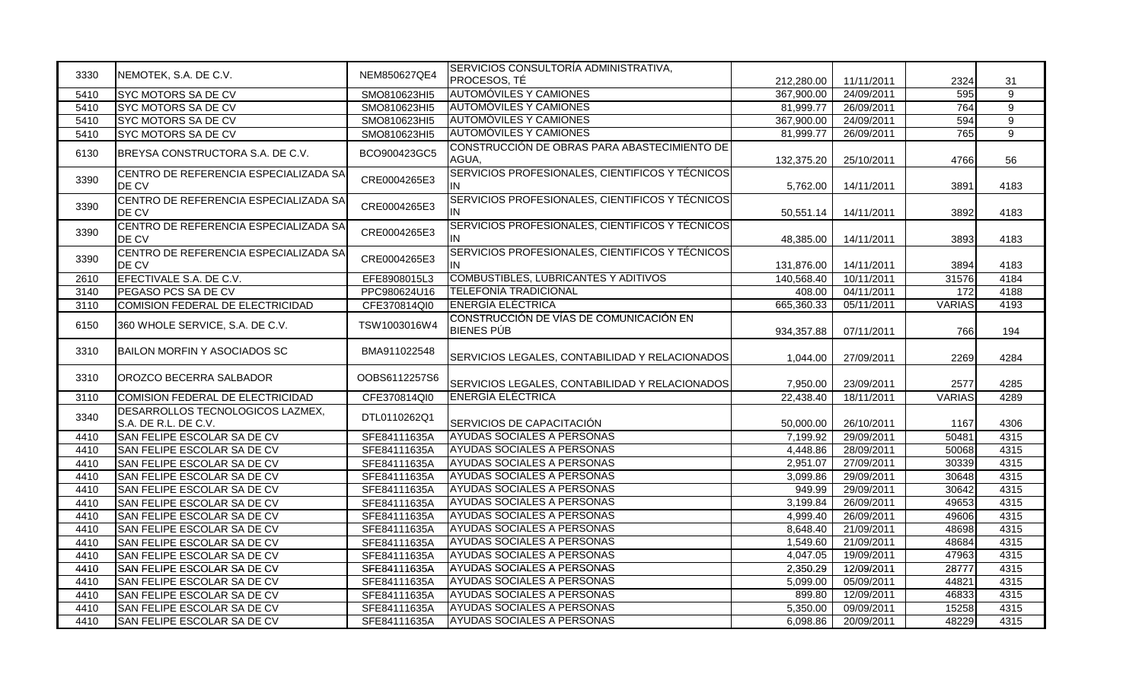| 3330 | NEMOTEK, S.A. DE C.V.                                    | NEM850627QE4  | SERVICIOS CONSULTORÍA ADMINISTRATIVA,                        |            |            |               |                |
|------|----------------------------------------------------------|---------------|--------------------------------------------------------------|------------|------------|---------------|----------------|
|      |                                                          |               | PROCESOS, TÉ                                                 | 212,280.00 | 11/11/2011 | 2324          | 31             |
| 5410 | <b>SYC MOTORS SA DE CV</b>                               | SMO810623HI5  | <b>AUTOMÓVILES Y CAMIONES</b>                                | 367,900.00 | 24/09/2011 | 595           | $\overline{9}$ |
| 5410 | <b>SYC MOTORS SA DE CV</b>                               | SMO810623HI5  | <b>AUTOMOVILES Y CAMIONES</b>                                | 81,999.77  | 26/09/2011 | 764           | 9              |
| 5410 | <b>SYC MOTORS SA DE CV</b>                               | SMO810623HI5  | <b>AUTOMÓVILES Y CAMIONES</b>                                | 367,900.00 | 24/09/2011 | 594           | 9              |
| 5410 | <b>SYC MOTORS SA DE CV</b>                               | SMO810623HI5  | <b>AUTOMÓVILES Y CAMIONES</b>                                | 81,999.77  | 26/09/2011 | 765           | 9              |
| 6130 | BREYSA CONSTRUCTORA S.A. DE C.V.                         | BCO900423GC5  | CONSTRUCCIÓN DE OBRAS PARA ABASTECIMIENTO DE<br>AGUA,        | 132,375.20 | 25/10/2011 | 4766          | 56             |
| 3390 | CENTRO DE REFERENCIA ESPECIALIZADA SA<br>DE CV           | CRE0004265E3  | SERVICIOS PROFESIONALES, CIENTIFICOS Y TÉCNICOS<br>IN        | 5,762.00   | 14/11/2011 | 3891          | 4183           |
| 3390 | CENTRO DE REFERENCIA ESPECIALIZADA SA<br>DE CV           | CRE0004265E3  | SERVICIOS PROFESIONALES, CIENTIFICOS Y TÉCNICOS<br>IN        | 50,551.14  | 14/11/2011 | 3892          | 4183           |
| 3390 | CENTRO DE REFERENCIA ESPECIALIZADA SA<br>DE CV           | CRE0004265E3  | SERVICIOS PROFESIONALES, CIENTIFICOS Y TÉCNICOS<br>IN        | 48,385.00  | 14/11/2011 | 3893          | 4183           |
| 3390 | CENTRO DE REFERENCIA ESPECIALIZADA SA<br>DE CV           | CRE0004265E3  | SERVICIOS PROFESIONALES, CIENTIFICOS Y TÉCNICOS<br>IN        | 131,876.00 | 14/11/2011 | 3894          | 4183           |
| 2610 | EFECTIVALE S.A. DE C.V.                                  | EFE8908015L3  | <b>COMBUSTIBLES, LUBRICANTES Y ADITIVOS</b>                  | 140,568.40 | 10/11/2011 | 31576         | 4184           |
| 3140 | PEGASO PCS SA DE CV                                      | PPC980624U16  | TELEFONÍA TRADICIONAL                                        | 408.00     | 04/11/2011 | 172           | 4188           |
| 3110 | COMISION FEDERAL DE ELECTRICIDAD                         | CFE370814QI0  | <b>ENERGÍA ELÉCTRICA</b>                                     | 665,360.33 | 05/11/2011 | <b>VARIAS</b> | 4193           |
| 6150 | 360 WHOLE SERVICE, S.A. DE C.V.                          | TSW1003016W4  | CONSTRUCCIÓN DE VÍAS DE COMUNICACIÓN EN<br><b>BIENES PÚB</b> | 934,357.88 | 07/11/2011 | 766           | 194            |
| 3310 | BAILON MORFIN Y ASOCIADOS SC                             | BMA911022548  | SERVICIOS LEGALES, CONTABILIDAD Y RELACIONADOS               | 1,044.00   | 27/09/2011 | 2269          | 4284           |
| 3310 | OROZCO BECERRA SALBADOR                                  | OOBS6112257S6 | SERVICIOS LEGALES, CONTABILIDAD Y RELACIONADOS               | 7,950.00   | 23/09/2011 | 2577          | 4285           |
| 3110 | COMISION FEDERAL DE ELECTRICIDAD                         | CFE370814QI0  | ENERGIA ELECTRICA                                            | 22,438.40  | 18/11/2011 | <b>VARIAS</b> | 4289           |
| 3340 | DESARROLLOS TECNOLOGICOS LAZMEX,<br>S.A. DE R.L. DE C.V. | DTL0110262Q1  | SERVICIOS DE CAPACITACIÓN                                    | 50,000.00  | 26/10/2011 | 1167          | 4306           |
| 4410 | SAN FELIPE ESCOLAR SA DE CV                              | SFE84111635A  | <b>AYUDAS SOCIALES A PERSONAS</b>                            | 7,199.92   | 29/09/2011 | 50481         | 4315           |
| 4410 | SAN FELIPE ESCOLAR SA DE CV                              | SFE84111635A  | AYUDAS SOCIALES A PERSONAS                                   | 4,448.86   | 28/09/2011 | 50068         | 4315           |
| 4410 | SAN FELIPE ESCOLAR SA DE CV                              | SFE84111635A  | <b>AYUDAS SOCIALES A PERSONAS</b>                            | 2,951.07   | 27/09/2011 | 30339         | 4315           |
| 4410 | SAN FELIPE ESCOLAR SA DE CV                              | SFE84111635A  | <b>AYUDAS SOCIALES A PERSONAS</b>                            | 3,099.86   | 29/09/2011 | 30648         | 4315           |
| 4410 | SAN FELIPE ESCOLAR SA DE CV                              | SFE84111635A  | AYUDAS SOCIALES A PERSONAS                                   | 949.99     | 29/09/2011 | 30642         | 4315           |
| 4410 | SAN FELIPE ESCOLAR SA DE CV                              | SFE84111635A  | <b>AYUDAS SOCIALES A PERSONAS</b>                            | 3,199.84   | 26/09/2011 | 49653         | 4315           |
| 4410 | SAN FELIPE ESCOLAR SA DE CV                              | SFE84111635A  | <b>AYUDAS SOCIALES A PERSONAS</b>                            | 4,999.40   | 26/09/2011 | 49606         | 4315           |
| 4410 | SAN FELIPE ESCOLAR SA DE CV                              | SFE84111635A  | AYUDAS SOCIALES A PERSONAS                                   | 8,648.40   | 21/09/2011 | 48698         | 4315           |
| 4410 | SAN FELIPE ESCOLAR SA DE CV                              | SFE84111635A  | AYUDAS SOCIALES A PERSONAS                                   | 1,549.60   | 21/09/2011 | 48684         | 4315           |
| 4410 | SAN FELIPE ESCOLAR SA DE CV                              | SFE84111635A  | <b>AYUDAS SOCIALES A PERSONAS</b>                            | 4,047.05   | 19/09/2011 | 47963         | 4315           |
| 4410 | SAN FELIPE ESCOLAR SA DE CV                              | SFE84111635A  | <b>AYUDAS SOCIALES A PERSONAS</b>                            | 2,350.29   | 12/09/2011 | 28777         | 4315           |
| 4410 | SAN FELIPE ESCOLAR SA DE CV                              | SFE84111635A  | AYUDAS SOCIALES A PERSONAS                                   | 5,099.00   | 05/09/2011 | 44821         | 4315           |
| 4410 | SAN FELIPE ESCOLAR SA DE CV                              | SFE84111635A  | AYUDAS SOCIALES A PERSONAS                                   | 899.80     | 12/09/2011 | 46833         | 4315           |
| 4410 | SAN FELIPE ESCOLAR SA DE CV                              | SFE84111635A  | AYUDAS SOCIALES A PERSONAS                                   | 5,350.00   | 09/09/2011 | 15258         | 4315           |
| 4410 | SAN FELIPE ESCOLAR SA DE CV                              | SFE84111635A  | <b>AYUDAS SOCIALES A PERSONAS</b>                            | 6,098.86   | 20/09/2011 | 48229         | 4315           |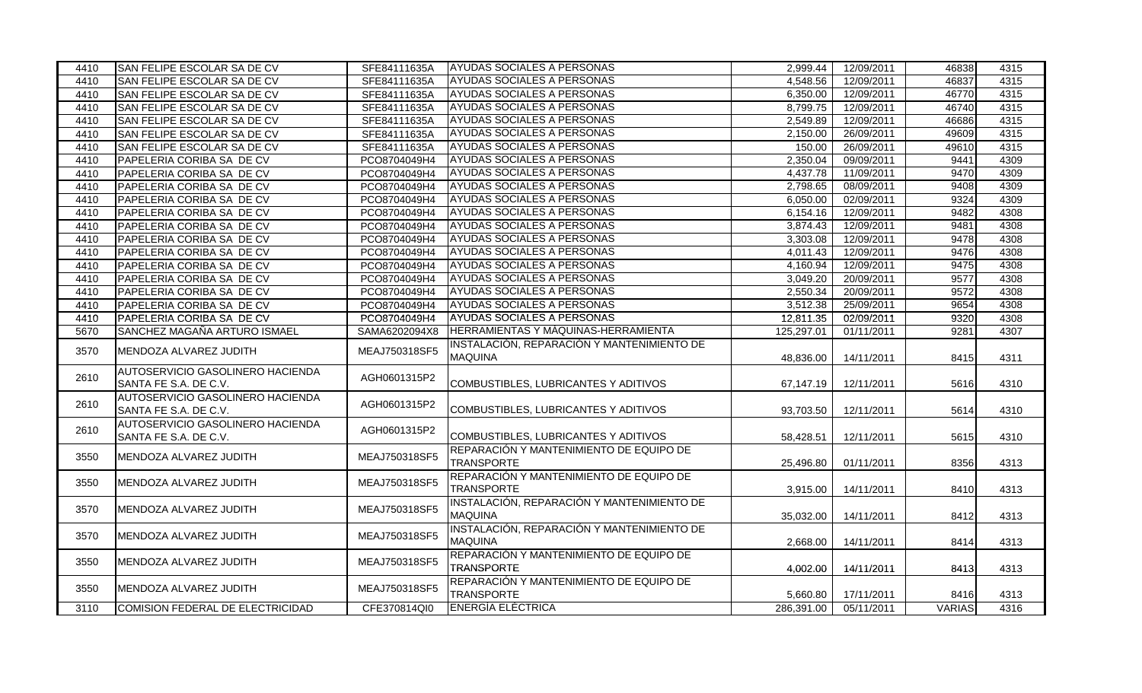| 4410 | SAN FELIPE ESCOLAR SA DE CV                                      | SFE84111635A  | <b>AYUDAS SOCIALES A PERSONAS</b>                            | 2,999.44   | 12/09/2011 | 46838         | 4315 |
|------|------------------------------------------------------------------|---------------|--------------------------------------------------------------|------------|------------|---------------|------|
| 4410 | SAN FELIPE ESCOLAR SA DE CV                                      | SFE84111635A  | <b>AYUDAS SOCIALES A PERSONAS</b>                            | 4,548.56   | 12/09/2011 | 46837         | 4315 |
| 4410 | SAN FELIPE ESCOLAR SA DE CV                                      | SFE84111635A  | <b>AYUDAS SOCIALES A PERSONAS</b>                            | 6,350.00   | 12/09/2011 | 46770         | 4315 |
| 4410 | SAN FELIPE ESCOLAR SA DE CV                                      | SFE84111635A  | <b>AYUDAS SOCIALES A PERSONAS</b>                            | 8,799.75   | 12/09/2011 | 46740         | 4315 |
| 4410 | SAN FELIPE ESCOLAR SA DE CV                                      | SFE84111635A  | AYUDAS SOCIALES A PERSONAS                                   | 2,549.89   | 12/09/2011 | 46686         | 4315 |
| 4410 | SAN FELIPE ESCOLAR SA DE CV                                      | SFE84111635A  | <b>AYUDAS SOCIALES A PERSONAS</b>                            | 2,150.00   | 26/09/2011 | 49609         | 4315 |
| 4410 | SAN FELIPE ESCOLAR SA DE CV                                      | SFE84111635A  | AYUDAS SOCIALES A PERSONAS                                   | 150.00     | 26/09/2011 | 49610         | 4315 |
| 4410 | PAPELERIA CORIBA SA DE CV                                        | PCO8704049H4  | AYUDAS SOCIALES A PERSONAS                                   | 2,350.04   | 09/09/2011 | 9441          | 4309 |
| 4410 | PAPELERIA CORIBA SA DE CV                                        | PCO8704049H4  | <b>AYUDAS SOCIALES A PERSONAS</b>                            | 4,437.78   | 11/09/2011 | 9470          | 4309 |
| 4410 | PAPELERIA CORIBA SA DE CV                                        | PCO8704049H4  | AYUDAS SOCIALES A PERSONAS                                   | 2,798.65   | 08/09/2011 | 9408          | 4309 |
| 4410 | PAPELERIA CORIBA SA DE CV                                        | PCO8704049H4  | AYUDAS SOCIALES A PERSONAS                                   | 6,050.00   | 02/09/2011 | 9324          | 4309 |
| 4410 | PAPELERIA CORIBA SA DE CV                                        | PCO8704049H4  | AYUDAS SOCIALES A PERSONAS                                   | 6,154.16   | 12/09/2011 | 9482          | 4308 |
| 4410 | PAPELERIA CORIBA SA DE CV                                        | PCO8704049H4  | AYUDAS SOCIALES A PERSONAS                                   | 3,874.43   | 12/09/2011 | 9481          | 4308 |
| 4410 | PAPELERIA CORIBA SA DE CV                                        | PCO8704049H4  | AYUDAS SOCIALES A PERSONAS                                   | 3,303.08   | 12/09/2011 | 9478          | 4308 |
| 4410 | PAPELERIA CORIBA SA DE CV                                        | PCO8704049H4  | <b>AYUDAS SOCIALES A PERSONAS</b>                            | 4.011.43   | 12/09/2011 | 9476          | 4308 |
| 4410 | PAPELERIA CORIBA SA DE CV                                        | PCO8704049H4  | AYUDAS SOCIALES A PERSONAS                                   | 4,160.94   | 12/09/2011 | 9475          | 4308 |
| 4410 | PAPELERIA CORIBA SA DE CV                                        | PCO8704049H4  | AYUDAS SOCIALES A PERSONAS                                   | 3,049.20   | 20/09/2011 | 9577          | 4308 |
| 4410 | PAPELERIA CORIBA SA DE CV                                        | PCO8704049H4  | <b>AYUDAS SOCIALES A PERSONAS</b>                            | 2,550.34   | 20/09/2011 | 9572          | 4308 |
| 4410 | PAPELERIA CORIBA SA DE CV                                        | PCO8704049H4  | <b>AYUDAS SOCIALES A PERSONAS</b>                            | 3,512.38   | 25/09/2011 | 9654          | 4308 |
| 4410 | PAPELERIA CORIBA SA DE CV                                        | PCO8704049H4  | <b>AYUDAS SOCIALES A PERSONAS</b>                            | 12,811.35  | 02/09/2011 | 9320          | 4308 |
| 5670 | SANCHEZ MAGAÑA ARTURO ISMAEL                                     | SAMA6202094X8 | IHERRAMIENTAS Y MAQUINAS-HERRAMIENTA                         | 125,297.01 | 01/11/2011 | 9281          | 4307 |
| 3570 | IMENDOZA ALVAREZ JUDITH                                          | MEAJ750318SF5 | INSTALACIÓN, REPARACIÓN Y MANTENIMIENTO DE<br><b>MAQUINA</b> | 48,836.00  | 14/11/2011 | 8415          | 4311 |
| 2610 | <b>AUTOSERVICIO GASOLINERO HACIENDA</b><br>SANTA FE S.A. DE C.V. | AGH0601315P2  | COMBUSTIBLES, LUBRICANTES Y ADITIVOS                         | 67,147.19  | 12/11/2011 | 5616          | 4310 |
| 2610 | AUTOSERVICIO GASOLINERO HACIENDA<br>SANTA FE S.A. DE C.V.        | AGH0601315P2  | COMBUSTIBLES, LUBRICANTES Y ADITIVOS                         | 93.703.50  | 12/11/2011 | 5614          | 4310 |
| 2610 | AUTOSERVICIO GASOLINERO HACIENDA<br>SANTA FE S.A. DE C.V.        | AGH0601315P2  | COMBUSTIBLES, LUBRICANTES Y ADITIVOS                         | 58,428.51  | 12/11/2011 | 5615          | 4310 |
| 3550 | MENDOZA ALVAREZ JUDITH                                           | MEAJ750318SF5 | REPARACIÓN Y MANTENIMIENTO DE EQUIPO DE<br><b>TRANSPORTE</b> | 25,496.80  | 01/11/2011 | 8356          | 4313 |
| 3550 | MENDOZA ALVAREZ JUDITH                                           | MEAJ750318SF5 | REPARACIÓN Y MANTENIMIENTO DE EQUIPO DE<br><b>TRANSPORTE</b> | 3,915.00   | 14/11/2011 | 8410          | 4313 |
| 3570 | MENDOZA ALVAREZ JUDITH                                           | MEAJ750318SF5 | INSTALACIÓN, REPARACIÓN Y MANTENIMIENTO DE<br><b>MAQUINA</b> | 35,032.00  | 14/11/2011 | 8412          | 4313 |
| 3570 | MENDOZA ALVAREZ JUDITH                                           | MEAJ750318SF5 | INSTALACIÓN, REPARACIÓN Y MANTENIMIENTO DE<br><b>MAQUINA</b> | 2,668.00   | 14/11/2011 | 8414          | 4313 |
| 3550 | <b>IMENDOZA ALVAREZ JUDITH</b>                                   | MEAJ750318SF5 | REPARACIÓN Y MANTENIMIENTO DE EQUIPO DE<br><b>TRANSPORTE</b> | 4,002.00   | 14/11/2011 | 8413          | 4313 |
| 3550 | IMENDOZA ALVAREZ JUDITH                                          | MEAJ750318SF5 | REPARACIÓN Y MANTENIMIENTO DE EQUIPO DE<br><b>TRANSPORTE</b> | 5,660.80   | 17/11/2011 | 8416          | 4313 |
| 3110 | COMISION FEDERAL DE ELECTRICIDAD                                 | CFE370814QI0  | <b>ENERGÍA ELÉCTRICA</b>                                     | 286,391.00 | 05/11/2011 | <b>VARIAS</b> | 4316 |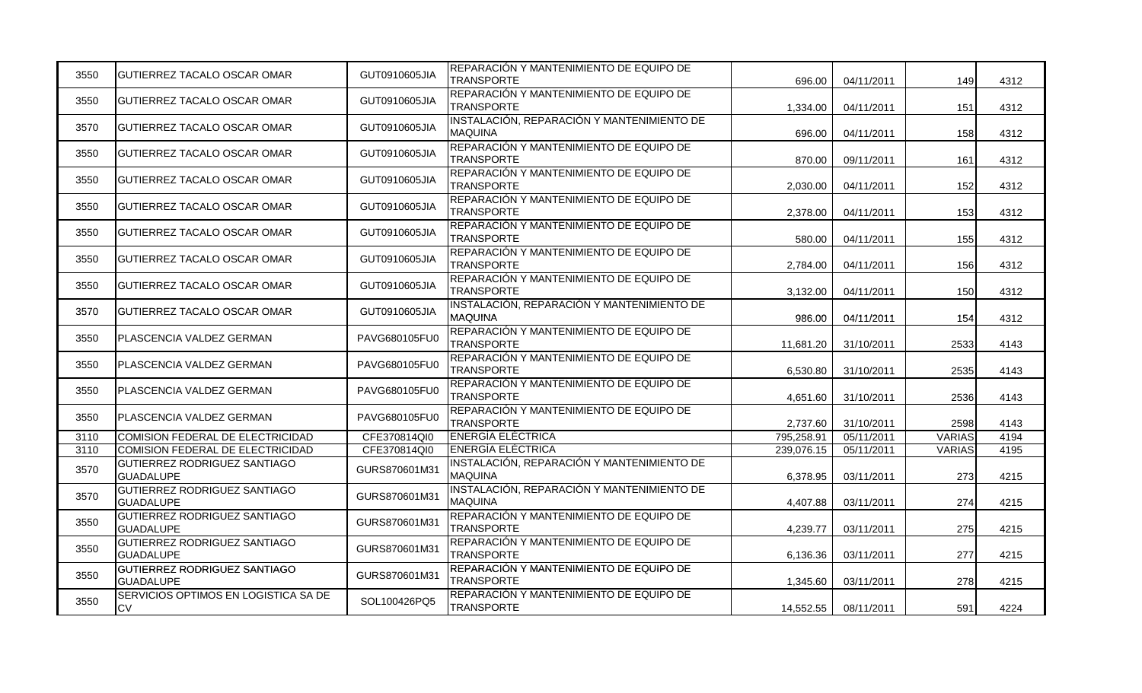| 3550 | IGUTIERREZ TACALO OSCAR OMAR                      | GUT0910605JIA | REPARACIÓN Y MANTENIMIENTO DE EQUIPO DE<br><b>TRANSPORTE</b> | 696.00     | 04/11/2011 | 149           | 4312 |
|------|---------------------------------------------------|---------------|--------------------------------------------------------------|------------|------------|---------------|------|
| 3550 | <b>GUTIERREZ TACALO OSCAR OMAR</b>                | GUT0910605JIA | REPARACIÓN Y MANTENIMIENTO DE EQUIPO DE<br><b>TRANSPORTE</b> | 1,334.00   | 04/11/2011 | 151           | 4312 |
| 3570 | IGUTIERREZ TACALO OSCAR OMAR                      | GUT0910605JIA | INSTALACIÓN, REPARACIÓN Y MANTENIMIENTO DE<br><b>MAQUINA</b> | 696.00     | 04/11/2011 | 158           | 4312 |
| 3550 | IGUTIERREZ TACALO OSCAR OMAR                      | GUT0910605JIA | REPARACIÓN Y MANTENIMIENTO DE EQUIPO DE<br><b>TRANSPORTE</b> | 870.00     | 09/11/2011 | 161           | 4312 |
| 3550 | IGUTIERREZ TACALO OSCAR OMAR                      | GUT0910605JIA | REPARACIÓN Y MANTENIMIENTO DE EQUIPO DE<br><b>TRANSPORTE</b> | 2,030.00   | 04/11/2011 | 152           | 4312 |
| 3550 | GUTIERREZ TACALO OSCAR OMAR                       | GUT0910605JIA | REPARACIÓN Y MANTENIMIENTO DE EQUIPO DE<br><b>TRANSPORTE</b> | 2,378.00   | 04/11/2011 | 153           | 4312 |
| 3550 | <b>GUTIERREZ TACALO OSCAR OMAR</b>                | GUT0910605JIA | REPARACIÓN Y MANTENIMIENTO DE EQUIPO DE<br><b>TRANSPORTE</b> | 580.00     | 04/11/2011 | 155           | 4312 |
| 3550 | GUTIERREZ TACALO OSCAR OMAR                       | GUT0910605JIA | REPARACIÓN Y MANTENIMIENTO DE EQUIPO DE<br><b>TRANSPORTE</b> | 2,784.00   | 04/11/2011 | 156           | 4312 |
| 3550 | IGUTIERREZ TACALO OSCAR OMAR                      | GUT0910605JIA | REPARACIÓN Y MANTENIMIENTO DE EQUIPO DE<br><b>TRANSPORTE</b> | 3,132.00   | 04/11/2011 | 150           | 4312 |
| 3570 | <b>GUTIERREZ TACALO OSCAR OMAR</b>                | GUT0910605JIA | INSTALACIÓN, REPARACIÓN Y MANTENIMIENTO DE<br><b>MAQUINA</b> | 986.00     | 04/11/2011 | 154           | 4312 |
| 3550 | PLASCENCIA VALDEZ GERMAN                          | PAVG680105FU0 | REPARACIÓN Y MANTENIMIENTO DE EQUIPO DE<br><b>TRANSPORTE</b> | 11,681.20  | 31/10/2011 | 2533          | 4143 |
| 3550 | PLASCENCIA VALDEZ GERMAN                          | PAVG680105FU0 | REPARACIÓN Y MANTENIMIENTO DE EQUIPO DE<br><b>TRANSPORTE</b> | 6,530.80   | 31/10/2011 | 2535          | 4143 |
| 3550 | IPLASCENCIA VALDEZ GERMAN                         | PAVG680105FU0 | REPARACIÓN Y MANTENIMIENTO DE EQUIPO DE<br><b>TRANSPORTE</b> | 4.651.60   | 31/10/2011 | 2536          | 4143 |
| 3550 | PLASCENCIA VALDEZ GERMAN                          | PAVG680105FU0 | REPARACIÓN Y MANTENIMIENTO DE EQUIPO DE<br><b>TRANSPORTE</b> | 2,737.60   | 31/10/2011 | 2598          | 4143 |
| 3110 | COMISION FEDERAL DE ELECTRICIDAD                  | CFE370814QI0  | <b>ENERGIA ELÉCTRICA</b>                                     | 795,258.91 | 05/11/2011 | <b>VARIAS</b> | 4194 |
| 3110 | COMISION FEDERAL DE ELECTRICIDAD                  | CFE370814QI0  | <b>ENERGÍA ELÉCTRICA</b>                                     | 239,076.15 | 05/11/2011 | <b>VARIAS</b> | 4195 |
| 3570 | GUTIERREZ RODRIGUEZ SANTIAGO<br><b>GUADALUPE</b>  | GURS870601M31 | INSTALACIÓN, REPARACIÓN Y MANTENIMIENTO DE<br><b>MAQUINA</b> | 6,378.95   | 03/11/2011 | 273           | 4215 |
| 3570 | GUTIERREZ RODRIGUEZ SANTIAGO<br><b>GUADALUPE</b>  | GURS870601M31 | INSTALACIÓN, REPARACIÓN Y MANTENIMIENTO DE<br><b>MAQUINA</b> | 4,407.88   | 03/11/2011 | 274           | 4215 |
| 3550 | GUTIERREZ RODRIGUEZ SANTIAGO<br><b>GUADALUPE</b>  | GURS870601M31 | REPARACIÓN Y MANTENIMIENTO DE EQUIPO DE<br><b>TRANSPORTE</b> | 4,239.77   | 03/11/2011 | 275           | 4215 |
| 3550 | GUTIERREZ RODRIGUEZ SANTIAGO<br><b>GUADALUPE</b>  | GURS870601M31 | REPARACIÓN Y MANTENIMIENTO DE EQUIPO DE<br><b>TRANSPORTE</b> | 6,136.36   | 03/11/2011 | 277           | 4215 |
| 3550 | GUTIERREZ RODRIGUEZ SANTIAGO<br><b>GUADALUPE</b>  | GURS870601M31 | REPARACIÓN Y MANTENIMIENTO DE EQUIPO DE<br><b>TRANSPORTE</b> | 1,345.60   | 03/11/2011 | 278           | 4215 |
| 3550 | SERVICIOS OPTIMOS EN LOGISTICA SA DE<br><b>CV</b> | SOL100426PQ5  | REPARACIÓN Y MANTENIMIENTO DE EQUIPO DE<br><b>TRANSPORTE</b> | 14,552.55  | 08/11/2011 | 591           | 4224 |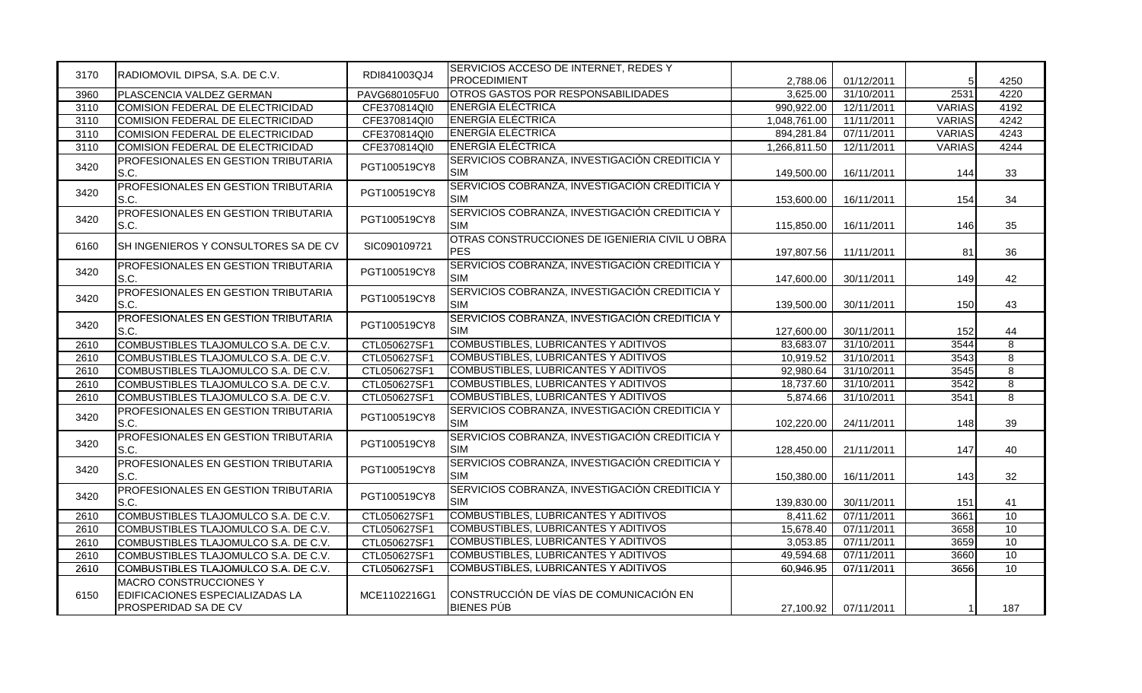| 3170 | RADIOMOVIL DIPSA, S.A. DE C.V.                                                    | RDI841003QJ4  | SERVICIOS ACCESO DE INTERNET, REDES Y<br><b>PROCEDIMIENT</b> |              |                      |               |                |
|------|-----------------------------------------------------------------------------------|---------------|--------------------------------------------------------------|--------------|----------------------|---------------|----------------|
| 3960 |                                                                                   | PAVG680105FU0 | OTROS GASTOS POR RESPONSABILIDADES                           | 2,788.06     | 01/12/2011           | 5<br>2531     | 4250<br>4220   |
|      | PLASCENCIA VALDEZ GERMAN                                                          |               | <b>ENERGIA ELECTRICA</b>                                     | 3.625.00     | 31/10/2011           |               |                |
| 3110 | COMISION FEDERAL DE ELECTRICIDAD                                                  | CFE370814QI0  | <b>ENERGÍA ELÉCTRICA</b>                                     | 990,922.00   | 12/11/2011           | <b>VARIAS</b> | 4192           |
| 3110 | COMISION FEDERAL DE ELECTRICIDAD                                                  | CFE370814QI0  |                                                              | 1,048,761.00 | 11/11/2011           | <b>VARIAS</b> | 4242           |
| 3110 | COMISION FEDERAL DE ELECTRICIDAD                                                  | CFE370814QI0  | <b>ENERGÍA ELÉCTRICA</b>                                     | 894,281.84   | 07/11/2011           | <b>VARIAS</b> | 4243           |
| 3110 | COMISION FEDERAL DE ELECTRICIDAD                                                  | CFE370814QI0  | <b>ENERGÍA ELÉCTRICA</b>                                     | 1,266,811.50 | 12/11/2011           | <b>VARIAS</b> | 4244           |
| 3420 | PROFESIONALES EN GESTION TRIBUTARIA<br>S.C.                                       | PGT100519CY8  | SERVICIOS COBRANZA, INVESTIGACIÓN CREDITICIA Y<br><b>SIM</b> | 149,500.00   | 16/11/2011           | 144           | 33             |
| 3420 | PROFESIONALES EN GESTION TRIBUTARIA<br>S.C.                                       | PGT100519CY8  | SERVICIOS COBRANZA, INVESTIGACIÓN CREDITICIA Y<br><b>SIM</b> | 153,600.00   | 16/11/2011           | 154           | 34             |
| 3420 | PROFESIONALES EN GESTION TRIBUTARIA<br>S.C.                                       | PGT100519CY8  | SERVICIOS COBRANZA, INVESTIGACIÓN CREDITICIA Y<br><b>SIM</b> | 115,850.00   | 16/11/2011           | 146           | 35             |
| 6160 | SH INGENIEROS Y CONSULTORES SA DE CV                                              | SIC090109721  | OTRAS CONSTRUCCIONES DE IGENIERIA CIVIL U OBRA<br><b>PES</b> | 197,807.56   | 11/11/2011           | 81            | 36             |
| 3420 | PROFESIONALES EN GESTION TRIBUTARIA<br>S.C.                                       | PGT100519CY8  | SERVICIOS COBRANZA, INVESTIGACIÓN CREDITICIA Y<br><b>SIM</b> | 147,600.00   | 30/11/2011           | 149           | 42             |
| 3420 | PROFESIONALES EN GESTION TRIBUTARIA<br>S.C.                                       | PGT100519CY8  | SERVICIOS COBRANZA, INVESTIGACIÓN CREDITICIA Y<br><b>SIM</b> | 139,500.00   | 30/11/2011           | 150           | 43             |
| 3420 | PROFESIONALES EN GESTION TRIBUTARIA<br>S.C.                                       | PGT100519CY8  | SERVICIOS COBRANZA, INVESTIGACIÓN CREDITICIA Y<br><b>SIM</b> | 127,600.00   | 30/11/2011           | 152           | 44             |
| 2610 | COMBUSTIBLES TLAJOMULCO S.A. DE C.V.                                              | CTL050627SF1  | <b>COMBUSTIBLES, LUBRICANTES Y ADITIVOS</b>                  | 83,683.07    | 31/10/2011           | 3544          | $\overline{8}$ |
| 2610 | COMBUSTIBLES TLAJOMULCO S.A. DE C.V.                                              | CTL050627SF1  | COMBUSTIBLES, LUBRICANTES Y ADITIVOS                         | 10,919.52    | 31/10/2011           | 3543          | $\overline{8}$ |
| 2610 | COMBUSTIBLES TLAJOMULCO S.A. DE C.V.                                              | CTL050627SF1  | COMBUSTIBLES, LUBRICANTES Y ADITIVOS                         | 92,980.64    | 31/10/2011           | 3545          | $\overline{8}$ |
| 2610 | COMBUSTIBLES TLAJOMULCO S.A. DE C.V.                                              | CTL050627SF1  | <b>COMBUSTIBLES, LUBRICANTES Y ADITIVOS</b>                  | 18,737.60    | 31/10/2011           | 3542          | $\overline{8}$ |
| 2610 | COMBUSTIBLES TLAJOMULCO S.A. DE C.V.                                              | CTL050627SF1  | <b>COMBUSTIBLES, LUBRICANTES Y ADITIVOS</b>                  | 5,874.66     | 31/10/2011           | 3541          | 8              |
| 3420 | PROFESIONALES EN GESTION TRIBUTARIA<br>S.C.                                       | PGT100519CY8  | SERVICIOS COBRANZA, INVESTIGACIÓN CREDITICIA Y<br><b>SIM</b> | 102,220.00   | 24/11/2011           | 148           | 39             |
| 3420 | PROFESIONALES EN GESTION TRIBUTARIA<br>S.C.                                       | PGT100519CY8  | SERVICIOS COBRANZA, INVESTIGACIÓN CREDITICIA Y<br><b>SIM</b> | 128,450.00   | 21/11/2011           | 147           | 40             |
| 3420 | PROFESIONALES EN GESTION TRIBUTARIA<br>S.C.                                       | PGT100519CY8  | SERVICIOS COBRANZA, INVESTIGACIÓN CREDITICIA Y<br><b>SIM</b> | 150,380.00   | 16/11/2011           | 143           | 32             |
| 3420 | PROFESIONALES EN GESTION TRIBUTARIA<br>S.C.                                       | PGT100519CY8  | SERVICIOS COBRANZA, INVESTIGACIÓN CREDITICIA Y<br><b>SIM</b> | 139.830.00   | 30/11/2011           | 151           | 41             |
| 2610 | COMBUSTIBLES TLAJOMULCO S.A. DE C.V.                                              | CTL050627SF1  | <b>COMBUSTIBLES, LUBRICANTES Y ADITIVOS</b>                  | 8.411.62     | 07/11/2011           | 3661          | 10             |
| 2610 | COMBUSTIBLES TLAJOMULCO S.A. DE C.V.                                              | CTL050627SF1  | COMBUSTIBLES, LUBRICANTES Y ADITIVOS                         | 15,678.40    | 07/11/2011           | 3658          | 10             |
| 2610 | COMBUSTIBLES TLAJOMULCO S.A. DE C.V.                                              | CTL050627SF1  | COMBUSTIBLES, LUBRICANTES Y ADITIVOS                         | 3,053.85     | 07/11/2011           | 3659          | 10             |
| 2610 | COMBUSTIBLES TLAJOMULCO S.A. DE C.V.                                              | CTL050627SF1  | <b>COMBUSTIBLES, LUBRICANTES Y ADITIVOS</b>                  | 49,594.68    | 07/11/2011           | 3660          | 10             |
| 2610 | COMBUSTIBLES TLAJOMULCO S.A. DE C.V.                                              | CTL050627SF1  | <b>COMBUSTIBLES, LUBRICANTES Y ADITIVOS</b>                  | 60,946.95    | 07/11/2011           | 3656          | 10             |
| 6150 | MACRO CONSTRUCCIONES Y<br>EDIFICACIONES ESPECIALIZADAS LA<br>PROSPERIDAD SA DE CV | MCE1102216G1  | CONSTRUCCIÓN DE VÍAS DE COMUNICACIÓN EN<br><b>BIENES PÚB</b> |              | 27,100.92 07/11/2011 |               | 187            |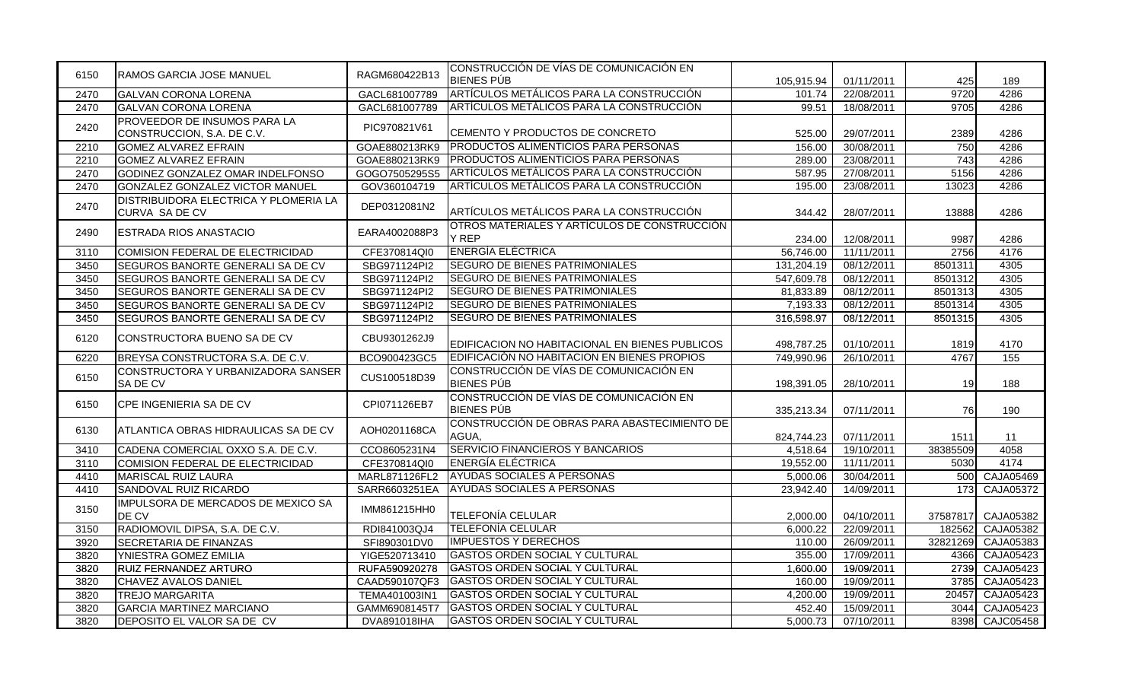| 6150 | RAMOS GARCIA JOSE MANUEL                                          | RAGM680422B13 | CONSTRUCCIÓN DE VÍAS DE COMUNICACIÓN EN<br><b>BIENES PÚB</b> | 105,915.94 | 01/11/2011 | 425              | 189              |
|------|-------------------------------------------------------------------|---------------|--------------------------------------------------------------|------------|------------|------------------|------------------|
| 2470 | <b>GALVAN CORONA LORENA</b>                                       | GACL681007789 | ARTÍCULOS METÁLICOS PARA LA CONSTRUCCIÓN                     | 101.74     | 22/08/2011 | 9720             | 4286             |
| 2470 | <b>GALVAN CORONA LORENA</b>                                       | GACL681007789 | ARTÍCULOS METÁLICOS PARA LA CONSTRUCCIÓN                     | 99.51      | 18/08/2011 | 9705             | 4286             |
| 2420 | <b>PROVEEDOR DE INSUMOS PARA LA</b><br>CONSTRUCCION, S.A. DE C.V. | PIC970821V61  | CEMENTO Y PRODUCTOS DE CONCRETO                              | 525.00     | 29/07/2011 | 2389             | 4286             |
| 2210 | <b>GOMEZ ALVAREZ EFRAIN</b>                                       | GOAE880213RK9 | PRODUCTOS ALIMENTICIOS PARA PERSONAS                         | 156.00     | 30/08/2011 | 750              | 4286             |
| 2210 | <b>GOMEZ ALVAREZ EFRAIN</b>                                       | GOAE880213RK9 | PRODUCTOS ALIMENTICIOS PARA PERSONAS                         | 289.00     | 23/08/2011 | $\frac{1}{743}$  | 4286             |
| 2470 | GODINEZ GONZALEZ OMAR INDELFONSO                                  | GOGO7505295S5 | ARTÍCULOS METÁLICOS PARA LA CONSTRUCCIÓN                     | 587.95     | 27/08/2011 | 5156             | 4286             |
| 2470 | GONZALEZ GONZALEZ VICTOR MANUEL                                   | GOV360104719  | ARTÍCULOS METÁLICOS PARA LA CONSTRUCCIÓN                     | 195.00     | 23/08/2011 | 13023            | 4286             |
| 2470 | DISTRIBUIDORA ELECTRICA Y PLOMERIA LA<br>CURVA SA DE CV           | DEP0312081N2  | ARTÍCULOS METÁLICOS PARA LA CONSTRUCCIÓN                     | 344.42     | 28/07/2011 | 13888            | 4286             |
| 2490 | ESTRADA RIOS ANASTACIO                                            | EARA4002088P3 | OTROS MATERIALES Y ARTÍCULOS DE CONSTRUCCIÓN<br>Y REP        | 234.00     | 12/08/2011 | 9987             | 4286             |
| 3110 | COMISION FEDERAL DE ELECTRICIDAD                                  | CFE370814QI0  | <b>ENERGÍA ELÉCTRICA</b>                                     | 56,746.00  | 11/11/2011 | 2756             | 4176             |
| 3450 | SEGUROS BANORTE GENERALI SA DE CV                                 | SBG971124PI2  | <b>SEGURO DE BIENES PATRIMONIALES</b>                        | 131,204.19 | 08/12/2011 | 8501311          | 4305             |
| 3450 | SEGUROS BANORTE GENERALI SA DE CV                                 | SBG971124Pl2  | SEGURO DE BIENES PATRIMONIALES                               | 547,609.78 | 08/12/2011 | 8501312          | 4305             |
| 3450 | SEGUROS BANORTE GENERALI SA DE CV                                 | SBG971124Pl2  | <b>SEGURO DE BIENES PATRIMONIALES</b>                        | 81,833.89  | 08/12/2011 | 8501313          | 4305             |
| 3450 | SEGUROS BANORTE GENERALI SA DE CV                                 | SBG971124PI2  | <b>SEGURO DE BIENES PATRIMONIALES</b>                        | 7,193.33   | 08/12/2011 | 8501314          | 4305             |
| 3450 | SEGUROS BANORTE GENERALI SA DE CV                                 | SBG971124PI2  | <b>SEGURO DE BIENES PATRIMONIALES</b>                        | 316,598.97 | 08/12/2011 | 8501315          | 4305             |
| 6120 | CONSTRUCTORA BUENO SA DE CV                                       | CBU9301262J9  | EDIFICACION NO HABITACIONAL EN BIENES PUBLICOS               | 498,787.25 | 01/10/2011 | 1819             | 4170             |
| 6220 | BREYSA CONSTRUCTORA S.A. DE C.V.                                  | BCO900423GC5  | EDIFICACIÓN NO HABITACION EN BIENES PROPIOS                  | 749,990.96 | 26/10/2011 | 4767             | 155              |
| 6150 | CONSTRUCTORA Y URBANIZADORA SANSER<br>SA DE CV                    | CUS100518D39  | CONSTRUCCIÓN DE VÍAS DE COMUNICACIÓN EN<br><b>BIENES PÚB</b> | 198,391.05 | 28/10/2011 | 19               | 188              |
| 6150 | CPE INGENIERIA SA DE CV                                           | CPI071126EB7  | CONSTRUCCIÓN DE VÍAS DE COMUNICACIÓN EN<br><b>BIENES PÚB</b> | 335,213.34 | 07/11/2011 | 76               | 190              |
| 6130 | ATLANTICA OBRAS HIDRAULICAS SA DE CV                              | AOH0201168CA  | CONSTRUCCIÓN DE OBRAS PARA ABASTECIMIENTO DE<br>AGUA,        | 824,744.23 | 07/11/2011 | 1511             | 11               |
| 3410 | CADENA COMERCIAL OXXO S.A. DE C.V.                                | CCO8605231N4  | SERVICIO FINANCIEROS Y BANCARIOS                             | 4,518.64   | 19/10/2011 | 38385509         | 4058             |
| 3110 | COMISION FEDERAL DE ELECTRICIDAD                                  | CFE370814QI0  | <b>ENERGÍA ELÉCTRICA</b>                                     | 19,552.00  | 11/11/2011 | 5030             | 4174             |
| 4410 | <b>MARISCAL RUIZ LAURA</b>                                        | MARL871126FL2 | AYUDAS SOCIALES A PERSONAS                                   | 5,000.06   | 30/04/2011 | 500              | CAJA05469        |
| 4410 | SANDOVAL RUIZ RICARDO                                             | SARR6603251EA | AYUDAS SOCIALES A PERSONAS                                   | 23,942.40  | 14/09/2011 | $\overline{173}$ | CAJA05372        |
| 3150 | IMPULSORA DE MERCADOS DE MEXICO SA<br>DE CV                       | IMM861215HH0  | TELEFONÍA CELULAR                                            | 2,000.00   | 04/10/2011 | 37587817         | CAJA05382        |
| 3150 | RADIOMOVIL DIPSA, S.A. DE C.V.                                    | RDI841003QJ4  | TELEFONÍA CELULAR                                            | 6,000.22   | 22/09/2011 | 182562           | CAJA05382        |
| 3920 | <b>SECRETARIA DE FINANZAS</b>                                     | SFI890301DV0  | <b>IMPUESTOS Y DERECHOS</b>                                  | 110.00     | 26/09/2011 | 32821269         | CAJA05383        |
| 3820 | YNIESTRA GOMEZ EMILIA                                             | YIGE520713410 | <b>GASTOS ORDEN SOCIAL Y CULTURAL</b>                        | 355.00     | 17/09/2011 | 4366             | CAJA05423        |
| 3820 | <b>RUIZ FERNANDEZ ARTURO</b>                                      | RUFA590920278 | GASTOS ORDEN SOCIAL Y CULTURAL                               | 1,600.00   | 19/09/2011 | 2739             | CAJA05423        |
| 3820 | CHAVEZ AVALOS DANIEL                                              | CAAD590107QF3 | GASTOS ORDEN SOCIAL Y CULTURAL                               | 160.00     | 19/09/2011 | 3785             | CAJA05423        |
| 3820 | <b>TREJO MARGARITA</b>                                            | TEMA401003IN1 | GASTOS ORDEN SOCIAL Y CULTURAL                               | 4,200.00   | 19/09/2011 | 20457            | CAJA05423        |
| 3820 | <b>GARCIA MARTINEZ MARCIANO</b>                                   | GAMM6908145T7 | <b>GASTOS ORDEN SOCIAL Y CULTURAL</b>                        | 452.40     | 15/09/2011 | 3044             | CAJA05423        |
| 3820 | DEPOSITO EL VALOR SA DE CV                                        | DVA891018IHA  | <b>GASTOS ORDEN SOCIAL Y CULTURAL</b>                        | 5,000.73   | 07/10/2011 | 8398             | <b>CAJC05458</b> |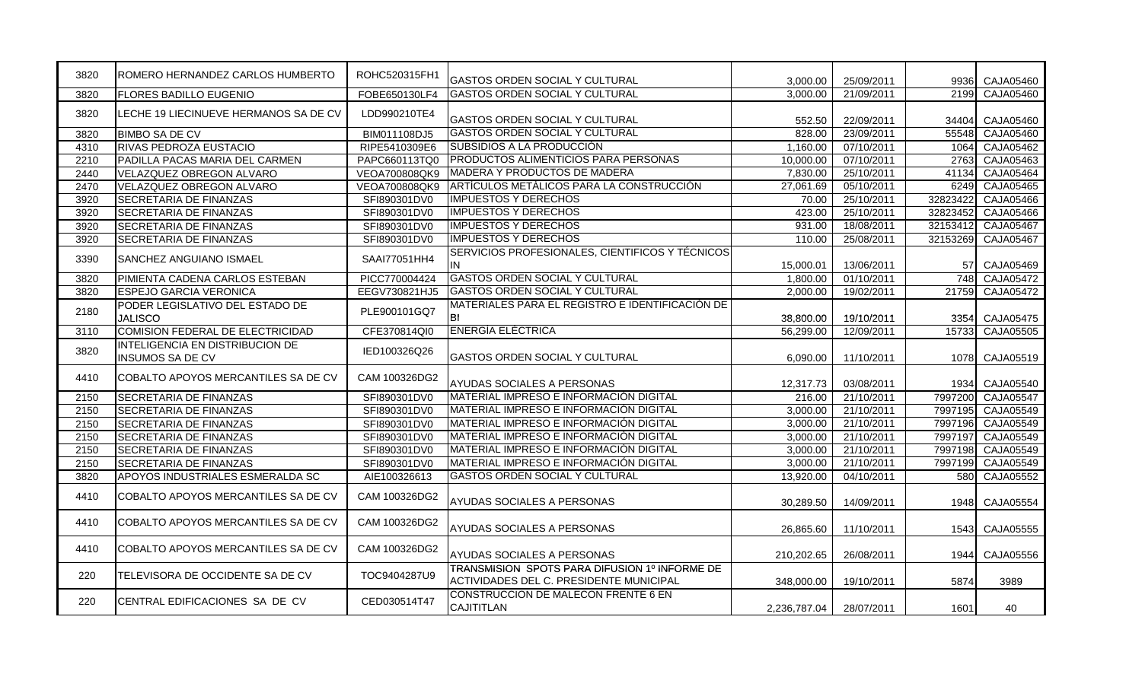| 3820 | ROMERO HERNANDEZ CARLOS HUMBERTO                           | ROHC520315FH1 | GASTOS ORDEN SOCIAL Y CULTURAL                                                           | 3,000.00     | 25/09/2011 | 9936            | CAJA05460        |
|------|------------------------------------------------------------|---------------|------------------------------------------------------------------------------------------|--------------|------------|-----------------|------------------|
| 3820 | <b>FLORES BADILLO EUGENIO</b>                              | FOBE650130LF4 | GASTOS ORDEN SOCIAL Y CULTURAL                                                           | 3,000.00     | 21/09/2011 | 2199            | CAJA05460        |
| 3820 | LECHE 19 LIECINUEVE HERMANOS SA DE CV                      | LDD990210TE4  | <b>GASTOS ORDEN SOCIAL Y CULTURAL</b>                                                    | 552.50       | 22/09/2011 | 34404           | CAJA05460        |
| 3820 | <b>BIMBO SA DE CV</b>                                      | BIM011108DJ5  | <b>GASTOS ORDEN SOCIAL Y CULTURAL</b>                                                    | 828.00       | 23/09/2011 | 55548           | CAJA05460        |
| 4310 | <b>RIVAS PEDROZA EUSTACIO</b>                              | RIPE5410309E6 | SUBSIDIOS A LA PRODUCCIÓN                                                                | 1,160.00     | 07/10/2011 | 1064            | CAJA05462        |
| 2210 | PADILLA PACAS MARIA DEL CARMEN                             | PAPC660113TQ0 | <b>PRODUCTOS ALIMENTICIOS PARA PERSONAS</b>                                              | 10,000.00    | 07/10/2011 | 2763            | CAJA05463        |
| 2440 | VELAZQUEZ OBREGON ALVARO                                   | VEOA700808QK9 | MADERA Y PRODUCTOS DE MADERA                                                             | 7,830.00     | 25/10/2011 | 41134           | CAJA05464        |
| 2470 | VELAZQUEZ OBREGON ALVARO                                   | VEOA700808QK9 | ARTÍCULOS METÁLICOS PARA LA CONSTRUCCIÓN                                                 | 27,061.69    | 05/10/2011 | 6249            | CAJA05465        |
| 3920 | SECRETARIA DE FINANZAS                                     | SFI890301DV0  | <b>IMPUESTOS Y DERECHOS</b>                                                              | 70.00        | 25/10/2011 | 32823422        | <b>CAJA05466</b> |
| 3920 | SECRETARIA DE FINANZAS                                     | SFI890301DV0  | <b>IMPUESTOS Y DERECHOS</b>                                                              | 423.00       | 25/10/2011 | 32823452        | CAJA05466        |
| 3920 | SECRETARIA DE FINANZAS                                     | SFI890301DV0  | <b>IMPUESTOS Y DERECHOS</b>                                                              | 931.00       | 18/08/2011 | 32153412        | CAJA05467        |
| 3920 | SECRETARIA DE FINANZAS                                     | SFI890301DV0  | <b>IMPUESTOS Y DERECHOS</b>                                                              | 110.00       | 25/08/2011 | 32153269        | <b>CAJA05467</b> |
| 3390 | SANCHEZ ANGUIANO ISMAEL                                    | SAAI77051HH4  | SERVICIOS PROFESIONALES, CIENTIFICOS Y TÉCNICOS<br>IN                                    | 15,000.01    | 13/06/2011 | 57 <sub>l</sub> | CAJA05469        |
| 3820 | PIMIENTA CADENA CARLOS ESTEBAN                             | PICC770004424 | <b>GASTOS ORDEN SOCIAL Y CULTURAL</b>                                                    | 1.800.00     | 01/10/2011 | 748             | CAJA05472        |
| 3820 | ESPEJO GARCIA VERONICA                                     | EEGV730821HJ5 | <b>GASTOS ORDEN SOCIAL Y CULTURAL</b>                                                    | 2,000.00     | 19/02/2011 | 21759           | CAJA05472        |
| 2180 | PODER LEGISLATIVO DEL ESTADO DE<br><b>JALISCO</b>          | PLE900101GQ7  | MATERIALES PARA EL REGISTRO E IDENTIFICACIÓN DE<br>BI                                    | 38,800,00    | 19/10/2011 | 3354            | CAJA05475        |
| 3110 | COMISION FEDERAL DE ELECTRICIDAD                           | CFE370814QI0  | <b>ENERGÍA ELÉCTRICA</b>                                                                 | 56,299.00    | 12/09/2011 | 15733           | CAJA05505        |
| 3820 | INTELIGENCIA EN DISTRIBUCION DE<br><b>INSUMOS SA DE CV</b> | IED100326Q26  | <b>GASTOS ORDEN SOCIAL Y CULTURAL</b>                                                    | 6,090.00     | 11/10/2011 | 1078            | CAJA05519        |
| 4410 | COBALTO APOYOS MERCANTILES SA DE CV                        | CAM 100326DG2 | <b>AYUDAS SOCIALES A PERSONAS</b>                                                        | 12.317.73    | 03/08/2011 | 1934            | CAJA05540        |
| 2150 | SECRETARIA DE FINANZAS                                     | SFI890301DV0  | <b>MATERIAL IMPRESO E INFORMACIÓN DIGITAL</b>                                            | 216.00       | 21/10/2011 | 7997200         | <b>CAJA05547</b> |
| 2150 | SECRETARIA DE FINANZAS                                     | SFI890301DV0  | <b>MATERIAL IMPRESO E INFORMACIÓN DIGITAL</b>                                            | 3,000.00     | 21/10/2011 | 7997195         | CAJA05549        |
| 2150 | <b>SECRETARIA DE FINANZAS</b>                              | SFI890301DV0  | <b>MATERIAL IMPRESO E INFORMACIÓN DIGITAL</b>                                            | 3,000.00     | 21/10/2011 | 7997196         | CAJA05549        |
| 2150 | SECRETARIA DE FINANZAS                                     | SFI890301DV0  | <b>MATERIAL IMPRESO E INFORMACIÓN DIGITAL</b>                                            | 3,000.00     | 21/10/2011 | 7997197         | CAJA05549        |
| 2150 | SECRETARIA DE FINANZAS                                     | SFI890301DV0  | MATERIAL IMPRESO E INFORMACIÓN DIGITAL                                                   | 3,000.00     | 21/10/2011 | 7997198         | CAJA05549        |
| 2150 | SECRETARIA DE FINANZAS                                     | SFI890301DV0  | MATERIAL IMPRESO E INFORMACIÓN DIGITAL                                                   | 3,000.00     | 21/10/2011 | 7997199         | CAJA05549        |
| 3820 | APOYOS INDUSTRIALES ESMERALDA SC                           | AIE100326613  | <b>GASTOS ORDEN SOCIAL Y CULTURAL</b>                                                    | 13,920.00    | 04/10/2011 | 580             | CAJA05552        |
| 4410 | COBALTO APOYOS MERCANTILES SA DE CV                        | CAM 100326DG2 | AYUDAS SOCIALES A PERSONAS                                                               | 30,289.50    | 14/09/2011 | 1948 I          | CAJA05554        |
| 4410 | COBALTO APOYOS MERCANTILES SA DE CV                        | CAM 100326DG2 | AYUDAS SOCIALES A PERSONAS                                                               | 26,865.60    | 11/10/2011 | 1543            | CAJA05555        |
| 4410 | COBALTO APOYOS MERCANTILES SA DE CV                        | CAM 100326DG2 | <b>AYUDAS SOCIALES A PERSONAS</b>                                                        | 210,202.65   | 26/08/2011 | 1944            | CAJA05556        |
| 220  | TELEVISORA DE OCCIDENTE SA DE CV                           | TOC9404287U9  | TRANSMISION SPOTS PARA DIFUSION 1º INFORME DE<br>ACTIVIDADES DEL C. PRESIDENTE MUNICIPAL | 348,000.00   | 19/10/2011 | 5874            | 3989             |
| 220  | CENTRAL EDIFICACIONES SA DE CV                             | CED030514T47  | CONSTRUCCION DE MALECON FRENTE 6 EN<br><b>CAJITITLAN</b>                                 | 2,236,787.04 | 28/07/2011 | 1601            | 40               |